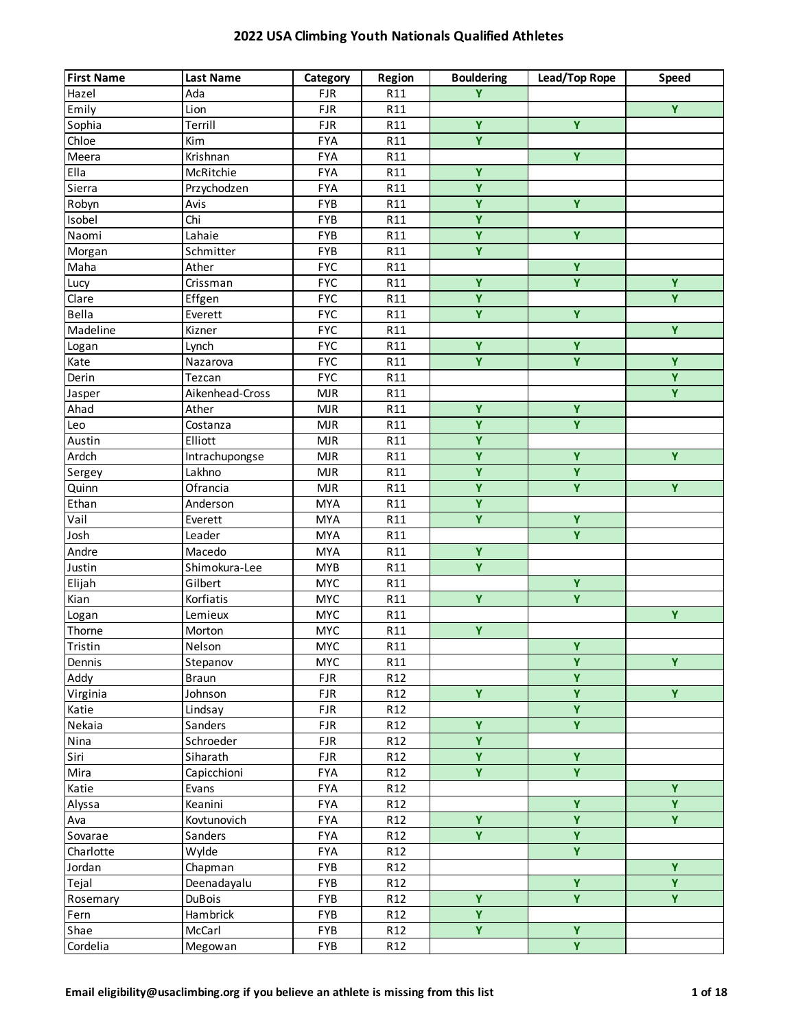| <b>First Name</b> | <b>Last Name</b> | Category   | Region          | <b>Bouldering</b>       | Lead/Top Rope           | Speed          |
|-------------------|------------------|------------|-----------------|-------------------------|-------------------------|----------------|
| Hazel             | Ada              | <b>FJR</b> | R11             | Ÿ                       |                         |                |
| Emily             | Lion             | <b>FJR</b> | R11             |                         |                         | $\overline{Y}$ |
| Sophia            | Terrill          | <b>FJR</b> | R11             | Ÿ                       | Ÿ                       |                |
| Chloe             | Kim              | <b>FYA</b> | R11             | $\overline{\mathbf{Y}}$ |                         |                |
| Meera             | Krishnan         | <b>FYA</b> | R11             |                         | $\overline{Y}$          |                |
| Ella              | McRitchie        | <b>FYA</b> | R11             | Ÿ                       |                         |                |
| Sierra            | Przychodzen      | <b>FYA</b> | R11             | $\overline{\mathbf{Y}}$ |                         |                |
| Robyn             | Avis             | <b>FYB</b> | R11             | Ÿ                       | Ÿ                       |                |
| Isobel            | Chi              | <b>FYB</b> | R11             | $\overline{Y}$          |                         |                |
| Naomi             | Lahaie           | <b>FYB</b> | R11             | $\overline{Y}$          | $\overline{Y}$          |                |
| Morgan            | Schmitter        | <b>FYB</b> | R11             | Y.                      |                         |                |
| Maha              | Ather            | <b>FYC</b> | R11             |                         | Ÿ                       |                |
| Lucy              | Crissman         | <b>FYC</b> | R11             | Ÿ                       | Y                       | Ÿ              |
| Clare             | Effgen           | <b>FYC</b> | R11             | Ÿ                       |                         | $\overline{Y}$ |
| Bella             | Everett          | <b>FYC</b> | R11             | $\overline{Y}$          | $\overline{Y}$          |                |
| Madeline          | Kizner           | <b>FYC</b> | R11             |                         |                         | $\overline{Y}$ |
| Logan             | Lynch            | <b>FYC</b> | R11             | $\overline{Y}$          | $\overline{Y}$          |                |
| Kate              | Nazarova         | <b>FYC</b> | R11             | Ÿ                       | Ÿ                       | Ÿ              |
| Derin             | Tezcan           | <b>FYC</b> | R11             |                         |                         | $\overline{Y}$ |
| Jasper            | Aikenhead-Cross  | <b>MJR</b> | R11             |                         |                         | $\overline{Y}$ |
| Ahad              | Ather            | MJR        | R11             | $\overline{Y}$          | $\overline{\mathbf{Y}}$ |                |
| Leo               | Costanza         | <b>MJR</b> | R11             | $\overline{Y}$          | Y.                      |                |
| Austin            | Elliott          | <b>MJR</b> | R11             | Ÿ                       |                         |                |
| Ardch             | Intrachupongse   | <b>MJR</b> | R11             | $\overline{Y}$          | $\overline{Y}$          | $\overline{Y}$ |
| Sergey            | Lakhno           | <b>MJR</b> | R11             | $\overline{Y}$          | Y                       |                |
| Quinn             | Ofrancia         | <b>MJR</b> | R11             | $\overline{Y}$          | $\overline{Y}$          | $\overline{Y}$ |
| Ethan             | Anderson         | <b>MYA</b> | R11             | $\overline{Y}$          |                         |                |
| Vail              | Everett          | <b>MYA</b> | R11             | Ÿ                       | Ÿ                       |                |
| Josh              | Leader           | <b>MYA</b> | R11             |                         | Ÿ                       |                |
| Andre             | Macedo           | <b>MYA</b> | R11             | $\overline{Y}$          |                         |                |
| Justin            | Shimokura-Lee    | <b>MYB</b> | R11             | $\overline{Y}$          |                         |                |
| Elijah            | Gilbert          | <b>MYC</b> | R11             |                         | Ÿ                       |                |
| Kian              | Korfiatis        | <b>MYC</b> | R11             | Ÿ                       | Ÿ                       |                |
| Logan             | Lemieux          | <b>MYC</b> | R11             |                         |                         | Ÿ              |
| Thorne            | Morton           | <b>MYC</b> | R11             | Ÿ                       |                         |                |
| Tristin           | Nelson           | <b>MYC</b> | R11             |                         | $\overline{Y}$          |                |
| Dennis            | Stepanov         | <b>MYC</b> | R11             |                         | Ÿ                       | Y              |
| Addy              | <b>Braun</b>     | <b>FJR</b> | R12             |                         | $\overline{\mathbf{Y}}$ |                |
| Virginia          | Johnson          | <b>FJR</b> | R <sub>12</sub> | Ÿ                       | Y                       | $\overline{Y}$ |
| Katie             | Lindsay          | <b>FJR</b> | R <sub>12</sub> |                         | $\overline{Y}$          |                |
| Nekaia            | Sanders          | <b>FJR</b> | R <sub>12</sub> | Ÿ                       | Ÿ                       |                |
| Nina              | Schroeder        | <b>FJR</b> | R <sub>12</sub> | $\overline{\mathbf{Y}}$ |                         |                |
| Siri              | Siharath         | <b>FJR</b> | R <sub>12</sub> | Ÿ                       | Ÿ                       |                |
| Mira              | Capicchioni      | <b>FYA</b> | R <sub>12</sub> | Y.                      | Y.                      |                |
| Katie             | Evans            | <b>FYA</b> | R <sub>12</sub> |                         |                         | Ÿ              |
| Alyssa            | Keanini          | <b>FYA</b> | R <sub>12</sub> |                         | $\overline{\mathbf{Y}}$ | $\overline{Y}$ |
| Ava               | Kovtunovich      | <b>FYA</b> | R <sub>12</sub> | $\overline{Y}$          | $\overline{\mathbf{Y}}$ | $\overline{Y}$ |
| Sovarae           | Sanders          | <b>FYA</b> | R <sub>12</sub> | Y.                      | $\overline{\mathbf{Y}}$ |                |
| Charlotte         | Wylde            | <b>FYA</b> | R <sub>12</sub> |                         | $\overline{Y}$          |                |
| Jordan            | Chapman          | <b>FYB</b> | R <sub>12</sub> |                         |                         | Y              |
| Tejal             | Deenadayalu      | FYB        | R <sub>12</sub> |                         | Ÿ                       | Y              |
| Rosemary          | <b>DuBois</b>    | FYB        | R <sub>12</sub> | Ÿ                       | Y                       | Y.             |
| Fern              | Hambrick         | FYB        | R <sub>12</sub> | Y                       |                         |                |
| Shae              | McCarl           | FYB        | R <sub>12</sub> | Y.                      | Ÿ                       |                |
| Cordelia          | Megowan          | FYB        | R <sub>12</sub> |                         | Y                       |                |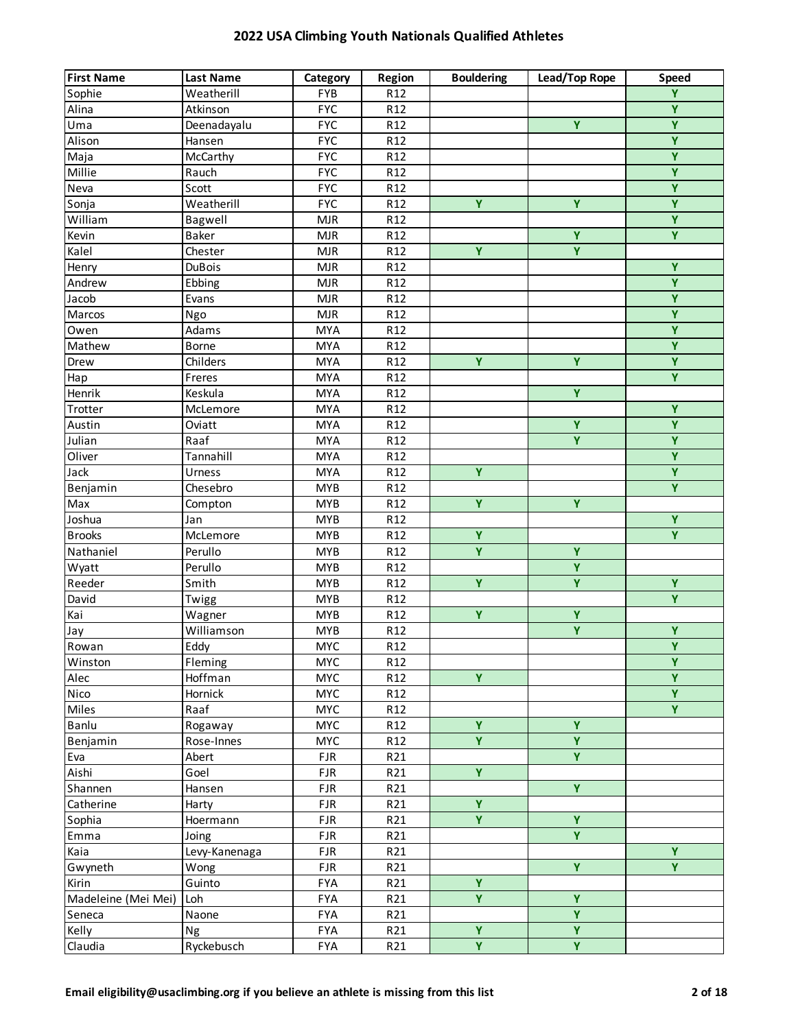| $\overline{\mathbf{Y}}$<br>Sophie<br>Weatherill<br>FYB<br>R <sub>12</sub><br>$\overline{Y}$<br>Alina<br><b>FYC</b><br>R <sub>12</sub><br>Atkinson<br>$\overline{Y}$<br>Uma<br>Y<br>Deenadayalu<br><b>FYC</b><br>R <sub>12</sub><br>$\overline{Y}$<br>Alison<br><b>FYC</b><br>Hansen<br>R <sub>12</sub><br>$\overline{Y}$<br><b>FYC</b><br>Maja<br>McCarthy<br>R <sub>12</sub><br>$\overline{Y}$<br>Millie<br><b>FYC</b><br>Rauch<br>R <sub>12</sub><br>$\overline{Y}$<br><b>FYC</b><br>Neva<br>Scott<br>R <sub>12</sub><br>$\overline{Y}$<br>Ÿ<br>Y<br>Sonja<br>Weatherill<br><b>FYC</b><br>R <sub>12</sub><br>$\overline{Y}$<br>William<br>Bagwell<br><b>MJR</b><br>R <sub>12</sub><br>$\overline{Y}$<br>$\overline{Y}$<br>Baker<br>Kevin<br><b>MJR</b><br>R <sub>12</sub><br>Kalel<br>Ÿ<br>Y<br>Chester<br>MJR<br>R <sub>12</sub><br>Y<br>MJR<br>Henry<br><b>DuBois</b><br>R <sub>12</sub><br>Ÿ<br>Andrew<br>Ebbing<br><b>MJR</b><br>R <sub>12</sub><br>$\overline{Y}$<br>Jacob<br><b>MJR</b><br>Evans<br>R <sub>12</sub><br>$\overline{Y}$<br>Marcos<br><b>MJR</b><br>R <sub>12</sub><br>Ngo<br>$\overline{Y}$<br>Owen<br>Adams<br><b>MYA</b><br>R <sub>12</sub><br>$\overline{Y}$<br>Mathew<br><b>MYA</b><br>R <sub>12</sub><br>Borne<br>$\overline{Y}$<br>$\overline{Y}$<br>Ÿ<br>Drew<br>Childers<br><b>MYA</b><br>R <sub>12</sub><br>$\overline{Y}$<br><b>MYA</b><br>Hap<br>Freres<br>R <sub>12</sub><br>$\overline{Y}$<br>Henrik<br>Keskula<br><b>MYA</b><br>R <sub>12</sub><br>$\overline{Y}$<br>Trotter<br><b>MYA</b><br>McLemore<br>R <sub>12</sub><br>$\overline{\mathbf{Y}}$<br>$\overline{Y}$<br>Austin<br><b>MYA</b><br>Oviatt<br>R <sub>12</sub><br>Y<br>Ÿ<br>Julian<br>Raaf<br><b>MYA</b><br>R <sub>12</sub><br>$\overline{Y}$<br>Oliver<br>Tannahill<br><b>MYA</b><br>R <sub>12</sub><br>$\overline{Y}$<br>$\overline{Y}$<br>Jack<br><b>MYA</b><br>R <sub>12</sub><br>Urness<br>$\overline{Y}$<br>Chesebro<br><b>MYB</b><br>R <sub>12</sub><br>Benjamin<br>$\overline{Y}$<br>$\overline{Y}$<br>Max<br><b>MYB</b><br>R <sub>12</sub><br>Compton<br>Y<br>Joshua<br><b>MYB</b><br>R <sub>12</sub><br>Jan<br>$\overline{Y}$<br>$\overline{Y}$<br><b>Brooks</b><br><b>MYB</b><br>R <sub>12</sub><br>McLemore<br>$\overline{Y}$<br>$\overline{Y}$<br>Nathaniel<br>Perullo<br><b>MYB</b><br>R <sub>12</sub><br>Ÿ<br>Wyatt<br>Perullo<br><b>MYB</b><br>R <sub>12</sub><br>$\overline{Y}$<br>$\overline{Y}$<br>$\overline{\mathbf{Y}}$<br>Reeder<br>Smith<br><b>MYB</b><br>R <sub>12</sub><br>$\overline{Y}$<br>David<br><b>MYB</b><br>R <sub>12</sub><br>Twigg<br>Kai<br>Ÿ<br>Ÿ<br><b>MYB</b><br>Wagner<br>R <sub>12</sub><br>$\overline{Y}$<br>Ÿ<br>Williamson<br><b>MYB</b><br>R <sub>12</sub><br>Jay<br>$\overline{Y}$<br>Eddy<br><b>MYC</b><br>R <sub>12</sub><br>Rowan<br>Y<br><b>MYC</b><br>Winston<br>Fleming<br>R <sub>12</sub><br>$\overline{\mathbf{Y}}$<br>$\overline{Y}$<br>Hoffman<br>Alec<br><b>MYC</b><br>R <sub>12</sub><br>$\overline{\mathsf{Y}}$<br>Nico<br>Hornick<br><b>MYC</b><br>R <sub>12</sub><br>$\overline{Y}$<br>Miles<br>Raaf<br><b>MYC</b><br>R <sub>12</sub><br>Ÿ<br>Ÿ<br>Banlu<br><b>MYC</b><br>R <sub>12</sub><br>Rogaway<br>$\overline{\mathbf{Y}}$<br>$\overline{Y}$<br>Rose-Innes<br><b>MYC</b><br>R <sub>12</sub><br>Benjamin<br>Y<br>R21<br>Abert<br><b>FJR</b><br>Eva<br>Y.<br>Aishi<br><b>FJR</b><br>R21<br>Goel<br>$\overline{Y}$<br><b>FJR</b><br>R21<br>Shannen<br>Hansen<br>$\overline{\mathbf{Y}}$<br>Catherine<br><b>FJR</b><br>R21<br>Harty<br>$\overline{Y}$<br>$\overline{Y}$<br>Sophia<br><b>FJR</b><br>R21<br>Hoermann<br>Ÿ<br>Emma<br><b>FJR</b><br>R21<br>Joing<br>$\overline{Y}$<br>Levy-Kanenaga<br>Kaia<br><b>FJR</b><br>R21<br>$\overline{Y}$<br>$\overline{Y}$<br>Gwyneth<br><b>FJR</b><br>R21<br>Wong<br>Ÿ<br>Kirin<br>Guinto<br><b>FYA</b><br>R21<br>Ÿ<br>Madeleine (Mei Mei)<br>Y.<br>Loh<br><b>FYA</b><br>R21<br>Y<br>Naone<br><b>FYA</b><br>R21<br>Seneca<br>Ÿ<br>Y<br>Kelly<br>R21<br>Ng<br><b>FYA</b> | <b>First Name</b> | <b>Last Name</b> | Category | Region | <b>Bouldering</b> | Lead/Top Rope | <b>Speed</b> |
|---------------------------------------------------------------------------------------------------------------------------------------------------------------------------------------------------------------------------------------------------------------------------------------------------------------------------------------------------------------------------------------------------------------------------------------------------------------------------------------------------------------------------------------------------------------------------------------------------------------------------------------------------------------------------------------------------------------------------------------------------------------------------------------------------------------------------------------------------------------------------------------------------------------------------------------------------------------------------------------------------------------------------------------------------------------------------------------------------------------------------------------------------------------------------------------------------------------------------------------------------------------------------------------------------------------------------------------------------------------------------------------------------------------------------------------------------------------------------------------------------------------------------------------------------------------------------------------------------------------------------------------------------------------------------------------------------------------------------------------------------------------------------------------------------------------------------------------------------------------------------------------------------------------------------------------------------------------------------------------------------------------------------------------------------------------------------------------------------------------------------------------------------------------------------------------------------------------------------------------------------------------------------------------------------------------------------------------------------------------------------------------------------------------------------------------------------------------------------------------------------------------------------------------------------------------------------------------------------------------------------------------------------------------------------------------------------------------------------------------------------------------------------------------------------------------------------------------------------------------------------------------------------------------------------------------------------------------------------------------------------------------------------------------------------------------------------------------------------------------------------------------------------------------------------------------------------------------------------------------------------------------------------------------------------------------------------------------------------------------------------------------------------------------------------------------------------------------------------------------------------------------------------------------------------------------------------------------------------------------------------------------------------------------------------------------------------------------------------------------------------------------------------------------------------------------------------------------------------------------------------------------------------------------------------------------------------------------------------------|-------------------|------------------|----------|--------|-------------------|---------------|--------------|
|                                                                                                                                                                                                                                                                                                                                                                                                                                                                                                                                                                                                                                                                                                                                                                                                                                                                                                                                                                                                                                                                                                                                                                                                                                                                                                                                                                                                                                                                                                                                                                                                                                                                                                                                                                                                                                                                                                                                                                                                                                                                                                                                                                                                                                                                                                                                                                                                                                                                                                                                                                                                                                                                                                                                                                                                                                                                                                                                                                                                                                                                                                                                                                                                                                                                                                                                                                                                                                                                                                                                                                                                                                                                                                                                                                                                                                                                                                                                                                                 |                   |                  |          |        |                   |               |              |
|                                                                                                                                                                                                                                                                                                                                                                                                                                                                                                                                                                                                                                                                                                                                                                                                                                                                                                                                                                                                                                                                                                                                                                                                                                                                                                                                                                                                                                                                                                                                                                                                                                                                                                                                                                                                                                                                                                                                                                                                                                                                                                                                                                                                                                                                                                                                                                                                                                                                                                                                                                                                                                                                                                                                                                                                                                                                                                                                                                                                                                                                                                                                                                                                                                                                                                                                                                                                                                                                                                                                                                                                                                                                                                                                                                                                                                                                                                                                                                                 |                   |                  |          |        |                   |               |              |
|                                                                                                                                                                                                                                                                                                                                                                                                                                                                                                                                                                                                                                                                                                                                                                                                                                                                                                                                                                                                                                                                                                                                                                                                                                                                                                                                                                                                                                                                                                                                                                                                                                                                                                                                                                                                                                                                                                                                                                                                                                                                                                                                                                                                                                                                                                                                                                                                                                                                                                                                                                                                                                                                                                                                                                                                                                                                                                                                                                                                                                                                                                                                                                                                                                                                                                                                                                                                                                                                                                                                                                                                                                                                                                                                                                                                                                                                                                                                                                                 |                   |                  |          |        |                   |               |              |
|                                                                                                                                                                                                                                                                                                                                                                                                                                                                                                                                                                                                                                                                                                                                                                                                                                                                                                                                                                                                                                                                                                                                                                                                                                                                                                                                                                                                                                                                                                                                                                                                                                                                                                                                                                                                                                                                                                                                                                                                                                                                                                                                                                                                                                                                                                                                                                                                                                                                                                                                                                                                                                                                                                                                                                                                                                                                                                                                                                                                                                                                                                                                                                                                                                                                                                                                                                                                                                                                                                                                                                                                                                                                                                                                                                                                                                                                                                                                                                                 |                   |                  |          |        |                   |               |              |
|                                                                                                                                                                                                                                                                                                                                                                                                                                                                                                                                                                                                                                                                                                                                                                                                                                                                                                                                                                                                                                                                                                                                                                                                                                                                                                                                                                                                                                                                                                                                                                                                                                                                                                                                                                                                                                                                                                                                                                                                                                                                                                                                                                                                                                                                                                                                                                                                                                                                                                                                                                                                                                                                                                                                                                                                                                                                                                                                                                                                                                                                                                                                                                                                                                                                                                                                                                                                                                                                                                                                                                                                                                                                                                                                                                                                                                                                                                                                                                                 |                   |                  |          |        |                   |               |              |
|                                                                                                                                                                                                                                                                                                                                                                                                                                                                                                                                                                                                                                                                                                                                                                                                                                                                                                                                                                                                                                                                                                                                                                                                                                                                                                                                                                                                                                                                                                                                                                                                                                                                                                                                                                                                                                                                                                                                                                                                                                                                                                                                                                                                                                                                                                                                                                                                                                                                                                                                                                                                                                                                                                                                                                                                                                                                                                                                                                                                                                                                                                                                                                                                                                                                                                                                                                                                                                                                                                                                                                                                                                                                                                                                                                                                                                                                                                                                                                                 |                   |                  |          |        |                   |               |              |
|                                                                                                                                                                                                                                                                                                                                                                                                                                                                                                                                                                                                                                                                                                                                                                                                                                                                                                                                                                                                                                                                                                                                                                                                                                                                                                                                                                                                                                                                                                                                                                                                                                                                                                                                                                                                                                                                                                                                                                                                                                                                                                                                                                                                                                                                                                                                                                                                                                                                                                                                                                                                                                                                                                                                                                                                                                                                                                                                                                                                                                                                                                                                                                                                                                                                                                                                                                                                                                                                                                                                                                                                                                                                                                                                                                                                                                                                                                                                                                                 |                   |                  |          |        |                   |               |              |
|                                                                                                                                                                                                                                                                                                                                                                                                                                                                                                                                                                                                                                                                                                                                                                                                                                                                                                                                                                                                                                                                                                                                                                                                                                                                                                                                                                                                                                                                                                                                                                                                                                                                                                                                                                                                                                                                                                                                                                                                                                                                                                                                                                                                                                                                                                                                                                                                                                                                                                                                                                                                                                                                                                                                                                                                                                                                                                                                                                                                                                                                                                                                                                                                                                                                                                                                                                                                                                                                                                                                                                                                                                                                                                                                                                                                                                                                                                                                                                                 |                   |                  |          |        |                   |               |              |
|                                                                                                                                                                                                                                                                                                                                                                                                                                                                                                                                                                                                                                                                                                                                                                                                                                                                                                                                                                                                                                                                                                                                                                                                                                                                                                                                                                                                                                                                                                                                                                                                                                                                                                                                                                                                                                                                                                                                                                                                                                                                                                                                                                                                                                                                                                                                                                                                                                                                                                                                                                                                                                                                                                                                                                                                                                                                                                                                                                                                                                                                                                                                                                                                                                                                                                                                                                                                                                                                                                                                                                                                                                                                                                                                                                                                                                                                                                                                                                                 |                   |                  |          |        |                   |               |              |
|                                                                                                                                                                                                                                                                                                                                                                                                                                                                                                                                                                                                                                                                                                                                                                                                                                                                                                                                                                                                                                                                                                                                                                                                                                                                                                                                                                                                                                                                                                                                                                                                                                                                                                                                                                                                                                                                                                                                                                                                                                                                                                                                                                                                                                                                                                                                                                                                                                                                                                                                                                                                                                                                                                                                                                                                                                                                                                                                                                                                                                                                                                                                                                                                                                                                                                                                                                                                                                                                                                                                                                                                                                                                                                                                                                                                                                                                                                                                                                                 |                   |                  |          |        |                   |               |              |
|                                                                                                                                                                                                                                                                                                                                                                                                                                                                                                                                                                                                                                                                                                                                                                                                                                                                                                                                                                                                                                                                                                                                                                                                                                                                                                                                                                                                                                                                                                                                                                                                                                                                                                                                                                                                                                                                                                                                                                                                                                                                                                                                                                                                                                                                                                                                                                                                                                                                                                                                                                                                                                                                                                                                                                                                                                                                                                                                                                                                                                                                                                                                                                                                                                                                                                                                                                                                                                                                                                                                                                                                                                                                                                                                                                                                                                                                                                                                                                                 |                   |                  |          |        |                   |               |              |
|                                                                                                                                                                                                                                                                                                                                                                                                                                                                                                                                                                                                                                                                                                                                                                                                                                                                                                                                                                                                                                                                                                                                                                                                                                                                                                                                                                                                                                                                                                                                                                                                                                                                                                                                                                                                                                                                                                                                                                                                                                                                                                                                                                                                                                                                                                                                                                                                                                                                                                                                                                                                                                                                                                                                                                                                                                                                                                                                                                                                                                                                                                                                                                                                                                                                                                                                                                                                                                                                                                                                                                                                                                                                                                                                                                                                                                                                                                                                                                                 |                   |                  |          |        |                   |               |              |
|                                                                                                                                                                                                                                                                                                                                                                                                                                                                                                                                                                                                                                                                                                                                                                                                                                                                                                                                                                                                                                                                                                                                                                                                                                                                                                                                                                                                                                                                                                                                                                                                                                                                                                                                                                                                                                                                                                                                                                                                                                                                                                                                                                                                                                                                                                                                                                                                                                                                                                                                                                                                                                                                                                                                                                                                                                                                                                                                                                                                                                                                                                                                                                                                                                                                                                                                                                                                                                                                                                                                                                                                                                                                                                                                                                                                                                                                                                                                                                                 |                   |                  |          |        |                   |               |              |
|                                                                                                                                                                                                                                                                                                                                                                                                                                                                                                                                                                                                                                                                                                                                                                                                                                                                                                                                                                                                                                                                                                                                                                                                                                                                                                                                                                                                                                                                                                                                                                                                                                                                                                                                                                                                                                                                                                                                                                                                                                                                                                                                                                                                                                                                                                                                                                                                                                                                                                                                                                                                                                                                                                                                                                                                                                                                                                                                                                                                                                                                                                                                                                                                                                                                                                                                                                                                                                                                                                                                                                                                                                                                                                                                                                                                                                                                                                                                                                                 |                   |                  |          |        |                   |               |              |
|                                                                                                                                                                                                                                                                                                                                                                                                                                                                                                                                                                                                                                                                                                                                                                                                                                                                                                                                                                                                                                                                                                                                                                                                                                                                                                                                                                                                                                                                                                                                                                                                                                                                                                                                                                                                                                                                                                                                                                                                                                                                                                                                                                                                                                                                                                                                                                                                                                                                                                                                                                                                                                                                                                                                                                                                                                                                                                                                                                                                                                                                                                                                                                                                                                                                                                                                                                                                                                                                                                                                                                                                                                                                                                                                                                                                                                                                                                                                                                                 |                   |                  |          |        |                   |               |              |
|                                                                                                                                                                                                                                                                                                                                                                                                                                                                                                                                                                                                                                                                                                                                                                                                                                                                                                                                                                                                                                                                                                                                                                                                                                                                                                                                                                                                                                                                                                                                                                                                                                                                                                                                                                                                                                                                                                                                                                                                                                                                                                                                                                                                                                                                                                                                                                                                                                                                                                                                                                                                                                                                                                                                                                                                                                                                                                                                                                                                                                                                                                                                                                                                                                                                                                                                                                                                                                                                                                                                                                                                                                                                                                                                                                                                                                                                                                                                                                                 |                   |                  |          |        |                   |               |              |
|                                                                                                                                                                                                                                                                                                                                                                                                                                                                                                                                                                                                                                                                                                                                                                                                                                                                                                                                                                                                                                                                                                                                                                                                                                                                                                                                                                                                                                                                                                                                                                                                                                                                                                                                                                                                                                                                                                                                                                                                                                                                                                                                                                                                                                                                                                                                                                                                                                                                                                                                                                                                                                                                                                                                                                                                                                                                                                                                                                                                                                                                                                                                                                                                                                                                                                                                                                                                                                                                                                                                                                                                                                                                                                                                                                                                                                                                                                                                                                                 |                   |                  |          |        |                   |               |              |
|                                                                                                                                                                                                                                                                                                                                                                                                                                                                                                                                                                                                                                                                                                                                                                                                                                                                                                                                                                                                                                                                                                                                                                                                                                                                                                                                                                                                                                                                                                                                                                                                                                                                                                                                                                                                                                                                                                                                                                                                                                                                                                                                                                                                                                                                                                                                                                                                                                                                                                                                                                                                                                                                                                                                                                                                                                                                                                                                                                                                                                                                                                                                                                                                                                                                                                                                                                                                                                                                                                                                                                                                                                                                                                                                                                                                                                                                                                                                                                                 |                   |                  |          |        |                   |               |              |
|                                                                                                                                                                                                                                                                                                                                                                                                                                                                                                                                                                                                                                                                                                                                                                                                                                                                                                                                                                                                                                                                                                                                                                                                                                                                                                                                                                                                                                                                                                                                                                                                                                                                                                                                                                                                                                                                                                                                                                                                                                                                                                                                                                                                                                                                                                                                                                                                                                                                                                                                                                                                                                                                                                                                                                                                                                                                                                                                                                                                                                                                                                                                                                                                                                                                                                                                                                                                                                                                                                                                                                                                                                                                                                                                                                                                                                                                                                                                                                                 |                   |                  |          |        |                   |               |              |
|                                                                                                                                                                                                                                                                                                                                                                                                                                                                                                                                                                                                                                                                                                                                                                                                                                                                                                                                                                                                                                                                                                                                                                                                                                                                                                                                                                                                                                                                                                                                                                                                                                                                                                                                                                                                                                                                                                                                                                                                                                                                                                                                                                                                                                                                                                                                                                                                                                                                                                                                                                                                                                                                                                                                                                                                                                                                                                                                                                                                                                                                                                                                                                                                                                                                                                                                                                                                                                                                                                                                                                                                                                                                                                                                                                                                                                                                                                                                                                                 |                   |                  |          |        |                   |               |              |
|                                                                                                                                                                                                                                                                                                                                                                                                                                                                                                                                                                                                                                                                                                                                                                                                                                                                                                                                                                                                                                                                                                                                                                                                                                                                                                                                                                                                                                                                                                                                                                                                                                                                                                                                                                                                                                                                                                                                                                                                                                                                                                                                                                                                                                                                                                                                                                                                                                                                                                                                                                                                                                                                                                                                                                                                                                                                                                                                                                                                                                                                                                                                                                                                                                                                                                                                                                                                                                                                                                                                                                                                                                                                                                                                                                                                                                                                                                                                                                                 |                   |                  |          |        |                   |               |              |
|                                                                                                                                                                                                                                                                                                                                                                                                                                                                                                                                                                                                                                                                                                                                                                                                                                                                                                                                                                                                                                                                                                                                                                                                                                                                                                                                                                                                                                                                                                                                                                                                                                                                                                                                                                                                                                                                                                                                                                                                                                                                                                                                                                                                                                                                                                                                                                                                                                                                                                                                                                                                                                                                                                                                                                                                                                                                                                                                                                                                                                                                                                                                                                                                                                                                                                                                                                                                                                                                                                                                                                                                                                                                                                                                                                                                                                                                                                                                                                                 |                   |                  |          |        |                   |               |              |
|                                                                                                                                                                                                                                                                                                                                                                                                                                                                                                                                                                                                                                                                                                                                                                                                                                                                                                                                                                                                                                                                                                                                                                                                                                                                                                                                                                                                                                                                                                                                                                                                                                                                                                                                                                                                                                                                                                                                                                                                                                                                                                                                                                                                                                                                                                                                                                                                                                                                                                                                                                                                                                                                                                                                                                                                                                                                                                                                                                                                                                                                                                                                                                                                                                                                                                                                                                                                                                                                                                                                                                                                                                                                                                                                                                                                                                                                                                                                                                                 |                   |                  |          |        |                   |               |              |
|                                                                                                                                                                                                                                                                                                                                                                                                                                                                                                                                                                                                                                                                                                                                                                                                                                                                                                                                                                                                                                                                                                                                                                                                                                                                                                                                                                                                                                                                                                                                                                                                                                                                                                                                                                                                                                                                                                                                                                                                                                                                                                                                                                                                                                                                                                                                                                                                                                                                                                                                                                                                                                                                                                                                                                                                                                                                                                                                                                                                                                                                                                                                                                                                                                                                                                                                                                                                                                                                                                                                                                                                                                                                                                                                                                                                                                                                                                                                                                                 |                   |                  |          |        |                   |               |              |
|                                                                                                                                                                                                                                                                                                                                                                                                                                                                                                                                                                                                                                                                                                                                                                                                                                                                                                                                                                                                                                                                                                                                                                                                                                                                                                                                                                                                                                                                                                                                                                                                                                                                                                                                                                                                                                                                                                                                                                                                                                                                                                                                                                                                                                                                                                                                                                                                                                                                                                                                                                                                                                                                                                                                                                                                                                                                                                                                                                                                                                                                                                                                                                                                                                                                                                                                                                                                                                                                                                                                                                                                                                                                                                                                                                                                                                                                                                                                                                                 |                   |                  |          |        |                   |               |              |
|                                                                                                                                                                                                                                                                                                                                                                                                                                                                                                                                                                                                                                                                                                                                                                                                                                                                                                                                                                                                                                                                                                                                                                                                                                                                                                                                                                                                                                                                                                                                                                                                                                                                                                                                                                                                                                                                                                                                                                                                                                                                                                                                                                                                                                                                                                                                                                                                                                                                                                                                                                                                                                                                                                                                                                                                                                                                                                                                                                                                                                                                                                                                                                                                                                                                                                                                                                                                                                                                                                                                                                                                                                                                                                                                                                                                                                                                                                                                                                                 |                   |                  |          |        |                   |               |              |
|                                                                                                                                                                                                                                                                                                                                                                                                                                                                                                                                                                                                                                                                                                                                                                                                                                                                                                                                                                                                                                                                                                                                                                                                                                                                                                                                                                                                                                                                                                                                                                                                                                                                                                                                                                                                                                                                                                                                                                                                                                                                                                                                                                                                                                                                                                                                                                                                                                                                                                                                                                                                                                                                                                                                                                                                                                                                                                                                                                                                                                                                                                                                                                                                                                                                                                                                                                                                                                                                                                                                                                                                                                                                                                                                                                                                                                                                                                                                                                                 |                   |                  |          |        |                   |               |              |
|                                                                                                                                                                                                                                                                                                                                                                                                                                                                                                                                                                                                                                                                                                                                                                                                                                                                                                                                                                                                                                                                                                                                                                                                                                                                                                                                                                                                                                                                                                                                                                                                                                                                                                                                                                                                                                                                                                                                                                                                                                                                                                                                                                                                                                                                                                                                                                                                                                                                                                                                                                                                                                                                                                                                                                                                                                                                                                                                                                                                                                                                                                                                                                                                                                                                                                                                                                                                                                                                                                                                                                                                                                                                                                                                                                                                                                                                                                                                                                                 |                   |                  |          |        |                   |               |              |
|                                                                                                                                                                                                                                                                                                                                                                                                                                                                                                                                                                                                                                                                                                                                                                                                                                                                                                                                                                                                                                                                                                                                                                                                                                                                                                                                                                                                                                                                                                                                                                                                                                                                                                                                                                                                                                                                                                                                                                                                                                                                                                                                                                                                                                                                                                                                                                                                                                                                                                                                                                                                                                                                                                                                                                                                                                                                                                                                                                                                                                                                                                                                                                                                                                                                                                                                                                                                                                                                                                                                                                                                                                                                                                                                                                                                                                                                                                                                                                                 |                   |                  |          |        |                   |               |              |
|                                                                                                                                                                                                                                                                                                                                                                                                                                                                                                                                                                                                                                                                                                                                                                                                                                                                                                                                                                                                                                                                                                                                                                                                                                                                                                                                                                                                                                                                                                                                                                                                                                                                                                                                                                                                                                                                                                                                                                                                                                                                                                                                                                                                                                                                                                                                                                                                                                                                                                                                                                                                                                                                                                                                                                                                                                                                                                                                                                                                                                                                                                                                                                                                                                                                                                                                                                                                                                                                                                                                                                                                                                                                                                                                                                                                                                                                                                                                                                                 |                   |                  |          |        |                   |               |              |
|                                                                                                                                                                                                                                                                                                                                                                                                                                                                                                                                                                                                                                                                                                                                                                                                                                                                                                                                                                                                                                                                                                                                                                                                                                                                                                                                                                                                                                                                                                                                                                                                                                                                                                                                                                                                                                                                                                                                                                                                                                                                                                                                                                                                                                                                                                                                                                                                                                                                                                                                                                                                                                                                                                                                                                                                                                                                                                                                                                                                                                                                                                                                                                                                                                                                                                                                                                                                                                                                                                                                                                                                                                                                                                                                                                                                                                                                                                                                                                                 |                   |                  |          |        |                   |               |              |
|                                                                                                                                                                                                                                                                                                                                                                                                                                                                                                                                                                                                                                                                                                                                                                                                                                                                                                                                                                                                                                                                                                                                                                                                                                                                                                                                                                                                                                                                                                                                                                                                                                                                                                                                                                                                                                                                                                                                                                                                                                                                                                                                                                                                                                                                                                                                                                                                                                                                                                                                                                                                                                                                                                                                                                                                                                                                                                                                                                                                                                                                                                                                                                                                                                                                                                                                                                                                                                                                                                                                                                                                                                                                                                                                                                                                                                                                                                                                                                                 |                   |                  |          |        |                   |               |              |
|                                                                                                                                                                                                                                                                                                                                                                                                                                                                                                                                                                                                                                                                                                                                                                                                                                                                                                                                                                                                                                                                                                                                                                                                                                                                                                                                                                                                                                                                                                                                                                                                                                                                                                                                                                                                                                                                                                                                                                                                                                                                                                                                                                                                                                                                                                                                                                                                                                                                                                                                                                                                                                                                                                                                                                                                                                                                                                                                                                                                                                                                                                                                                                                                                                                                                                                                                                                                                                                                                                                                                                                                                                                                                                                                                                                                                                                                                                                                                                                 |                   |                  |          |        |                   |               |              |
|                                                                                                                                                                                                                                                                                                                                                                                                                                                                                                                                                                                                                                                                                                                                                                                                                                                                                                                                                                                                                                                                                                                                                                                                                                                                                                                                                                                                                                                                                                                                                                                                                                                                                                                                                                                                                                                                                                                                                                                                                                                                                                                                                                                                                                                                                                                                                                                                                                                                                                                                                                                                                                                                                                                                                                                                                                                                                                                                                                                                                                                                                                                                                                                                                                                                                                                                                                                                                                                                                                                                                                                                                                                                                                                                                                                                                                                                                                                                                                                 |                   |                  |          |        |                   |               |              |
|                                                                                                                                                                                                                                                                                                                                                                                                                                                                                                                                                                                                                                                                                                                                                                                                                                                                                                                                                                                                                                                                                                                                                                                                                                                                                                                                                                                                                                                                                                                                                                                                                                                                                                                                                                                                                                                                                                                                                                                                                                                                                                                                                                                                                                                                                                                                                                                                                                                                                                                                                                                                                                                                                                                                                                                                                                                                                                                                                                                                                                                                                                                                                                                                                                                                                                                                                                                                                                                                                                                                                                                                                                                                                                                                                                                                                                                                                                                                                                                 |                   |                  |          |        |                   |               |              |
|                                                                                                                                                                                                                                                                                                                                                                                                                                                                                                                                                                                                                                                                                                                                                                                                                                                                                                                                                                                                                                                                                                                                                                                                                                                                                                                                                                                                                                                                                                                                                                                                                                                                                                                                                                                                                                                                                                                                                                                                                                                                                                                                                                                                                                                                                                                                                                                                                                                                                                                                                                                                                                                                                                                                                                                                                                                                                                                                                                                                                                                                                                                                                                                                                                                                                                                                                                                                                                                                                                                                                                                                                                                                                                                                                                                                                                                                                                                                                                                 |                   |                  |          |        |                   |               |              |
|                                                                                                                                                                                                                                                                                                                                                                                                                                                                                                                                                                                                                                                                                                                                                                                                                                                                                                                                                                                                                                                                                                                                                                                                                                                                                                                                                                                                                                                                                                                                                                                                                                                                                                                                                                                                                                                                                                                                                                                                                                                                                                                                                                                                                                                                                                                                                                                                                                                                                                                                                                                                                                                                                                                                                                                                                                                                                                                                                                                                                                                                                                                                                                                                                                                                                                                                                                                                                                                                                                                                                                                                                                                                                                                                                                                                                                                                                                                                                                                 |                   |                  |          |        |                   |               |              |
|                                                                                                                                                                                                                                                                                                                                                                                                                                                                                                                                                                                                                                                                                                                                                                                                                                                                                                                                                                                                                                                                                                                                                                                                                                                                                                                                                                                                                                                                                                                                                                                                                                                                                                                                                                                                                                                                                                                                                                                                                                                                                                                                                                                                                                                                                                                                                                                                                                                                                                                                                                                                                                                                                                                                                                                                                                                                                                                                                                                                                                                                                                                                                                                                                                                                                                                                                                                                                                                                                                                                                                                                                                                                                                                                                                                                                                                                                                                                                                                 |                   |                  |          |        |                   |               |              |
|                                                                                                                                                                                                                                                                                                                                                                                                                                                                                                                                                                                                                                                                                                                                                                                                                                                                                                                                                                                                                                                                                                                                                                                                                                                                                                                                                                                                                                                                                                                                                                                                                                                                                                                                                                                                                                                                                                                                                                                                                                                                                                                                                                                                                                                                                                                                                                                                                                                                                                                                                                                                                                                                                                                                                                                                                                                                                                                                                                                                                                                                                                                                                                                                                                                                                                                                                                                                                                                                                                                                                                                                                                                                                                                                                                                                                                                                                                                                                                                 |                   |                  |          |        |                   |               |              |
|                                                                                                                                                                                                                                                                                                                                                                                                                                                                                                                                                                                                                                                                                                                                                                                                                                                                                                                                                                                                                                                                                                                                                                                                                                                                                                                                                                                                                                                                                                                                                                                                                                                                                                                                                                                                                                                                                                                                                                                                                                                                                                                                                                                                                                                                                                                                                                                                                                                                                                                                                                                                                                                                                                                                                                                                                                                                                                                                                                                                                                                                                                                                                                                                                                                                                                                                                                                                                                                                                                                                                                                                                                                                                                                                                                                                                                                                                                                                                                                 |                   |                  |          |        |                   |               |              |
|                                                                                                                                                                                                                                                                                                                                                                                                                                                                                                                                                                                                                                                                                                                                                                                                                                                                                                                                                                                                                                                                                                                                                                                                                                                                                                                                                                                                                                                                                                                                                                                                                                                                                                                                                                                                                                                                                                                                                                                                                                                                                                                                                                                                                                                                                                                                                                                                                                                                                                                                                                                                                                                                                                                                                                                                                                                                                                                                                                                                                                                                                                                                                                                                                                                                                                                                                                                                                                                                                                                                                                                                                                                                                                                                                                                                                                                                                                                                                                                 |                   |                  |          |        |                   |               |              |
|                                                                                                                                                                                                                                                                                                                                                                                                                                                                                                                                                                                                                                                                                                                                                                                                                                                                                                                                                                                                                                                                                                                                                                                                                                                                                                                                                                                                                                                                                                                                                                                                                                                                                                                                                                                                                                                                                                                                                                                                                                                                                                                                                                                                                                                                                                                                                                                                                                                                                                                                                                                                                                                                                                                                                                                                                                                                                                                                                                                                                                                                                                                                                                                                                                                                                                                                                                                                                                                                                                                                                                                                                                                                                                                                                                                                                                                                                                                                                                                 |                   |                  |          |        |                   |               |              |
|                                                                                                                                                                                                                                                                                                                                                                                                                                                                                                                                                                                                                                                                                                                                                                                                                                                                                                                                                                                                                                                                                                                                                                                                                                                                                                                                                                                                                                                                                                                                                                                                                                                                                                                                                                                                                                                                                                                                                                                                                                                                                                                                                                                                                                                                                                                                                                                                                                                                                                                                                                                                                                                                                                                                                                                                                                                                                                                                                                                                                                                                                                                                                                                                                                                                                                                                                                                                                                                                                                                                                                                                                                                                                                                                                                                                                                                                                                                                                                                 |                   |                  |          |        |                   |               |              |
|                                                                                                                                                                                                                                                                                                                                                                                                                                                                                                                                                                                                                                                                                                                                                                                                                                                                                                                                                                                                                                                                                                                                                                                                                                                                                                                                                                                                                                                                                                                                                                                                                                                                                                                                                                                                                                                                                                                                                                                                                                                                                                                                                                                                                                                                                                                                                                                                                                                                                                                                                                                                                                                                                                                                                                                                                                                                                                                                                                                                                                                                                                                                                                                                                                                                                                                                                                                                                                                                                                                                                                                                                                                                                                                                                                                                                                                                                                                                                                                 |                   |                  |          |        |                   |               |              |
|                                                                                                                                                                                                                                                                                                                                                                                                                                                                                                                                                                                                                                                                                                                                                                                                                                                                                                                                                                                                                                                                                                                                                                                                                                                                                                                                                                                                                                                                                                                                                                                                                                                                                                                                                                                                                                                                                                                                                                                                                                                                                                                                                                                                                                                                                                                                                                                                                                                                                                                                                                                                                                                                                                                                                                                                                                                                                                                                                                                                                                                                                                                                                                                                                                                                                                                                                                                                                                                                                                                                                                                                                                                                                                                                                                                                                                                                                                                                                                                 |                   |                  |          |        |                   |               |              |
|                                                                                                                                                                                                                                                                                                                                                                                                                                                                                                                                                                                                                                                                                                                                                                                                                                                                                                                                                                                                                                                                                                                                                                                                                                                                                                                                                                                                                                                                                                                                                                                                                                                                                                                                                                                                                                                                                                                                                                                                                                                                                                                                                                                                                                                                                                                                                                                                                                                                                                                                                                                                                                                                                                                                                                                                                                                                                                                                                                                                                                                                                                                                                                                                                                                                                                                                                                                                                                                                                                                                                                                                                                                                                                                                                                                                                                                                                                                                                                                 |                   |                  |          |        |                   |               |              |
|                                                                                                                                                                                                                                                                                                                                                                                                                                                                                                                                                                                                                                                                                                                                                                                                                                                                                                                                                                                                                                                                                                                                                                                                                                                                                                                                                                                                                                                                                                                                                                                                                                                                                                                                                                                                                                                                                                                                                                                                                                                                                                                                                                                                                                                                                                                                                                                                                                                                                                                                                                                                                                                                                                                                                                                                                                                                                                                                                                                                                                                                                                                                                                                                                                                                                                                                                                                                                                                                                                                                                                                                                                                                                                                                                                                                                                                                                                                                                                                 |                   |                  |          |        |                   |               |              |
|                                                                                                                                                                                                                                                                                                                                                                                                                                                                                                                                                                                                                                                                                                                                                                                                                                                                                                                                                                                                                                                                                                                                                                                                                                                                                                                                                                                                                                                                                                                                                                                                                                                                                                                                                                                                                                                                                                                                                                                                                                                                                                                                                                                                                                                                                                                                                                                                                                                                                                                                                                                                                                                                                                                                                                                                                                                                                                                                                                                                                                                                                                                                                                                                                                                                                                                                                                                                                                                                                                                                                                                                                                                                                                                                                                                                                                                                                                                                                                                 |                   |                  |          |        |                   |               |              |
|                                                                                                                                                                                                                                                                                                                                                                                                                                                                                                                                                                                                                                                                                                                                                                                                                                                                                                                                                                                                                                                                                                                                                                                                                                                                                                                                                                                                                                                                                                                                                                                                                                                                                                                                                                                                                                                                                                                                                                                                                                                                                                                                                                                                                                                                                                                                                                                                                                                                                                                                                                                                                                                                                                                                                                                                                                                                                                                                                                                                                                                                                                                                                                                                                                                                                                                                                                                                                                                                                                                                                                                                                                                                                                                                                                                                                                                                                                                                                                                 |                   |                  |          |        |                   |               |              |
|                                                                                                                                                                                                                                                                                                                                                                                                                                                                                                                                                                                                                                                                                                                                                                                                                                                                                                                                                                                                                                                                                                                                                                                                                                                                                                                                                                                                                                                                                                                                                                                                                                                                                                                                                                                                                                                                                                                                                                                                                                                                                                                                                                                                                                                                                                                                                                                                                                                                                                                                                                                                                                                                                                                                                                                                                                                                                                                                                                                                                                                                                                                                                                                                                                                                                                                                                                                                                                                                                                                                                                                                                                                                                                                                                                                                                                                                                                                                                                                 |                   |                  |          |        |                   |               |              |
|                                                                                                                                                                                                                                                                                                                                                                                                                                                                                                                                                                                                                                                                                                                                                                                                                                                                                                                                                                                                                                                                                                                                                                                                                                                                                                                                                                                                                                                                                                                                                                                                                                                                                                                                                                                                                                                                                                                                                                                                                                                                                                                                                                                                                                                                                                                                                                                                                                                                                                                                                                                                                                                                                                                                                                                                                                                                                                                                                                                                                                                                                                                                                                                                                                                                                                                                                                                                                                                                                                                                                                                                                                                                                                                                                                                                                                                                                                                                                                                 |                   |                  |          |        |                   |               |              |
|                                                                                                                                                                                                                                                                                                                                                                                                                                                                                                                                                                                                                                                                                                                                                                                                                                                                                                                                                                                                                                                                                                                                                                                                                                                                                                                                                                                                                                                                                                                                                                                                                                                                                                                                                                                                                                                                                                                                                                                                                                                                                                                                                                                                                                                                                                                                                                                                                                                                                                                                                                                                                                                                                                                                                                                                                                                                                                                                                                                                                                                                                                                                                                                                                                                                                                                                                                                                                                                                                                                                                                                                                                                                                                                                                                                                                                                                                                                                                                                 |                   |                  |          |        |                   |               |              |
|                                                                                                                                                                                                                                                                                                                                                                                                                                                                                                                                                                                                                                                                                                                                                                                                                                                                                                                                                                                                                                                                                                                                                                                                                                                                                                                                                                                                                                                                                                                                                                                                                                                                                                                                                                                                                                                                                                                                                                                                                                                                                                                                                                                                                                                                                                                                                                                                                                                                                                                                                                                                                                                                                                                                                                                                                                                                                                                                                                                                                                                                                                                                                                                                                                                                                                                                                                                                                                                                                                                                                                                                                                                                                                                                                                                                                                                                                                                                                                                 |                   |                  |          |        |                   |               |              |
|                                                                                                                                                                                                                                                                                                                                                                                                                                                                                                                                                                                                                                                                                                                                                                                                                                                                                                                                                                                                                                                                                                                                                                                                                                                                                                                                                                                                                                                                                                                                                                                                                                                                                                                                                                                                                                                                                                                                                                                                                                                                                                                                                                                                                                                                                                                                                                                                                                                                                                                                                                                                                                                                                                                                                                                                                                                                                                                                                                                                                                                                                                                                                                                                                                                                                                                                                                                                                                                                                                                                                                                                                                                                                                                                                                                                                                                                                                                                                                                 |                   |                  |          |        |                   |               |              |
| $\overline{\mathbf{Y}}$<br>Ryckebusch<br>$\mathbf Y$<br>Claudia<br>R21<br><b>FYA</b>                                                                                                                                                                                                                                                                                                                                                                                                                                                                                                                                                                                                                                                                                                                                                                                                                                                                                                                                                                                                                                                                                                                                                                                                                                                                                                                                                                                                                                                                                                                                                                                                                                                                                                                                                                                                                                                                                                                                                                                                                                                                                                                                                                                                                                                                                                                                                                                                                                                                                                                                                                                                                                                                                                                                                                                                                                                                                                                                                                                                                                                                                                                                                                                                                                                                                                                                                                                                                                                                                                                                                                                                                                                                                                                                                                                                                                                                                            |                   |                  |          |        |                   |               |              |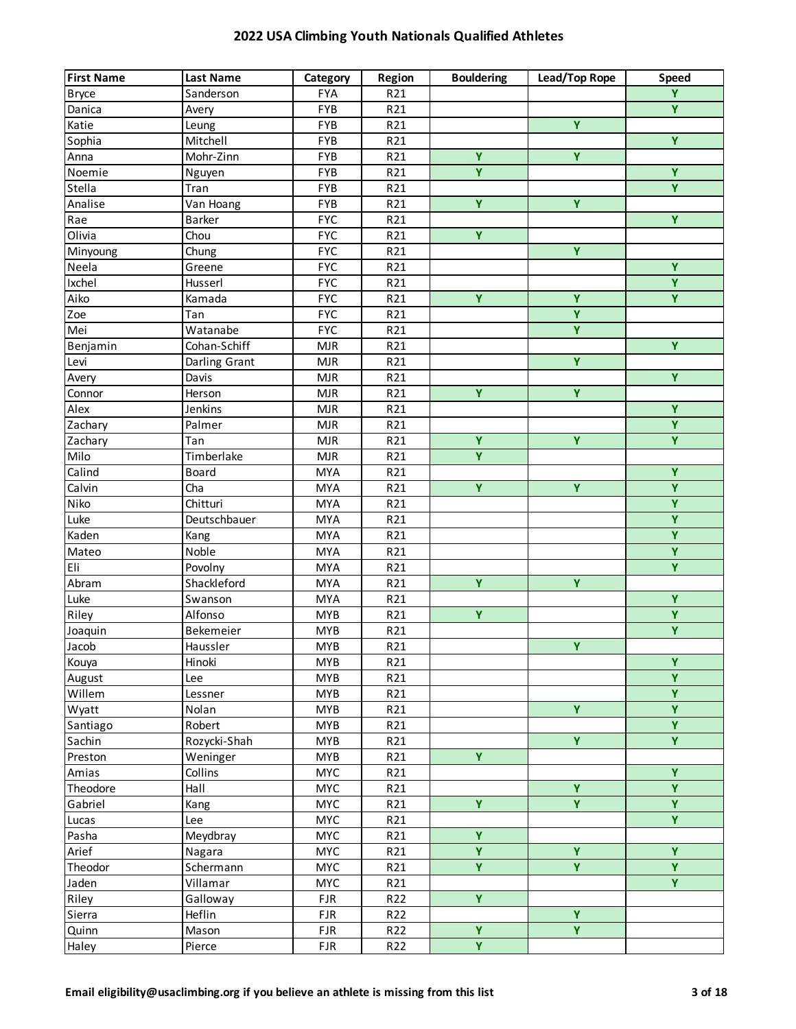| <b>First Name</b> | <b>Last Name</b> | Category   | Region | <b>Bouldering</b>       | Lead/Top Rope           | Speed                   |
|-------------------|------------------|------------|--------|-------------------------|-------------------------|-------------------------|
| <b>Bryce</b>      | Sanderson        | <b>FYA</b> | R21    |                         |                         | $\overline{Y}$          |
| Danica            | Avery            | <b>FYB</b> | R21    |                         |                         | $\overline{Y}$          |
| Katie             | Leung            | <b>FYB</b> | R21    |                         | Ÿ                       |                         |
| Sophia            | Mitchell         | <b>FYB</b> | R21    |                         |                         | $\overline{Y}$          |
| Anna              | Mohr-Zinn        | <b>FYB</b> | R21    | Ÿ                       | Ÿ                       |                         |
| Noemie            | Nguyen           | FYB        | R21    | $\overline{\mathbf{Y}}$ |                         | $\overline{Y}$          |
| Stella            | Tran             | <b>FYB</b> | R21    |                         |                         | $\overline{Y}$          |
| Analise           | Van Hoang        | FYB        | R21    | Ÿ                       | Ÿ                       |                         |
| Rae               | Barker           | <b>FYC</b> | R21    |                         |                         | Ÿ                       |
| Olivia            | Chou             | <b>FYC</b> | R21    | Ÿ                       |                         |                         |
| Minyoung          | Chung            | <b>FYC</b> | R21    |                         | Ÿ                       |                         |
| Neela             | Greene           | <b>FYC</b> | R21    |                         |                         | Ÿ                       |
| <b>Ixchel</b>     | Husserl          | <b>FYC</b> | R21    |                         |                         | Ÿ                       |
| Aiko              | Kamada           | <b>FYC</b> | R21    | $\overline{Y}$          | Ÿ                       | $\overline{Y}$          |
| Zoe               | Tan              | <b>FYC</b> | R21    |                         | $\overline{Y}$          |                         |
| Mei               | Watanabe         | <b>FYC</b> | R21    |                         | $\overline{Y}$          |                         |
| Benjamin          | Cohan-Schiff     | <b>MJR</b> | R21    |                         |                         | $\overline{Y}$          |
| Levi              | Darling Grant    | <b>MJR</b> | R21    |                         | Ÿ                       |                         |
| Avery             | Davis            | <b>MJR</b> | R21    |                         |                         | $\overline{Y}$          |
| Connor            | Herson           | <b>MJR</b> | R21    | $\overline{Y}$          | $\overline{Y}$          |                         |
| Alex              | Jenkins          | <b>MJR</b> | R21    |                         |                         | $\overline{Y}$          |
| Zachary           | Palmer           | <b>MJR</b> | R21    |                         |                         | $\overline{Y}$          |
| Zachary           | Tan              | <b>MJR</b> | R21    | Ÿ                       | Ÿ                       | Ÿ                       |
| Milo              | Timberlake       | <b>MJR</b> | R21    | $\overline{Y}$          |                         |                         |
| Calind            | Board            | <b>MYA</b> | R21    |                         |                         | $\overline{Y}$          |
| Calvin            | Cha              | <b>MYA</b> | R21    | $\overline{Y}$          | $\overline{Y}$          | $\overline{Y}$          |
| Niko              | Chitturi         | <b>MYA</b> | R21    |                         |                         | $\overline{Y}$          |
| Luke              | Deutschbauer     | <b>MYA</b> | R21    |                         |                         | $\overline{Y}$          |
| Kaden             | Kang             | <b>MYA</b> | R21    |                         |                         | $\overline{\mathbf{Y}}$ |
| Mateo             | Noble            | <b>MYA</b> | R21    |                         |                         | $\overline{\mathbf{Y}}$ |
| Eli               | Povolny          | <b>MYA</b> | R21    |                         |                         | $\overline{Y}$          |
| Abram             | Shackleford      | <b>MYA</b> | R21    | Ÿ                       | Ÿ                       |                         |
| Luke              | Swanson          | <b>MYA</b> | R21    |                         |                         | Ÿ                       |
| Riley             | Alfonso          | <b>MYB</b> | R21    | $\overline{Y}$          |                         | $\overline{Y}$          |
| Joaquin           | Bekemeier        | <b>MYB</b> | R21    |                         |                         | $\overline{\mathsf{Y}}$ |
| Jacob             | Haussler         | <b>MYB</b> | R21    |                         | $\overline{Y}$          |                         |
| Kouya             | Hinoki           | <b>MYB</b> | R21    |                         |                         | $\overline{Y}$          |
| August            | Lee              | <b>MYB</b> | R21    |                         |                         | $\overline{Y}$          |
| Willem            | Lessner          | <b>MYB</b> | R21    |                         |                         | $\overline{Y}$          |
| Wyatt             | Nolan            | <b>MYB</b> | R21    |                         | Y                       | $\overline{Y}$          |
| Santiago          | Robert           | <b>MYB</b> | R21    |                         |                         | $\overline{Y}$          |
| Sachin            | Rozycki-Shah     | <b>MYB</b> | R21    |                         | Y                       | $\overline{Y}$          |
| Preston           | Weninger         | <b>MYB</b> | R21    | Ÿ                       |                         |                         |
| Amias             | Collins          | <b>MYC</b> | R21    |                         |                         | Ÿ                       |
| Theodore          | Hall             | <b>MYC</b> | R21    |                         | $\overline{Y}$          | $\overline{Y}$          |
| Gabriel           | Kang             | <b>MYC</b> | R21    | Y.                      | $\overline{\mathbf{Y}}$ | $\overline{Y}$          |
| Lucas             | Lee              | <b>MYC</b> | R21    |                         |                         | $\overline{Y}$          |
| Pasha             | Meydbray         | <b>MYC</b> | R21    | Ÿ                       |                         |                         |
| Arief             | Nagara           | <b>MYC</b> | R21    | $\overline{\mathbf{Y}}$ | Ÿ                       | Ÿ                       |
| Theodor           | Schermann        | <b>MYC</b> | R21    | Y.                      | Y                       | Y.                      |
| Jaden             | Villamar         | <b>MYC</b> | R21    |                         |                         | Y.                      |
| Riley             | Galloway         | <b>FJR</b> | R22    | Ÿ                       |                         |                         |
| Sierra            | Heflin           | <b>FJR</b> | R22    |                         | Ÿ                       |                         |
| Quinn             | Mason            | <b>FJR</b> | R22    | $\overline{Y}$          | $\overline{\mathbf{Y}}$ |                         |
| Haley             | Pierce           | FJR        | R22    | $\overline{\mathbf{Y}}$ |                         |                         |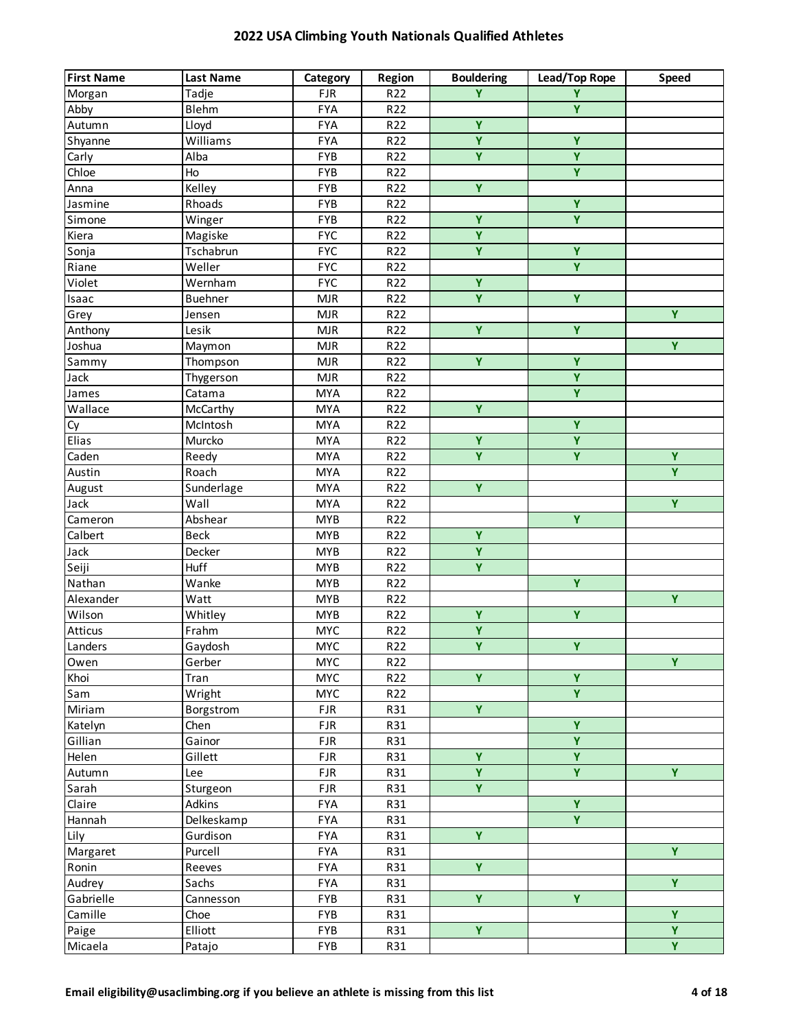| <b>First Name</b> | <b>Last Name</b> | Category   | Region | <b>Bouldering</b>       | Lead/Top Rope           | <b>Speed</b>            |
|-------------------|------------------|------------|--------|-------------------------|-------------------------|-------------------------|
| Morgan            | Tadje            | <b>FJR</b> | R22    | Ÿ                       | Y                       |                         |
| Abby              | Blehm            | <b>FYA</b> | R22    |                         | $\overline{\mathbf{Y}}$ |                         |
| Autumn            | Lloyd            | <b>FYA</b> | R22    | Ÿ                       |                         |                         |
| Shyanne           | Williams         | <b>FYA</b> | R22    | $\overline{Y}$          | $\overline{\mathbf{Y}}$ |                         |
| Carly             | Alba             | <b>FYB</b> | R22    | $\overline{Y}$          | $\overline{\mathbf{Y}}$ |                         |
| Chloe             | Ho               | FYB        | R22    |                         | $\overline{\mathbf{Y}}$ |                         |
| Anna              | Kelley           | <b>FYB</b> | R22    | $\overline{Y}$          |                         |                         |
| Jasmine           | Rhoads           | FYB        | R22    |                         | $\overline{\mathbf{Y}}$ |                         |
| Simone            | Winger           | FYB        | R22    | $\overline{Y}$          | $\overline{\mathbf{Y}}$ |                         |
| Kiera             | Magiske          | <b>FYC</b> | R22    | $\overline{\mathbf{Y}}$ |                         |                         |
| Sonja             | Tschabrun        | <b>FYC</b> | R22    | $\overline{\mathbf{Y}}$ | $\overline{\mathbf{Y}}$ |                         |
| Riane             | Weller           | <b>FYC</b> | R22    |                         | Y                       |                         |
| Violet            | Wernham          | <b>FYC</b> | R22    | Ÿ                       |                         |                         |
| Isaac             | <b>Buehner</b>   | MJR        | R22    | Ÿ                       | $\overline{\mathbf{Y}}$ |                         |
| Grey              | Jensen           | MJR        | R22    |                         |                         | $\overline{Y}$          |
| Anthony           | Lesik            | MJR        | R22    | $\overline{Y}$          | $\overline{\mathsf{Y}}$ |                         |
| Joshua            | Maymon           | MJR        | R22    |                         |                         | $\overline{Y}$          |
| Sammy             | Thompson         | MJR        | R22    | Y.                      | $\overline{Y}$          |                         |
| Jack              | Thygerson        | MJR        | R22    |                         | $\overline{\mathbf{Y}}$ |                         |
| James             | Catama           | <b>MYA</b> | R22    |                         | $\overline{\mathbf{Y}}$ |                         |
| Wallace           | McCarthy         | <b>MYA</b> | R22    | $\overline{\mathbf{Y}}$ |                         |                         |
| Cy                | McIntosh         | <b>MYA</b> | R22    |                         | $\overline{\mathsf{Y}}$ |                         |
| Elias             | Murcko           | <b>MYA</b> | R22    | Ÿ                       | Ÿ                       |                         |
| Caden             | Reedy            | <b>MYA</b> | R22    | $\overline{Y}$          | Y.                      | $\overline{Y}$          |
| Austin            | Roach            | <b>MYA</b> | R22    |                         |                         | $\overline{Y}$          |
| August            | Sunderlage       | <b>MYA</b> | R22    | $\overline{Y}$          |                         |                         |
| Jack              | Wall             | <b>MYA</b> | R22    |                         |                         | $\overline{Y}$          |
| Cameron           | Abshear          | <b>MYB</b> | R22    |                         | Ÿ                       |                         |
| Calbert           | <b>Beck</b>      | <b>MYB</b> | R22    | $\overline{Y}$          |                         |                         |
| Jack              | Decker           | <b>MYB</b> | R22    | $\overline{Y}$          |                         |                         |
| Seiji             | Huff             | <b>MYB</b> | R22    | $\overline{\mathbf{Y}}$ |                         |                         |
| Nathan            | Wanke            | <b>MYB</b> | R22    |                         | $\overline{Y}$          |                         |
| Alexander         | Watt             | <b>MYB</b> | R22    |                         |                         | Y                       |
| Wilson            | Whitley          | <b>MYB</b> | R22    | Ÿ                       | Ÿ                       |                         |
| Atticus           | Frahm            | <b>MYC</b> | R22    | $\overline{\mathbf{Y}}$ |                         |                         |
| Landers           | Gaydosh          | <b>MYC</b> | R22    | $\overline{Y}$          | $\overline{Y}$          |                         |
| Owen              | Gerber           | <b>MYC</b> | R22    |                         |                         | $\overline{Y}$          |
| Khoi              | Tran             | <b>MYC</b> | R22    | $\overline{Y}$          | $\overline{\mathbf{Y}}$ |                         |
| Sam               | Wright           | <b>MYC</b> | R22    |                         | Ÿ                       |                         |
| Miriam            | Borgstrom        | <b>FJR</b> | R31    | $\overline{Y}$          |                         |                         |
| Katelyn           | Chen             | <b>FJR</b> | R31    |                         | Y                       |                         |
| Gillian           | Gainor           | <b>FJR</b> | R31    |                         | $\overline{\mathbf{Y}}$ |                         |
| Helen             | Gillett          | <b>FJR</b> | R31    | Ÿ                       | Ÿ                       |                         |
| Autumn            | Lee              | <b>FJR</b> | R31    | $\overline{Y}$          | Y.                      | Y.                      |
| Sarah             | Sturgeon         | <b>FJR</b> | R31    | $\overline{Y}$          |                         |                         |
| Claire            | Adkins           | <b>FYA</b> | R31    |                         | Y                       |                         |
| Hannah            | Delkeskamp       | <b>FYA</b> | R31    |                         | $\overline{\mathsf{Y}}$ |                         |
| Lily              | Gurdison         | <b>FYA</b> | R31    | Y.                      |                         |                         |
| Margaret          | Purcell          | FYA        | R31    |                         |                         | $\overline{Y}$          |
| Ronin             | Reeves           | FYA        | R31    | $\overline{Y}$          |                         |                         |
| Audrey            | Sachs            | FYA        | R31    |                         |                         | Y.                      |
| Gabrielle         | Cannesson        | FYB        | R31    | Y.                      | $\overline{\mathbf{Y}}$ |                         |
| Camille           | Choe             | FYB        | R31    |                         |                         | Ÿ                       |
| Paige             | Elliott          | FYB        | R31    | Y.                      |                         | $\overline{\mathbf{Y}}$ |
| Micaela           | Patajo           | FYB        | R31    |                         |                         | $\overline{Y}$          |
|                   |                  |            |        |                         |                         |                         |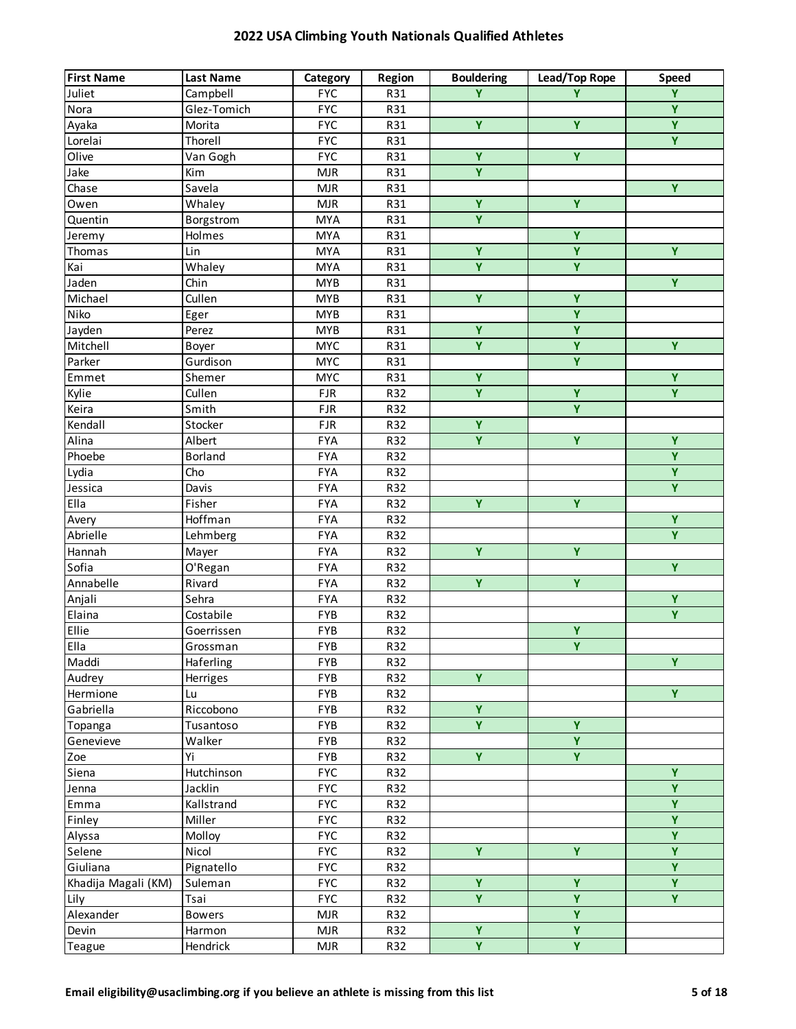| <b>First Name</b>   | <b>Last Name</b> | Category   | Region | <b>Bouldering</b>       | Lead/Top Rope           | <b>Speed</b>            |
|---------------------|------------------|------------|--------|-------------------------|-------------------------|-------------------------|
| Juliet              | Campbell         | <b>FYC</b> | R31    | Ÿ                       | Y                       | $\overline{\mathbf{Y}}$ |
| Nora                | Glez-Tomich      | <b>FYC</b> | R31    |                         |                         | $\overline{Y}$          |
| Ayaka               | Morita           | <b>FYC</b> | R31    | Ÿ                       | Ÿ                       | $\overline{Y}$          |
| Lorelai             | Thorell          | <b>FYC</b> | R31    |                         |                         | $\overline{Y}$          |
| Olive               | Van Gogh         | <b>FYC</b> | R31    | $\overline{\mathbf{Y}}$ | $\overline{Y}$          |                         |
| Jake                | Kim              | <b>MJR</b> | R31    | $\overline{\mathsf{Y}}$ |                         |                         |
| Chase               | Savela           | <b>MJR</b> | R31    |                         |                         | Y                       |
| Owen                | Whaley           | <b>MJR</b> | R31    | Ÿ                       | Ÿ                       |                         |
| Quentin             | Borgstrom        | <b>MYA</b> | R31    | $\overline{Y}$          |                         |                         |
| Jeremy              | Holmes           | <b>MYA</b> | R31    |                         | $\overline{\mathsf{Y}}$ |                         |
| Thomas              | Lin              | <b>MYA</b> | R31    | $\overline{\mathbf{Y}}$ | $\overline{\mathbf{Y}}$ | $\overline{Y}$          |
| Kai                 | Whaley           | <b>MYA</b> | R31    | $\overline{\mathbf{Y}}$ | Y                       |                         |
| Jaden               | Chin             | <b>MYB</b> | R31    |                         |                         | Y                       |
| Michael             | Cullen           | <b>MYB</b> | R31    | Ÿ                       | $\overline{Y}$          |                         |
| Niko                | Eger             | <b>MYB</b> | R31    |                         | $\overline{Y}$          |                         |
| Jayden              | Perez            | <b>MYB</b> | R31    | $\overline{Y}$          | $\overline{\mathsf{Y}}$ |                         |
| Mitchell            | Boyer            | <b>MYC</b> | R31    | $\overline{\mathsf{Y}}$ | $\overline{\mathbf{Y}}$ | $\overline{Y}$          |
| Parker              | Gurdison         | <b>MYC</b> | R31    |                         | $\overline{Y}$          |                         |
| Emmet               | Shemer           | <b>MYC</b> | R31    | $\overline{\mathbf{Y}}$ |                         | $\overline{Y}$          |
| Kylie               | Cullen           | <b>FJR</b> | R32    | $\overline{Y}$          | $\overline{Y}$          | $\overline{Y}$          |
| Keira               | Smith            | <b>FJR</b> | R32    |                         | Y                       |                         |
| Kendall             | Stocker          | <b>FJR</b> | R32    | $\overline{Y}$          |                         |                         |
| Alina               | Albert           | <b>FYA</b> | R32    | Ÿ                       | $\overline{Y}$          | Y                       |
| Phoebe              | <b>Borland</b>   | <b>FYA</b> | R32    |                         |                         | $\overline{Y}$          |
| Lydia               | Cho              | <b>FYA</b> | R32    |                         |                         | $\overline{Y}$          |
| Jessica             | Davis            | <b>FYA</b> | R32    |                         |                         | $\overline{Y}$          |
| Ella                | Fisher           | <b>FYA</b> | R32    | $\overline{Y}$          | $\overline{Y}$          |                         |
| Avery               | Hoffman          | <b>FYA</b> | R32    |                         |                         | Y                       |
| Abrielle            | Lehmberg         | <b>FYA</b> | R32    |                         |                         | $\overline{Y}$          |
| Hannah              | Mayer            | <b>FYA</b> | R32    | $\overline{Y}$          | $\overline{Y}$          |                         |
| Sofia               | O'Regan          | <b>FYA</b> | R32    |                         |                         | $\overline{Y}$          |
| Annabelle           | Rivard           | <b>FYA</b> | R32    | $\overline{Y}$          | $\overline{Y}$          |                         |
| Anjali              | Sehra            | <b>FYA</b> | R32    |                         |                         | Ÿ                       |
| Elaina              | Costabile        | FYB        | R32    |                         |                         | $\overline{Y}$          |
| Ellie               | Goerrissen       | FYB        | R32    |                         | Y                       |                         |
| Ella                | Grossman         | <b>FYB</b> | R32    |                         | $\overline{Y}$          |                         |
| Maddi               | Haferling        | FYB        | R32    |                         |                         | Y.                      |
| Audrey              | Herriges         | <b>FYB</b> | R32    | Ÿ                       |                         |                         |
| Hermione            | Lu               | <b>FYB</b> | R32    |                         |                         | $\overline{Y}$          |
| Gabriella           | Riccobono        | <b>FYB</b> | R32    | $\overline{\mathbf{Y}}$ |                         |                         |
| Topanga             | Tusantoso        | FYB        | R32    | Y.                      | Ÿ                       |                         |
| Genevieve           | Walker           | FYB        | R32    |                         | Y                       |                         |
| Zoe                 | Yi               | FYB        | R32    | Ÿ                       | Y                       |                         |
| Siena               | Hutchinson       | <b>FYC</b> | R32    |                         |                         | Y                       |
| Jenna               | Jacklin          | <b>FYC</b> | R32    |                         |                         | $\overline{Y}$          |
| Emma                | Kallstrand       | <b>FYC</b> | R32    |                         |                         | $\overline{Y}$          |
| Finley              | Miller           | <b>FYC</b> | R32    |                         |                         | $\overline{Y}$          |
| Alyssa              | Molloy           | <b>FYC</b> | R32    |                         |                         | $\overline{Y}$          |
| Selene              | Nicol            | <b>FYC</b> | R32    | $\overline{Y}$          | $\overline{Y}$          | $\overline{Y}$          |
| Giuliana            | Pignatello       | <b>FYC</b> | R32    |                         |                         | $\overline{Y}$          |
| Khadija Magali (KM) | Suleman          | <b>FYC</b> | R32    | Ÿ                       | Ÿ                       | Y                       |
| Lily                | Tsai             | <b>FYC</b> | R32    | Y                       | Y                       | Y.                      |
| Alexander           | <b>Bowers</b>    | <b>MJR</b> | R32    |                         | Y                       |                         |
| Devin               | Harmon           | <b>MJR</b> | R32    | Ÿ                       | Ÿ                       |                         |
| Teague              | Hendrick         | MJR        | R32    | Y                       | $\mathbf Y$             |                         |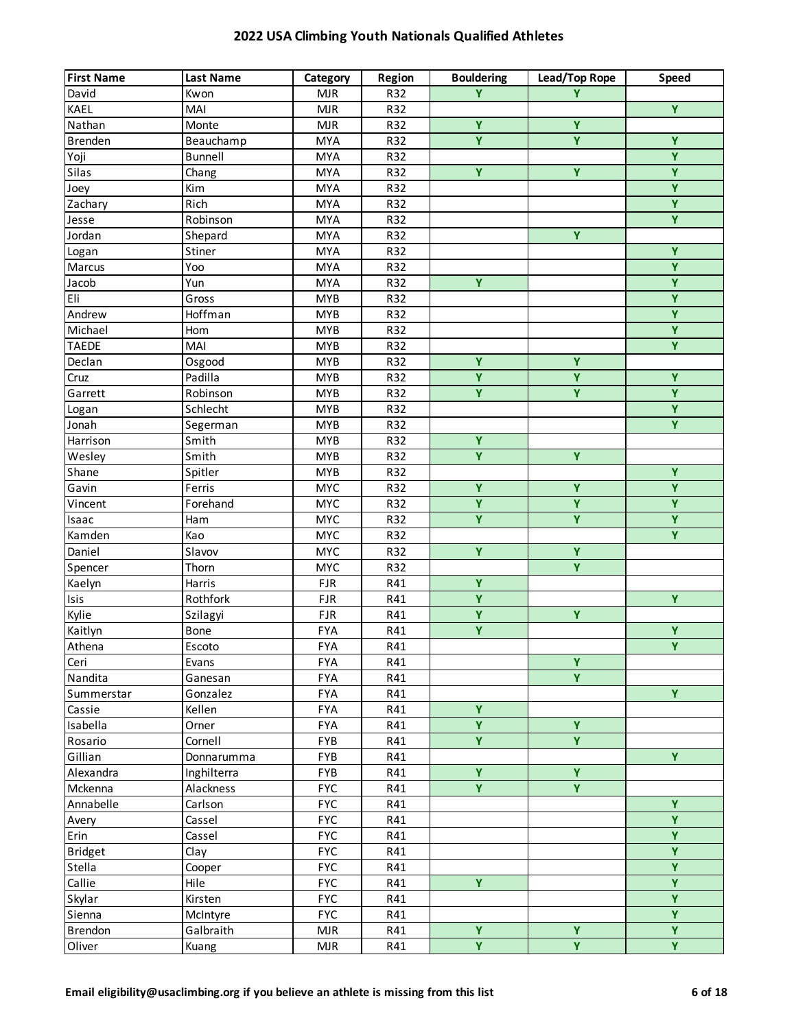| <b>First Name</b> | <b>Last Name</b> | Category   | Region | <b>Bouldering</b>       | Lead/Top Rope           | Speed                   |
|-------------------|------------------|------------|--------|-------------------------|-------------------------|-------------------------|
| David             | Kwon             | <b>MJR</b> | R32    | Y                       | Y                       |                         |
| KAEL              | MAI              | <b>MJR</b> | R32    |                         |                         | $\overline{Y}$          |
| Nathan            | Monte            | <b>MJR</b> | R32    | Ÿ                       | Ÿ                       |                         |
| <b>Brenden</b>    | Beauchamp        | <b>MYA</b> | R32    | $\overline{Y}$          | $\overline{Y}$          | $\overline{Y}$          |
| Yoji              | <b>Bunnell</b>   | <b>MYA</b> | R32    |                         |                         | $\overline{Y}$          |
| Silas             | Chang            | <b>MYA</b> | R32    | $\overline{\mathbf{Y}}$ | $\overline{Y}$          | $\overline{Y}$          |
| Joey              | Kim              | <b>MYA</b> | R32    |                         |                         | $\overline{\mathbf{Y}}$ |
| Zachary           | Rich             | <b>MYA</b> | R32    |                         |                         | $\overline{Y}$          |
| Jesse             | Robinson         | <b>MYA</b> | R32    |                         |                         | $\overline{Y}$          |
| Jordan            | Shepard          | <b>MYA</b> | R32    |                         | Ÿ                       |                         |
| Logan             | Stiner           | <b>MYA</b> | R32    |                         |                         | Y                       |
| Marcus            | Yoo              | <b>MYA</b> | R32    |                         |                         | $\overline{Y}$          |
| Jacob             | Yun              | <b>MYA</b> | R32    | Y.                      |                         | Ÿ                       |
| Eli               | Gross            | <b>MYB</b> | R32    |                         |                         | $\overline{Y}$          |
| Andrew            | Hoffman          | <b>MYB</b> | R32    |                         |                         | $\overline{Y}$          |
| Michael           | Hom              | <b>MYB</b> | R32    |                         |                         | $\overline{Y}$          |
| <b>TAEDE</b>      | MAI              | <b>MYB</b> | R32    |                         |                         | $\overline{Y}$          |
| Declan            | Osgood           | <b>MYB</b> | R32    | Ÿ                       | Ÿ                       |                         |
| Cruz              | Padilla          | <b>MYB</b> | R32    | $\overline{Y}$          | Ÿ                       | $\overline{Y}$          |
| Garrett           | Robinson         | <b>MYB</b> | R32    | $\overline{Y}$          | Y.                      | $\overline{Y}$          |
| Logan             | Schlecht         | <b>MYB</b> | R32    |                         |                         | $\overline{Y}$          |
| Jonah             | Segerman         | <b>MYB</b> | R32    |                         |                         | $\overline{Y}$          |
| Harrison          | Smith            | <b>MYB</b> | R32    | Y.                      |                         |                         |
| Wesley            | Smith            | <b>MYB</b> | R32    | $\overline{Y}$          | $\overline{Y}$          |                         |
| Shane             | Spitler          | <b>MYB</b> | R32    |                         |                         | $\overline{Y}$          |
| Gavin             | Ferris           | <b>MYC</b> | R32    | $\overline{Y}$          | $\overline{Y}$          | $\overline{Y}$          |
| Vincent           | Forehand         | <b>MYC</b> | R32    | $\overline{Y}$          | $\overline{Y}$          | $\overline{Y}$          |
| Isaac             | Ham              | <b>MYC</b> | R32    | Ÿ                       | Ÿ                       | $\overline{Y}$          |
| Kamden            | Kao              | <b>MYC</b> | R32    |                         |                         | $\overline{Y}$          |
| Daniel            | Slavov           | <b>MYC</b> | R32    | Ÿ                       | $\overline{Y}$          |                         |
| Spencer           | Thorn            | <b>MYC</b> | R32    |                         | Ÿ                       |                         |
| Kaelyn            | Harris           | <b>FJR</b> | R41    | Ÿ                       |                         |                         |
| Isis              | Rothfork         | <b>FJR</b> | R41    | Ÿ                       |                         | Y                       |
| Kylie             | Szilagyi         | <b>FJR</b> | R41    | $\overline{Y}$          | $\overline{\mathbf{Y}}$ |                         |
| Kaitlyn           | Bone             | <b>FYA</b> | R41    | Ÿ                       |                         | $\overline{Y}$          |
| Athena            | Escoto           | <b>FYA</b> | R41    |                         |                         | $\overline{Y}$          |
| Ceri              | Evans            | <b>FYA</b> | R41    |                         | $\overline{\mathbf{Y}}$ |                         |
| Nandita           | Ganesan          | <b>FYA</b> | R41    |                         | Ÿ                       |                         |
| Summerstar        | Gonzalez         | <b>FYA</b> | R41    |                         |                         | Y.                      |
| Cassie            | Kellen           | <b>FYA</b> | R41    | Y.                      |                         |                         |
| Isabella          | Orner            | <b>FYA</b> | R41    | $\overline{Y}$          | $\overline{Y}$          |                         |
| Rosario           | Cornell          | <b>FYB</b> | R41    | $\overline{Y}$          | Y                       |                         |
| Gillian           | Donnarumma       | FYB        | R41    |                         |                         | Y.                      |
| Alexandra         | Inghilterra      | <b>FYB</b> | R41    | Ÿ                       | $\overline{\mathbf{Y}}$ |                         |
| Mckenna           | Alackness        | <b>FYC</b> | R41    | $\overline{Y}$          | $\overline{Y}$          |                         |
| Annabelle         | Carlson          | <b>FYC</b> | R41    |                         |                         | Y                       |
| Avery             | Cassel           | <b>FYC</b> | R41    |                         |                         | $\overline{Y}$          |
| Erin              | Cassel           | <b>FYC</b> | R41    |                         |                         | Ÿ                       |
| <b>Bridget</b>    | Clay             | <b>FYC</b> | R41    |                         |                         | $\overline{Y}$          |
| Stella            | Cooper           | <b>FYC</b> | R41    |                         |                         | $\overline{Y}$          |
| Callie            | Hile             | <b>FYC</b> | R41    | Y.                      |                         | Y                       |
| Skylar            | Kirsten          | <b>FYC</b> | R41    |                         |                         | Y                       |
| Sienna            | McIntyre         | <b>FYC</b> | R41    |                         |                         | Y                       |
| Brendon           | Galbraith        | <b>MJR</b> | R41    | Ÿ                       | $\overline{Y}$          | $\overline{Y}$          |
| Oliver            | Kuang            | MJR        | R41    | $\overline{Y}$          | $\overline{\mathbf{Y}}$ | $\overline{Y}$          |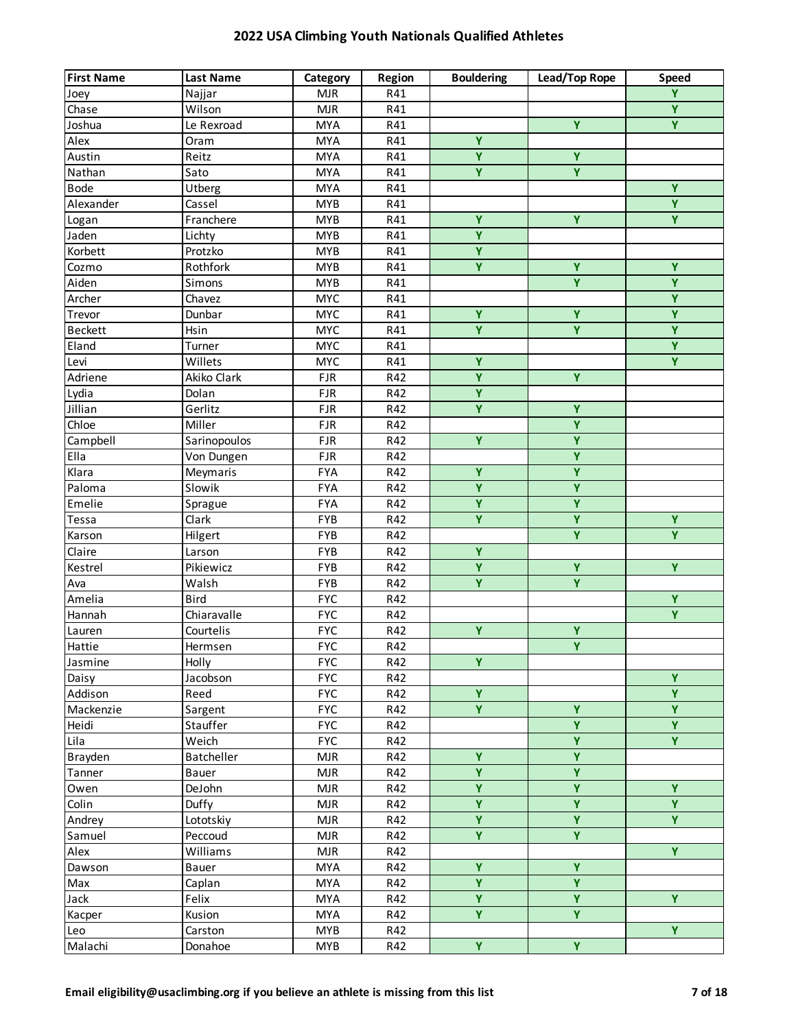| <b>First Name</b> | <b>Last Name</b> | Category   | Region | <b>Bouldering</b>       | Lead/Top Rope           | <b>Speed</b>   |
|-------------------|------------------|------------|--------|-------------------------|-------------------------|----------------|
| Joey              | Najjar           | <b>MJR</b> | R41    |                         |                         | $\overline{Y}$ |
| Chase             | Wilson           | <b>MJR</b> | R41    |                         |                         | $\overline{Y}$ |
| Joshua            | Le Rexroad       | <b>MYA</b> | R41    |                         | Ÿ                       | $\overline{Y}$ |
| Alex              | Oram             | <b>MYA</b> | R41    | $\overline{Y}$          |                         |                |
| Austin            | Reitz            | <b>MYA</b> | R41    | $\overline{Y}$          | $\overline{Y}$          |                |
| Nathan            | Sato             | <b>MYA</b> | R41    | $\overline{\mathsf{Y}}$ | $\overline{\mathbf{Y}}$ |                |
| <b>Bode</b>       | Utberg           | <b>MYA</b> | R41    |                         |                         | $\overline{Y}$ |
| Alexander         | Cassel           | <b>MYB</b> | R41    |                         |                         | $\overline{Y}$ |
| Logan             | Franchere        | <b>MYB</b> | R41    | Y                       | $\overline{Y}$          | $\overline{Y}$ |
| Jaden             | Lichty           | <b>MYB</b> | R41    | $\overline{\mathbf{Y}}$ |                         |                |
| Korbett           | Protzko          | <b>MYB</b> | R41    | $\overline{Y}$          |                         |                |
| Cozmo             | Rothfork         | <b>MYB</b> | R41    | Y.                      | Ÿ                       | Y              |
| Aiden             | Simons           | <b>MYB</b> | R41    |                         | Ÿ                       | Y              |
| Archer            | Chavez           | <b>MYC</b> | R41    |                         |                         | $\overline{Y}$ |
| Trevor            | Dunbar           | <b>MYC</b> | R41    | Ÿ                       | $\overline{Y}$          | $\overline{Y}$ |
| <b>Beckett</b>    | Hsin             | <b>MYC</b> | R41    | $\overline{Y}$          | $\overline{Y}$          | $\overline{Y}$ |
| Eland             | Turner           | <b>MYC</b> | R41    |                         |                         | $\overline{Y}$ |
| Levi              | Willets          | <b>MYC</b> | R41    | Ÿ                       |                         | $\overline{Y}$ |
| Adriene           | Akiko Clark      | <b>FJR</b> | R42    | $\overline{\mathbf{Y}}$ | $\overline{Y}$          |                |
| Lydia             | Dolan            | <b>FJR</b> | R42    | $\overline{Y}$          |                         |                |
| Jillian           | Gerlitz          | <b>FJR</b> | R42    | $\overline{Y}$          | $\overline{Y}$          |                |
| Chloe             | Miller           | <b>FJR</b> | R42    |                         | Y                       |                |
| Campbell          | Sarinopoulos     | <b>FJR</b> | R42    | Ÿ                       | Ÿ                       |                |
| Ella              | Von Dungen       | <b>FJR</b> | R42    |                         | Ÿ                       |                |
| Klara             | Meymaris         | <b>FYA</b> | R42    | $\overline{Y}$          | Ÿ                       |                |
| Paloma            | Slowik           | <b>FYA</b> | R42    | $\overline{Y}$          | $\overline{Y}$          |                |
| Emelie            | Sprague          | <b>FYA</b> | R42    | $\overline{Y}$          | $\overline{Y}$          |                |
| Tessa             | Clark            | FYB        | R42    | Ÿ                       | Ÿ                       | Y              |
| Karson            | Hilgert          | FYB        | R42    |                         | $\overline{Y}$          | $\overline{Y}$ |
| Claire            | Larson           | FYB        | R42    | $\overline{Y}$          |                         |                |
| Kestrel           | Pikiewicz        | FYB        | R42    | $\overline{\mathbf{Y}}$ | $\overline{Y}$          | $\overline{Y}$ |
| Ava               | Walsh            | FYB        | R42    | $\overline{Y}$          | $\overline{Y}$          |                |
| Amelia            | Bird             | <b>FYC</b> | R42    |                         |                         | Y.             |
| Hannah            | Chiaravalle      | <b>FYC</b> | R42    |                         |                         | $\overline{Y}$ |
| Lauren            | Courtelis        | <b>FYC</b> | R42    | Ÿ                       | Y                       |                |
| Hattie            | Hermsen          | <b>FYC</b> | R42    |                         | $\overline{Y}$          |                |
| Jasmine           | Holly            | <b>FYC</b> | R42    | Ÿ                       |                         |                |
| Daisy             | Jacobson         | <b>FYC</b> | R42    |                         |                         | Ÿ              |
| Addison           | Reed             | <b>FYC</b> | R42    | $\overline{\mathbf{Y}}$ |                         | $\overline{Y}$ |
| Mackenzie         | Sargent          | <b>FYC</b> | R42    | $\overline{Y}$          | $\overline{Y}$          | $\overline{Y}$ |
| Heidi             | Stauffer         | <b>FYC</b> | R42    |                         | $\overline{Y}$          | $\overline{Y}$ |
| Lila              | Weich            | <b>FYC</b> | R42    |                         | $\overline{\mathbf{Y}}$ | $\overline{Y}$ |
| Brayden           | Batcheller       | <b>MJR</b> | R42    | Ÿ                       | Ÿ                       |                |
| Tanner            | Bauer            | <b>MJR</b> | R42    | $\overline{\mathbf{Y}}$ | $\overline{\mathbf{Y}}$ |                |
| Owen              | DeJohn           | <b>MJR</b> | R42    | $\overline{\mathbf{Y}}$ | $\overline{\mathbf{Y}}$ | Y              |
| Colin             | Duffy            | <b>MJR</b> | R42    | $\overline{Y}$          | $\overline{\mathbf{Y}}$ | $\overline{Y}$ |
| Andrey            | Lototskiy        | <b>MJR</b> | R42    | $\overline{Y}$          | $\overline{Y}$          | $\overline{Y}$ |
| Samuel            | Peccoud          | <b>MJR</b> | R42    | $\overline{Y}$          | $\overline{\mathbf{Y}}$ |                |
| Alex              | Williams         | <b>MJR</b> | R42    |                         |                         | $\overline{Y}$ |
| Dawson            | Bauer            | <b>MYA</b> | R42    | Ÿ                       | $\overline{Y}$          |                |
| Max               | Caplan           | <b>MYA</b> | R42    | Ÿ                       | Ÿ                       |                |
| Jack              | Felix            | <b>MYA</b> | R42    | Ÿ                       | Y                       | Y.             |
| Kacper            | Kusion           | <b>MYA</b> | R42    | Y.                      | Y                       |                |
| Leo               | Carston          | <b>MYB</b> | R42    |                         |                         | $\overline{Y}$ |
| Malachi           | Donahoe          | <b>MYB</b> | R42    | $\overline{Y}$          | $\overline{\mathbf{Y}}$ |                |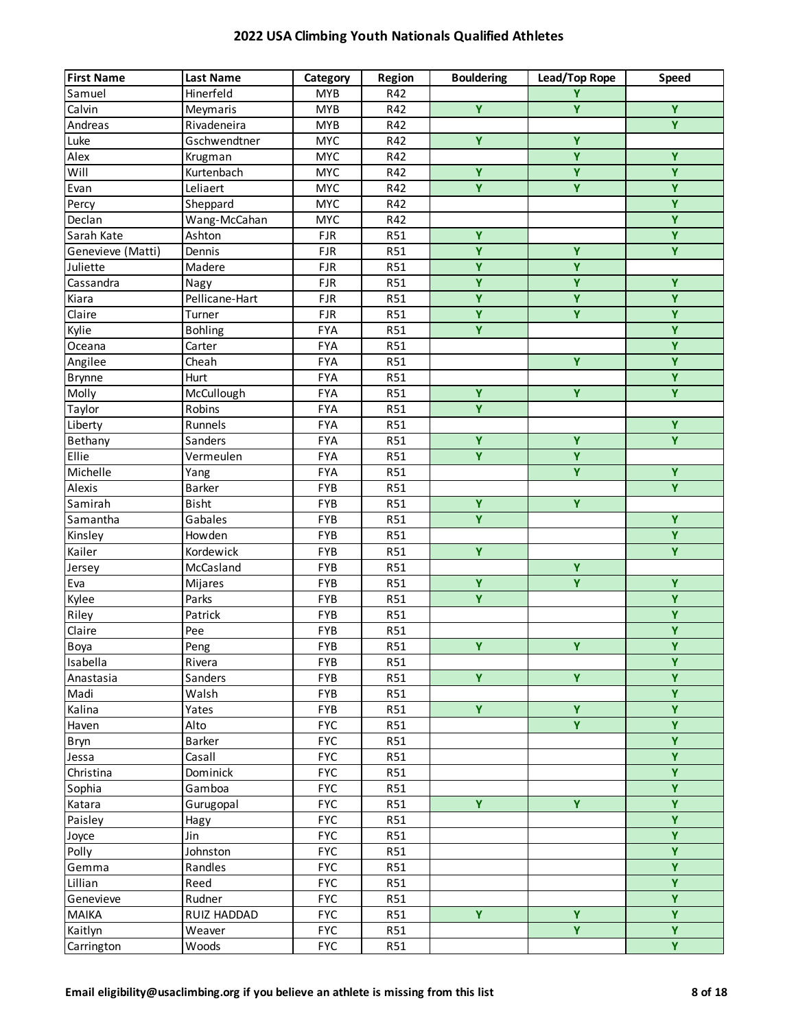| <b>First Name</b> | <b>Last Name</b> | Category   | Region     | <b>Bouldering</b>       | Lead/Top Rope           | Speed                   |
|-------------------|------------------|------------|------------|-------------------------|-------------------------|-------------------------|
| Samuel            | Hinerfeld        | <b>MYB</b> | R42        |                         | Y                       |                         |
| Calvin            | Meymaris         | <b>MYB</b> | R42        | $\overline{Y}$          | Ÿ                       | $\overline{Y}$          |
| Andreas           | Rivadeneira      | <b>MYB</b> | R42        |                         |                         | $\overline{Y}$          |
| Luke              | Gschwendtner     | <b>MYC</b> | R42        | $\overline{Y}$          | $\overline{Y}$          |                         |
| Alex              | Krugman          | <b>MYC</b> | R42        |                         | $\overline{\mathsf{Y}}$ | Ÿ                       |
| Will              | Kurtenbach       | <b>MYC</b> | R42        | Ÿ                       | $\overline{Y}$          | $\overline{\mathsf{Y}}$ |
| Evan              | Leliaert         | <b>MYC</b> | R42        | $\overline{\mathbf{Y}}$ | Y                       | $\overline{\mathsf{Y}}$ |
| Percy             | Sheppard         | <b>MYC</b> | R42        |                         |                         | Ÿ                       |
| Declan            | Wang-McCahan     | <b>MYC</b> | R42        |                         |                         | $\overline{Y}$          |
| Sarah Kate        | Ashton           | <b>FJR</b> | R51        | Ÿ                       |                         | $\overline{Y}$          |
| Genevieve (Matti) | Dennis           | <b>FJR</b> | <b>R51</b> | Ÿ                       | Ÿ                       | Y.                      |
| Juliette          | Madere           | <b>FJR</b> | <b>R51</b> | Ÿ                       | Y                       |                         |
| Cassandra         | Nagy             | <b>FJR</b> | <b>R51</b> | Ÿ                       | Ÿ                       | Ÿ                       |
| Kiara             | Pellicane-Hart   | <b>FJR</b> | <b>R51</b> | $\overline{Y}$          | $\overline{Y}$          | $\overline{Y}$          |
| Claire            | Turner           | <b>FJR</b> | <b>R51</b> | $\overline{\mathbf{Y}}$ | $\overline{Y}$          | $\overline{\mathbf{Y}}$ |
| Kylie             | <b>Bohling</b>   | <b>FYA</b> | R51        | $\overline{Y}$          |                         | $\overline{Y}$          |
| Oceana            | Carter           | <b>FYA</b> | R51        |                         |                         | $\overline{Y}$          |
| Angilee           | Cheah            | <b>FYA</b> | R51        |                         | Ÿ                       | Ÿ                       |
| <b>Brynne</b>     | Hurt             | <b>FYA</b> | R51        |                         |                         | $\overline{Y}$          |
| Molly             | McCullough       | <b>FYA</b> | R51        | $\overline{Y}$          | $\overline{Y}$          | $\overline{Y}$          |
| Taylor            | Robins           | <b>FYA</b> | R51        | Ÿ                       |                         |                         |
| Liberty           | Runnels          | <b>FYA</b> | R51        |                         |                         | $\overline{Y}$          |
| Bethany           | Sanders          | <b>FYA</b> | R51        | Ÿ                       | Ÿ                       | Y                       |
| Ellie             | Vermeulen        | <b>FYA</b> | R51        | $\overline{Y}$          | Ÿ                       |                         |
| Michelle          | Yang             | <b>FYA</b> | <b>R51</b> |                         | $\overline{Y}$          | $\overline{Y}$          |
| Alexis            | Barker           | FYB        | R51        |                         |                         | $\overline{Y}$          |
| Samirah           | Bisht            | <b>FYB</b> | R51        | $\overline{Y}$          | $\overline{Y}$          |                         |
| Samantha          | Gabales          | <b>FYB</b> | R51        | Ÿ                       |                         | Y                       |
| Kinsley           | Howden           | <b>FYB</b> | R51        |                         |                         | $\overline{Y}$          |
| Kailer            | Kordewick        | <b>FYB</b> | R51        | Ÿ                       |                         | $\overline{Y}$          |
| Jersey            | McCasland        | <b>FYB</b> | <b>R51</b> |                         | Ÿ                       |                         |
| Eva               | Mijares          | <b>FYB</b> | <b>R51</b> | Ÿ                       | $\overline{Y}$          | $\overline{Y}$          |
| Kylee             | Parks            | <b>FYB</b> | <b>R51</b> | Ÿ                       |                         | $\overline{Y}$          |
| Riley             | Patrick          | <b>FYB</b> | R51        |                         |                         | $\overline{Y}$          |
| Claire            | Pee              | <b>FYB</b> | <b>R51</b> |                         |                         | $\overline{\mathbf{Y}}$ |
| Boya              | Peng             | <b>FYB</b> | R51        | $\overline{Y}$          | Y                       | $\overline{Y}$          |
| Isabella          | Rivera           | <b>FYB</b> | R51        |                         |                         | Ÿ                       |
| Anastasia         | Sanders          | <b>FYB</b> | R51        | Y.                      | Ÿ                       | $\overline{Y}$          |
| Madi              | Walsh            | FYB        | R51        |                         |                         | $\overline{Y}$          |
| Kalina            | Yates            | <b>FYB</b> | R51        | Y.                      | $\overline{\mathbf{Y}}$ | $\overline{Y}$          |
| Haven             | Alto             | <b>FYC</b> | R51        |                         | Y                       | $\overline{Y}$          |
| Bryn              | Barker           | <b>FYC</b> | R51        |                         |                         | $\overline{Y}$          |
| Jessa             | Casall           | <b>FYC</b> | R51        |                         |                         | Ÿ                       |
| Christina         | Dominick         | <b>FYC</b> | R51        |                         |                         | $\overline{Y}$          |
| Sophia            | Gamboa           | <b>FYC</b> | R51        |                         |                         | $\overline{Y}$          |
| Katara            | Gurugopal        | <b>FYC</b> | R51        | Y                       | $\overline{Y}$          | $\overline{Y}$          |
| Paisley           | Hagy             | <b>FYC</b> | R51        |                         |                         | $\overline{Y}$          |
| Joyce             | Jin              | <b>FYC</b> | R51        |                         |                         | Y                       |
| Polly             | Johnston         | <b>FYC</b> | R51        |                         |                         | Y                       |
| Gemma             | Randles          | <b>FYC</b> | R51        |                         |                         | Y                       |
| Lillian           | Reed             | <b>FYC</b> | R51        |                         |                         | Ÿ                       |
| Genevieve         | Rudner           | <b>FYC</b> | R51        |                         |                         | Ÿ                       |
| <b>MAIKA</b>      | RUIZ HADDAD      | <b>FYC</b> | R51        | Ÿ                       | Ÿ                       | Ÿ                       |
| Kaitlyn           | Weaver           | <b>FYC</b> | R51        |                         | Y.                      | $\overline{Y}$          |
| Carrington        | Woods            | <b>FYC</b> | R51        |                         |                         | $\overline{Y}$          |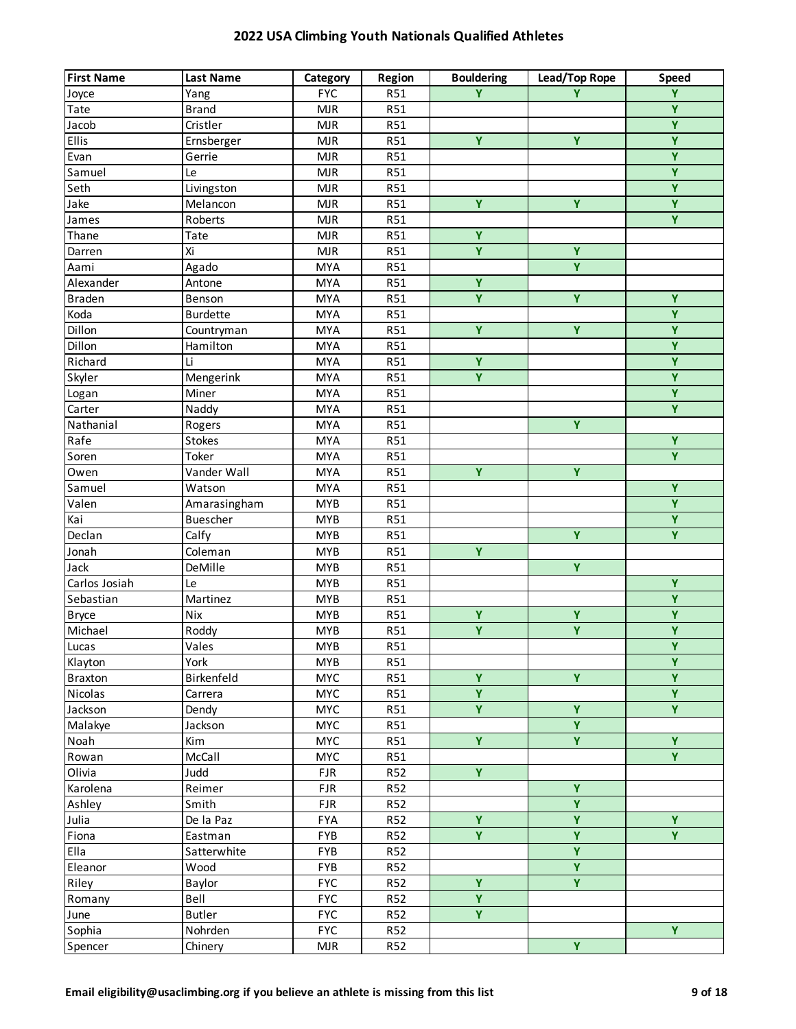| <b>First Name</b> | <b>Last Name</b> | Category   | Region     | <b>Bouldering</b> | Lead/Top Rope           | <b>Speed</b>            |
|-------------------|------------------|------------|------------|-------------------|-------------------------|-------------------------|
| Joyce             | Yang             | <b>FYC</b> | <b>R51</b> | Y                 | Ÿ                       | Ÿ                       |
| Tate              | <b>Brand</b>     | <b>MJR</b> | <b>R51</b> |                   |                         | $\overline{Y}$          |
| Jacob             | Cristler         | <b>MJR</b> | R51        |                   |                         | $\overline{Y}$          |
| <b>Ellis</b>      | Ernsberger       | <b>MJR</b> | R51        | Ÿ                 | Ÿ                       | $\overline{Y}$          |
| Evan              | Gerrie           | <b>MJR</b> | R51        |                   |                         | $\overline{Y}$          |
| Samuel            | Le               | <b>MJR</b> | R51        |                   |                         | $\overline{Y}$          |
| Seth              | Livingston       | <b>MJR</b> | R51        |                   |                         | $\overline{Y}$          |
| Jake              | Melancon         | <b>MJR</b> | R51        | Ÿ                 | Ÿ                       | $\overline{Y}$          |
| James             | Roberts          | <b>MJR</b> | R51        |                   |                         | $\overline{Y}$          |
| Thane             | Tate             | <b>MJR</b> | R51        | $\overline{Y}$    |                         |                         |
| Darren            | Xi               | <b>MJR</b> | R51        | $\overline{Y}$    | $\overline{Y}$          |                         |
| Aami              | Agado            | <b>MYA</b> | R51        |                   | $\overline{Y}$          |                         |
| Alexander         | Antone           | <b>MYA</b> | R51        | Ÿ                 |                         |                         |
| <b>Braden</b>     | Benson           | <b>MYA</b> | R51        | Ÿ                 | Ÿ                       | Y                       |
| Koda              | <b>Burdette</b>  | <b>MYA</b> | R51        |                   |                         | Y                       |
| Dillon            | Countryman       | <b>MYA</b> | <b>R51</b> | Ÿ                 | $\overline{Y}$          | $\overline{Y}$          |
| Dillon            | Hamilton         | <b>MYA</b> | <b>R51</b> |                   |                         | $\overline{Y}$          |
| Richard           | Li               | <b>MYA</b> | R51        | Ÿ                 |                         | Ÿ                       |
| Skyler            | Mengerink        | <b>MYA</b> | <b>R51</b> | $\overline{Y}$    |                         | $\overline{Y}$          |
| Logan             | Miner            | <b>MYA</b> | R51        |                   |                         | $\overline{Y}$          |
| Carter            | Naddy            | <b>MYA</b> | <b>R51</b> |                   |                         | $\overline{Y}$          |
| Nathanial         | Rogers           | <b>MYA</b> | R51        |                   | $\overline{Y}$          |                         |
| Rafe              | Stokes           | <b>MYA</b> | R51        |                   |                         | Y                       |
| Soren             | Toker            | <b>MYA</b> | R51        |                   |                         | $\overline{Y}$          |
| Owen              | Vander Wall      | <b>MYA</b> | R51        | $\overline{Y}$    | Y                       |                         |
| Samuel            | Watson           | <b>MYA</b> | R51        |                   |                         | $\overline{Y}$          |
| Valen             | Amarasingham     | <b>MYB</b> | R51        |                   |                         | $\overline{Y}$          |
| Kai               | <b>Buescher</b>  | <b>MYB</b> | R51        |                   |                         | Y                       |
| Declan            | Calfy            | <b>MYB</b> | R51        |                   | $\overline{Y}$          | $\overline{Y}$          |
| Jonah             | Coleman          | <b>MYB</b> | R51        | $\overline{Y}$    |                         |                         |
| Jack              | DeMille          | <b>MYB</b> | R51        |                   | $\overline{Y}$          |                         |
| Carlos Josiah     | Le               | <b>MYB</b> | R51        |                   |                         | $\overline{Y}$          |
| Sebastian         | Martinez         | <b>MYB</b> | R51        |                   |                         | $\overline{Y}$          |
| <b>Bryce</b>      | Nix              | <b>MYB</b> | R51        | Ÿ                 | Ÿ                       | $\overline{Y}$          |
| Michael           | Roddy            | <b>MYB</b> | R51        | $\overline{Y}$    | $\overline{\mathsf{Y}}$ | $\overline{Y}$          |
| Lucas             | Vales            | <b>MYB</b> | R51        |                   |                         | $\overline{Y}$          |
| Klayton           | York             | <b>MYB</b> | R51        |                   |                         | $\overline{\mathbf{Y}}$ |
| <b>Braxton</b>    | Birkenfeld       | <b>MYC</b> | R51        | Ÿ                 | Ÿ                       | $\overline{Y}$          |
| Nicolas           | Carrera          | <b>MYC</b> | R51        | $\overline{Y}$    |                         | $\overline{Y}$          |
| Jackson           | Dendy            | <b>MYC</b> | R51        | $\overline{Y}$    | $\overline{\mathsf{Y}}$ | $\overline{Y}$          |
| Malakye           | Jackson          | <b>MYC</b> | R51        |                   | $\overline{\mathsf{Y}}$ |                         |
| Noah              | Kim              | <b>MYC</b> | R51        | $\overline{Y}$    | $\overline{\mathbf{Y}}$ | $\overline{Y}$          |
| Rowan             | McCall           | <b>MYC</b> | R51        |                   |                         | $\overline{Y}$          |
| Olivia            | Judd             | <b>FJR</b> | <b>R52</b> | $\overline{Y}$    |                         |                         |
| Karolena          | Reimer           | <b>FJR</b> | <b>R52</b> |                   | $\overline{Y}$          |                         |
| Ashley            | Smith            | <b>FJR</b> | R52        |                   | Y                       |                         |
| Julia             | De la Paz        | <b>FYA</b> | R52        | Ÿ                 | $\overline{Y}$          | $\overline{Y}$          |
| Fiona             | Eastman          | FYB        | R52        | Y.                | Ÿ                       | Y.                      |
| Ella              | Satterwhite      | FYB        | R52        |                   | $\overline{\mathbf{Y}}$ |                         |
| Eleanor           | Wood             | <b>FYB</b> | R52        |                   | $\overline{Y}$          |                         |
| Riley             | Baylor           | <b>FYC</b> | R52        | Ÿ                 | $\overline{Y}$          |                         |
| Romany            | Bell             | <b>FYC</b> | <b>R52</b> | $\overline{Y}$    |                         |                         |
| June              | <b>Butler</b>    | <b>FYC</b> | <b>R52</b> | Y.                |                         |                         |
| Sophia            | Nohrden          | <b>FYC</b> | <b>R52</b> |                   |                         | Y.                      |
| Spencer           | Chinery          | MJR        | <b>R52</b> |                   | $\overline{Y}$          |                         |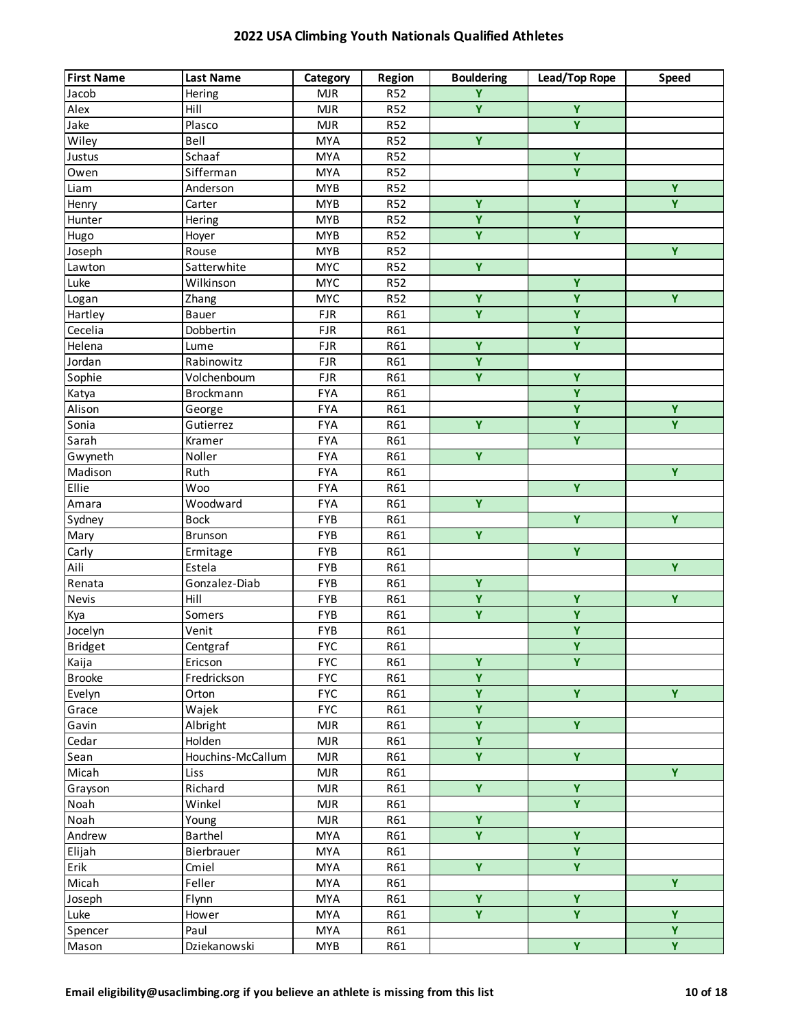| Ÿ<br><b>R52</b><br>Jacob<br><b>MJR</b><br>Hering<br>$\overline{\mathbf{Y}}$<br>$\overline{Y}$<br>Alex<br>Hill<br><b>MJR</b><br><b>R52</b><br>Ÿ<br>Jake<br>Plasco<br><b>MJR</b><br><b>R52</b><br>$\overline{\mathbf{Y}}$<br>Wiley<br>Bell<br><b>MYA</b><br><b>R52</b><br>$\overline{\mathbf{Y}}$<br>Schaaf<br><b>MYA</b><br>R <sub>52</sub><br>Justus<br>$\overline{\mathbf{Y}}$<br>Sifferman<br><b>R52</b><br>Owen<br><b>MYA</b><br>$\overline{Y}$<br>Anderson<br><b>MYB</b><br>R52<br>Liam<br>Ÿ<br>Y<br>Ÿ<br>Carter<br><b>MYB</b><br><b>R52</b><br>Henry<br>$\overline{\mathbf{Y}}$<br>$\overline{Y}$<br>Hering<br><b>MYB</b><br><b>R52</b><br>Hunter<br>$\overline{Y}$<br>$\overline{\mathbf{Y}}$<br><b>MYB</b><br>R52<br>Hugo<br>Hoyer<br>Y<br>Joseph<br><b>MYB</b><br><b>R52</b><br>Rouse<br>Y.<br>Satterwhite<br><b>MYC</b><br><b>R52</b><br>Lawton<br>Y<br>Luke<br>Wilkinson<br><b>MYC</b><br><b>R52</b><br>Ÿ<br>Y<br>Y<br><b>MYC</b><br><b>R52</b><br>Logan<br>Zhang<br>$\overline{Y}$<br>$\overline{Y}$<br>Hartley<br><b>FJR</b><br>R61<br>Bauer<br>$\overline{\mathbf{Y}}$<br>Cecelia<br>Dobbertin<br><b>FJR</b><br>R61<br>$\overline{Y}$<br>$\overline{Y}$<br>Helena<br><b>FJR</b><br>R61<br>Lume<br>Ÿ<br>Jordan<br>Rabinowitz<br><b>FJR</b><br>R61<br>$\overline{Y}$<br>$\overline{Y}$<br>Sophie<br><b>FJR</b><br>Volchenboum<br>R61<br>$\overline{Y}$<br><b>FYA</b><br>Katya<br>Brockmann<br>R61<br>$\overline{Y}$<br>$\overline{Y}$<br>Alison<br><b>FYA</b><br>R61<br>George<br>$\overline{Y}$<br>$\overline{Y}$<br>Ÿ<br>Sonia<br><b>FYA</b><br>Gutierrez<br>R61<br>Y<br><b>FYA</b><br>R61<br>Sarah<br>Kramer<br>$\overline{\mathbf{Y}}$<br>Noller<br><b>FYA</b><br>R61<br>Gwyneth<br>$\overline{Y}$<br>Madison<br><b>FYA</b><br>R61<br>Ruth<br>$\overline{\mathsf{Y}}$<br><b>Ellie</b><br><b>FYA</b><br><b>Woo</b><br>R61<br>$\overline{Y}$<br><b>FYA</b><br>Woodward<br>R61<br>Amara<br>$\overline{Y}$<br>Y<br><b>Bock</b><br>FYB<br>R61<br>Sydney<br>$\overline{Y}$<br>Mary<br>FYB<br>R61<br>Brunson<br>$\overline{Y}$<br>Carly<br>FYB<br>R61<br>Ermitage<br>$\overline{Y}$<br>Aili<br>Estela<br>FYB<br>R61<br>$\overline{\mathbf{Y}}$<br>Gonzalez-Diab<br>FYB<br>Renata<br>R61<br>$\overline{Y}$<br>Ÿ<br>Ÿ<br>Nevis<br>Hill<br>FYB<br>R61<br>$\overline{\mathsf{Y}}$<br>$\overline{Y}$<br>FYB<br>R61<br>Kya<br>Somers<br>$\overline{Y}$<br>FYB<br>Jocelyn<br>R61<br>Venit<br>$\overline{\mathsf{Y}}$<br><b>Bridget</b><br><b>FYC</b><br>Centgraf<br>R61<br>Ÿ<br>Ÿ<br><b>FYC</b><br>Kaija<br>Ericson<br>R61<br>$\overline{\mathsf{Y}}$<br><b>FYC</b><br><b>Brooke</b><br>Fredrickson<br>R61<br>$\overline{Y}$<br>$\overline{Y}$<br>$\overline{Y}$<br><b>FYC</b><br>Evelyn<br>R61<br>Orton<br>$\overline{\mathsf{Y}}$<br>Wajek<br><b>FYC</b><br>R61<br>Grace<br>$\overline{\mathbf{Y}}$<br>$\overline{Y}$<br>Albright<br>R61<br>Gavin<br><b>MJR</b><br>$\overline{\mathbf{Y}}$<br>Holden<br>Cedar<br><b>MJR</b><br>R61<br>Ÿ<br>Ÿ<br>Houchins-McCallum<br>R61<br><b>MJR</b><br>Sean<br>Y<br>Micah<br><b>MJR</b><br>R61<br>Liss<br>$\overline{Y}$<br>Y.<br>Richard<br><b>MJR</b><br>R61<br>Grayson<br>$\overline{Y}$<br>Winkel<br><b>MJR</b><br>R61<br>Noah<br>$\overline{Y}$<br>Noah<br><b>MJR</b><br>R61<br>Young<br>Ÿ<br>Ÿ<br>Andrew<br>Barthel<br>R61<br>MYA<br>$\overline{Y}$<br>Elijah<br>Bierbrauer<br><b>MYA</b><br>R61<br>$\overline{\mathbf{Y}}$<br>$\overline{Y}$<br>Erik<br>R61<br>Cmiel<br>MYA<br>Y<br>Feller<br>Micah<br><b>MYA</b><br>R61<br>Ÿ<br>Ÿ<br>Joseph<br><b>MYA</b><br>R61<br>Flynn<br>Y.<br>Y<br>Y<br>Luke<br><b>MYA</b><br>R61<br>Hower<br>Ÿ<br>Paul<br><b>MYA</b><br>R61<br>Spencer | <b>First Name</b> | <b>Last Name</b> | Category   | Region | <b>Bouldering</b> | Lead/Top Rope  | <b>Speed</b>   |
|----------------------------------------------------------------------------------------------------------------------------------------------------------------------------------------------------------------------------------------------------------------------------------------------------------------------------------------------------------------------------------------------------------------------------------------------------------------------------------------------------------------------------------------------------------------------------------------------------------------------------------------------------------------------------------------------------------------------------------------------------------------------------------------------------------------------------------------------------------------------------------------------------------------------------------------------------------------------------------------------------------------------------------------------------------------------------------------------------------------------------------------------------------------------------------------------------------------------------------------------------------------------------------------------------------------------------------------------------------------------------------------------------------------------------------------------------------------------------------------------------------------------------------------------------------------------------------------------------------------------------------------------------------------------------------------------------------------------------------------------------------------------------------------------------------------------------------------------------------------------------------------------------------------------------------------------------------------------------------------------------------------------------------------------------------------------------------------------------------------------------------------------------------------------------------------------------------------------------------------------------------------------------------------------------------------------------------------------------------------------------------------------------------------------------------------------------------------------------------------------------------------------------------------------------------------------------------------------------------------------------------------------------------------------------------------------------------------------------------------------------------------------------------------------------------------------------------------------------------------------------------------------------------------------------------------------------------------------------------------------------------------------------------------------------------------------------------------------------------------------------------------------------------------------------------------------------------------------------------------------------------------------------------------------------------------------------------------------------------------------------------------------------------------------------------------------------------------------------------------------------------------------------------------------------------------------------------------------------------------------------|-------------------|------------------|------------|--------|-------------------|----------------|----------------|
|                                                                                                                                                                                                                                                                                                                                                                                                                                                                                                                                                                                                                                                                                                                                                                                                                                                                                                                                                                                                                                                                                                                                                                                                                                                                                                                                                                                                                                                                                                                                                                                                                                                                                                                                                                                                                                                                                                                                                                                                                                                                                                                                                                                                                                                                                                                                                                                                                                                                                                                                                                                                                                                                                                                                                                                                                                                                                                                                                                                                                                                                                                                                                                                                                                                                                                                                                                                                                                                                                                                                                                                                                            |                   |                  |            |        |                   |                |                |
|                                                                                                                                                                                                                                                                                                                                                                                                                                                                                                                                                                                                                                                                                                                                                                                                                                                                                                                                                                                                                                                                                                                                                                                                                                                                                                                                                                                                                                                                                                                                                                                                                                                                                                                                                                                                                                                                                                                                                                                                                                                                                                                                                                                                                                                                                                                                                                                                                                                                                                                                                                                                                                                                                                                                                                                                                                                                                                                                                                                                                                                                                                                                                                                                                                                                                                                                                                                                                                                                                                                                                                                                                            |                   |                  |            |        |                   |                |                |
|                                                                                                                                                                                                                                                                                                                                                                                                                                                                                                                                                                                                                                                                                                                                                                                                                                                                                                                                                                                                                                                                                                                                                                                                                                                                                                                                                                                                                                                                                                                                                                                                                                                                                                                                                                                                                                                                                                                                                                                                                                                                                                                                                                                                                                                                                                                                                                                                                                                                                                                                                                                                                                                                                                                                                                                                                                                                                                                                                                                                                                                                                                                                                                                                                                                                                                                                                                                                                                                                                                                                                                                                                            |                   |                  |            |        |                   |                |                |
|                                                                                                                                                                                                                                                                                                                                                                                                                                                                                                                                                                                                                                                                                                                                                                                                                                                                                                                                                                                                                                                                                                                                                                                                                                                                                                                                                                                                                                                                                                                                                                                                                                                                                                                                                                                                                                                                                                                                                                                                                                                                                                                                                                                                                                                                                                                                                                                                                                                                                                                                                                                                                                                                                                                                                                                                                                                                                                                                                                                                                                                                                                                                                                                                                                                                                                                                                                                                                                                                                                                                                                                                                            |                   |                  |            |        |                   |                |                |
|                                                                                                                                                                                                                                                                                                                                                                                                                                                                                                                                                                                                                                                                                                                                                                                                                                                                                                                                                                                                                                                                                                                                                                                                                                                                                                                                                                                                                                                                                                                                                                                                                                                                                                                                                                                                                                                                                                                                                                                                                                                                                                                                                                                                                                                                                                                                                                                                                                                                                                                                                                                                                                                                                                                                                                                                                                                                                                                                                                                                                                                                                                                                                                                                                                                                                                                                                                                                                                                                                                                                                                                                                            |                   |                  |            |        |                   |                |                |
|                                                                                                                                                                                                                                                                                                                                                                                                                                                                                                                                                                                                                                                                                                                                                                                                                                                                                                                                                                                                                                                                                                                                                                                                                                                                                                                                                                                                                                                                                                                                                                                                                                                                                                                                                                                                                                                                                                                                                                                                                                                                                                                                                                                                                                                                                                                                                                                                                                                                                                                                                                                                                                                                                                                                                                                                                                                                                                                                                                                                                                                                                                                                                                                                                                                                                                                                                                                                                                                                                                                                                                                                                            |                   |                  |            |        |                   |                |                |
|                                                                                                                                                                                                                                                                                                                                                                                                                                                                                                                                                                                                                                                                                                                                                                                                                                                                                                                                                                                                                                                                                                                                                                                                                                                                                                                                                                                                                                                                                                                                                                                                                                                                                                                                                                                                                                                                                                                                                                                                                                                                                                                                                                                                                                                                                                                                                                                                                                                                                                                                                                                                                                                                                                                                                                                                                                                                                                                                                                                                                                                                                                                                                                                                                                                                                                                                                                                                                                                                                                                                                                                                                            |                   |                  |            |        |                   |                |                |
|                                                                                                                                                                                                                                                                                                                                                                                                                                                                                                                                                                                                                                                                                                                                                                                                                                                                                                                                                                                                                                                                                                                                                                                                                                                                                                                                                                                                                                                                                                                                                                                                                                                                                                                                                                                                                                                                                                                                                                                                                                                                                                                                                                                                                                                                                                                                                                                                                                                                                                                                                                                                                                                                                                                                                                                                                                                                                                                                                                                                                                                                                                                                                                                                                                                                                                                                                                                                                                                                                                                                                                                                                            |                   |                  |            |        |                   |                |                |
|                                                                                                                                                                                                                                                                                                                                                                                                                                                                                                                                                                                                                                                                                                                                                                                                                                                                                                                                                                                                                                                                                                                                                                                                                                                                                                                                                                                                                                                                                                                                                                                                                                                                                                                                                                                                                                                                                                                                                                                                                                                                                                                                                                                                                                                                                                                                                                                                                                                                                                                                                                                                                                                                                                                                                                                                                                                                                                                                                                                                                                                                                                                                                                                                                                                                                                                                                                                                                                                                                                                                                                                                                            |                   |                  |            |        |                   |                |                |
|                                                                                                                                                                                                                                                                                                                                                                                                                                                                                                                                                                                                                                                                                                                                                                                                                                                                                                                                                                                                                                                                                                                                                                                                                                                                                                                                                                                                                                                                                                                                                                                                                                                                                                                                                                                                                                                                                                                                                                                                                                                                                                                                                                                                                                                                                                                                                                                                                                                                                                                                                                                                                                                                                                                                                                                                                                                                                                                                                                                                                                                                                                                                                                                                                                                                                                                                                                                                                                                                                                                                                                                                                            |                   |                  |            |        |                   |                |                |
|                                                                                                                                                                                                                                                                                                                                                                                                                                                                                                                                                                                                                                                                                                                                                                                                                                                                                                                                                                                                                                                                                                                                                                                                                                                                                                                                                                                                                                                                                                                                                                                                                                                                                                                                                                                                                                                                                                                                                                                                                                                                                                                                                                                                                                                                                                                                                                                                                                                                                                                                                                                                                                                                                                                                                                                                                                                                                                                                                                                                                                                                                                                                                                                                                                                                                                                                                                                                                                                                                                                                                                                                                            |                   |                  |            |        |                   |                |                |
|                                                                                                                                                                                                                                                                                                                                                                                                                                                                                                                                                                                                                                                                                                                                                                                                                                                                                                                                                                                                                                                                                                                                                                                                                                                                                                                                                                                                                                                                                                                                                                                                                                                                                                                                                                                                                                                                                                                                                                                                                                                                                                                                                                                                                                                                                                                                                                                                                                                                                                                                                                                                                                                                                                                                                                                                                                                                                                                                                                                                                                                                                                                                                                                                                                                                                                                                                                                                                                                                                                                                                                                                                            |                   |                  |            |        |                   |                |                |
|                                                                                                                                                                                                                                                                                                                                                                                                                                                                                                                                                                                                                                                                                                                                                                                                                                                                                                                                                                                                                                                                                                                                                                                                                                                                                                                                                                                                                                                                                                                                                                                                                                                                                                                                                                                                                                                                                                                                                                                                                                                                                                                                                                                                                                                                                                                                                                                                                                                                                                                                                                                                                                                                                                                                                                                                                                                                                                                                                                                                                                                                                                                                                                                                                                                                                                                                                                                                                                                                                                                                                                                                                            |                   |                  |            |        |                   |                |                |
|                                                                                                                                                                                                                                                                                                                                                                                                                                                                                                                                                                                                                                                                                                                                                                                                                                                                                                                                                                                                                                                                                                                                                                                                                                                                                                                                                                                                                                                                                                                                                                                                                                                                                                                                                                                                                                                                                                                                                                                                                                                                                                                                                                                                                                                                                                                                                                                                                                                                                                                                                                                                                                                                                                                                                                                                                                                                                                                                                                                                                                                                                                                                                                                                                                                                                                                                                                                                                                                                                                                                                                                                                            |                   |                  |            |        |                   |                |                |
|                                                                                                                                                                                                                                                                                                                                                                                                                                                                                                                                                                                                                                                                                                                                                                                                                                                                                                                                                                                                                                                                                                                                                                                                                                                                                                                                                                                                                                                                                                                                                                                                                                                                                                                                                                                                                                                                                                                                                                                                                                                                                                                                                                                                                                                                                                                                                                                                                                                                                                                                                                                                                                                                                                                                                                                                                                                                                                                                                                                                                                                                                                                                                                                                                                                                                                                                                                                                                                                                                                                                                                                                                            |                   |                  |            |        |                   |                |                |
|                                                                                                                                                                                                                                                                                                                                                                                                                                                                                                                                                                                                                                                                                                                                                                                                                                                                                                                                                                                                                                                                                                                                                                                                                                                                                                                                                                                                                                                                                                                                                                                                                                                                                                                                                                                                                                                                                                                                                                                                                                                                                                                                                                                                                                                                                                                                                                                                                                                                                                                                                                                                                                                                                                                                                                                                                                                                                                                                                                                                                                                                                                                                                                                                                                                                                                                                                                                                                                                                                                                                                                                                                            |                   |                  |            |        |                   |                |                |
|                                                                                                                                                                                                                                                                                                                                                                                                                                                                                                                                                                                                                                                                                                                                                                                                                                                                                                                                                                                                                                                                                                                                                                                                                                                                                                                                                                                                                                                                                                                                                                                                                                                                                                                                                                                                                                                                                                                                                                                                                                                                                                                                                                                                                                                                                                                                                                                                                                                                                                                                                                                                                                                                                                                                                                                                                                                                                                                                                                                                                                                                                                                                                                                                                                                                                                                                                                                                                                                                                                                                                                                                                            |                   |                  |            |        |                   |                |                |
|                                                                                                                                                                                                                                                                                                                                                                                                                                                                                                                                                                                                                                                                                                                                                                                                                                                                                                                                                                                                                                                                                                                                                                                                                                                                                                                                                                                                                                                                                                                                                                                                                                                                                                                                                                                                                                                                                                                                                                                                                                                                                                                                                                                                                                                                                                                                                                                                                                                                                                                                                                                                                                                                                                                                                                                                                                                                                                                                                                                                                                                                                                                                                                                                                                                                                                                                                                                                                                                                                                                                                                                                                            |                   |                  |            |        |                   |                |                |
|                                                                                                                                                                                                                                                                                                                                                                                                                                                                                                                                                                                                                                                                                                                                                                                                                                                                                                                                                                                                                                                                                                                                                                                                                                                                                                                                                                                                                                                                                                                                                                                                                                                                                                                                                                                                                                                                                                                                                                                                                                                                                                                                                                                                                                                                                                                                                                                                                                                                                                                                                                                                                                                                                                                                                                                                                                                                                                                                                                                                                                                                                                                                                                                                                                                                                                                                                                                                                                                                                                                                                                                                                            |                   |                  |            |        |                   |                |                |
|                                                                                                                                                                                                                                                                                                                                                                                                                                                                                                                                                                                                                                                                                                                                                                                                                                                                                                                                                                                                                                                                                                                                                                                                                                                                                                                                                                                                                                                                                                                                                                                                                                                                                                                                                                                                                                                                                                                                                                                                                                                                                                                                                                                                                                                                                                                                                                                                                                                                                                                                                                                                                                                                                                                                                                                                                                                                                                                                                                                                                                                                                                                                                                                                                                                                                                                                                                                                                                                                                                                                                                                                                            |                   |                  |            |        |                   |                |                |
|                                                                                                                                                                                                                                                                                                                                                                                                                                                                                                                                                                                                                                                                                                                                                                                                                                                                                                                                                                                                                                                                                                                                                                                                                                                                                                                                                                                                                                                                                                                                                                                                                                                                                                                                                                                                                                                                                                                                                                                                                                                                                                                                                                                                                                                                                                                                                                                                                                                                                                                                                                                                                                                                                                                                                                                                                                                                                                                                                                                                                                                                                                                                                                                                                                                                                                                                                                                                                                                                                                                                                                                                                            |                   |                  |            |        |                   |                |                |
|                                                                                                                                                                                                                                                                                                                                                                                                                                                                                                                                                                                                                                                                                                                                                                                                                                                                                                                                                                                                                                                                                                                                                                                                                                                                                                                                                                                                                                                                                                                                                                                                                                                                                                                                                                                                                                                                                                                                                                                                                                                                                                                                                                                                                                                                                                                                                                                                                                                                                                                                                                                                                                                                                                                                                                                                                                                                                                                                                                                                                                                                                                                                                                                                                                                                                                                                                                                                                                                                                                                                                                                                                            |                   |                  |            |        |                   |                |                |
|                                                                                                                                                                                                                                                                                                                                                                                                                                                                                                                                                                                                                                                                                                                                                                                                                                                                                                                                                                                                                                                                                                                                                                                                                                                                                                                                                                                                                                                                                                                                                                                                                                                                                                                                                                                                                                                                                                                                                                                                                                                                                                                                                                                                                                                                                                                                                                                                                                                                                                                                                                                                                                                                                                                                                                                                                                                                                                                                                                                                                                                                                                                                                                                                                                                                                                                                                                                                                                                                                                                                                                                                                            |                   |                  |            |        |                   |                |                |
|                                                                                                                                                                                                                                                                                                                                                                                                                                                                                                                                                                                                                                                                                                                                                                                                                                                                                                                                                                                                                                                                                                                                                                                                                                                                                                                                                                                                                                                                                                                                                                                                                                                                                                                                                                                                                                                                                                                                                                                                                                                                                                                                                                                                                                                                                                                                                                                                                                                                                                                                                                                                                                                                                                                                                                                                                                                                                                                                                                                                                                                                                                                                                                                                                                                                                                                                                                                                                                                                                                                                                                                                                            |                   |                  |            |        |                   |                |                |
|                                                                                                                                                                                                                                                                                                                                                                                                                                                                                                                                                                                                                                                                                                                                                                                                                                                                                                                                                                                                                                                                                                                                                                                                                                                                                                                                                                                                                                                                                                                                                                                                                                                                                                                                                                                                                                                                                                                                                                                                                                                                                                                                                                                                                                                                                                                                                                                                                                                                                                                                                                                                                                                                                                                                                                                                                                                                                                                                                                                                                                                                                                                                                                                                                                                                                                                                                                                                                                                                                                                                                                                                                            |                   |                  |            |        |                   |                |                |
|                                                                                                                                                                                                                                                                                                                                                                                                                                                                                                                                                                                                                                                                                                                                                                                                                                                                                                                                                                                                                                                                                                                                                                                                                                                                                                                                                                                                                                                                                                                                                                                                                                                                                                                                                                                                                                                                                                                                                                                                                                                                                                                                                                                                                                                                                                                                                                                                                                                                                                                                                                                                                                                                                                                                                                                                                                                                                                                                                                                                                                                                                                                                                                                                                                                                                                                                                                                                                                                                                                                                                                                                                            |                   |                  |            |        |                   |                |                |
|                                                                                                                                                                                                                                                                                                                                                                                                                                                                                                                                                                                                                                                                                                                                                                                                                                                                                                                                                                                                                                                                                                                                                                                                                                                                                                                                                                                                                                                                                                                                                                                                                                                                                                                                                                                                                                                                                                                                                                                                                                                                                                                                                                                                                                                                                                                                                                                                                                                                                                                                                                                                                                                                                                                                                                                                                                                                                                                                                                                                                                                                                                                                                                                                                                                                                                                                                                                                                                                                                                                                                                                                                            |                   |                  |            |        |                   |                |                |
|                                                                                                                                                                                                                                                                                                                                                                                                                                                                                                                                                                                                                                                                                                                                                                                                                                                                                                                                                                                                                                                                                                                                                                                                                                                                                                                                                                                                                                                                                                                                                                                                                                                                                                                                                                                                                                                                                                                                                                                                                                                                                                                                                                                                                                                                                                                                                                                                                                                                                                                                                                                                                                                                                                                                                                                                                                                                                                                                                                                                                                                                                                                                                                                                                                                                                                                                                                                                                                                                                                                                                                                                                            |                   |                  |            |        |                   |                |                |
|                                                                                                                                                                                                                                                                                                                                                                                                                                                                                                                                                                                                                                                                                                                                                                                                                                                                                                                                                                                                                                                                                                                                                                                                                                                                                                                                                                                                                                                                                                                                                                                                                                                                                                                                                                                                                                                                                                                                                                                                                                                                                                                                                                                                                                                                                                                                                                                                                                                                                                                                                                                                                                                                                                                                                                                                                                                                                                                                                                                                                                                                                                                                                                                                                                                                                                                                                                                                                                                                                                                                                                                                                            |                   |                  |            |        |                   |                |                |
|                                                                                                                                                                                                                                                                                                                                                                                                                                                                                                                                                                                                                                                                                                                                                                                                                                                                                                                                                                                                                                                                                                                                                                                                                                                                                                                                                                                                                                                                                                                                                                                                                                                                                                                                                                                                                                                                                                                                                                                                                                                                                                                                                                                                                                                                                                                                                                                                                                                                                                                                                                                                                                                                                                                                                                                                                                                                                                                                                                                                                                                                                                                                                                                                                                                                                                                                                                                                                                                                                                                                                                                                                            |                   |                  |            |        |                   |                |                |
|                                                                                                                                                                                                                                                                                                                                                                                                                                                                                                                                                                                                                                                                                                                                                                                                                                                                                                                                                                                                                                                                                                                                                                                                                                                                                                                                                                                                                                                                                                                                                                                                                                                                                                                                                                                                                                                                                                                                                                                                                                                                                                                                                                                                                                                                                                                                                                                                                                                                                                                                                                                                                                                                                                                                                                                                                                                                                                                                                                                                                                                                                                                                                                                                                                                                                                                                                                                                                                                                                                                                                                                                                            |                   |                  |            |        |                   |                |                |
|                                                                                                                                                                                                                                                                                                                                                                                                                                                                                                                                                                                                                                                                                                                                                                                                                                                                                                                                                                                                                                                                                                                                                                                                                                                                                                                                                                                                                                                                                                                                                                                                                                                                                                                                                                                                                                                                                                                                                                                                                                                                                                                                                                                                                                                                                                                                                                                                                                                                                                                                                                                                                                                                                                                                                                                                                                                                                                                                                                                                                                                                                                                                                                                                                                                                                                                                                                                                                                                                                                                                                                                                                            |                   |                  |            |        |                   |                |                |
|                                                                                                                                                                                                                                                                                                                                                                                                                                                                                                                                                                                                                                                                                                                                                                                                                                                                                                                                                                                                                                                                                                                                                                                                                                                                                                                                                                                                                                                                                                                                                                                                                                                                                                                                                                                                                                                                                                                                                                                                                                                                                                                                                                                                                                                                                                                                                                                                                                                                                                                                                                                                                                                                                                                                                                                                                                                                                                                                                                                                                                                                                                                                                                                                                                                                                                                                                                                                                                                                                                                                                                                                                            |                   |                  |            |        |                   |                |                |
|                                                                                                                                                                                                                                                                                                                                                                                                                                                                                                                                                                                                                                                                                                                                                                                                                                                                                                                                                                                                                                                                                                                                                                                                                                                                                                                                                                                                                                                                                                                                                                                                                                                                                                                                                                                                                                                                                                                                                                                                                                                                                                                                                                                                                                                                                                                                                                                                                                                                                                                                                                                                                                                                                                                                                                                                                                                                                                                                                                                                                                                                                                                                                                                                                                                                                                                                                                                                                                                                                                                                                                                                                            |                   |                  |            |        |                   |                |                |
|                                                                                                                                                                                                                                                                                                                                                                                                                                                                                                                                                                                                                                                                                                                                                                                                                                                                                                                                                                                                                                                                                                                                                                                                                                                                                                                                                                                                                                                                                                                                                                                                                                                                                                                                                                                                                                                                                                                                                                                                                                                                                                                                                                                                                                                                                                                                                                                                                                                                                                                                                                                                                                                                                                                                                                                                                                                                                                                                                                                                                                                                                                                                                                                                                                                                                                                                                                                                                                                                                                                                                                                                                            |                   |                  |            |        |                   |                |                |
|                                                                                                                                                                                                                                                                                                                                                                                                                                                                                                                                                                                                                                                                                                                                                                                                                                                                                                                                                                                                                                                                                                                                                                                                                                                                                                                                                                                                                                                                                                                                                                                                                                                                                                                                                                                                                                                                                                                                                                                                                                                                                                                                                                                                                                                                                                                                                                                                                                                                                                                                                                                                                                                                                                                                                                                                                                                                                                                                                                                                                                                                                                                                                                                                                                                                                                                                                                                                                                                                                                                                                                                                                            |                   |                  |            |        |                   |                |                |
|                                                                                                                                                                                                                                                                                                                                                                                                                                                                                                                                                                                                                                                                                                                                                                                                                                                                                                                                                                                                                                                                                                                                                                                                                                                                                                                                                                                                                                                                                                                                                                                                                                                                                                                                                                                                                                                                                                                                                                                                                                                                                                                                                                                                                                                                                                                                                                                                                                                                                                                                                                                                                                                                                                                                                                                                                                                                                                                                                                                                                                                                                                                                                                                                                                                                                                                                                                                                                                                                                                                                                                                                                            |                   |                  |            |        |                   |                |                |
|                                                                                                                                                                                                                                                                                                                                                                                                                                                                                                                                                                                                                                                                                                                                                                                                                                                                                                                                                                                                                                                                                                                                                                                                                                                                                                                                                                                                                                                                                                                                                                                                                                                                                                                                                                                                                                                                                                                                                                                                                                                                                                                                                                                                                                                                                                                                                                                                                                                                                                                                                                                                                                                                                                                                                                                                                                                                                                                                                                                                                                                                                                                                                                                                                                                                                                                                                                                                                                                                                                                                                                                                                            |                   |                  |            |        |                   |                |                |
|                                                                                                                                                                                                                                                                                                                                                                                                                                                                                                                                                                                                                                                                                                                                                                                                                                                                                                                                                                                                                                                                                                                                                                                                                                                                                                                                                                                                                                                                                                                                                                                                                                                                                                                                                                                                                                                                                                                                                                                                                                                                                                                                                                                                                                                                                                                                                                                                                                                                                                                                                                                                                                                                                                                                                                                                                                                                                                                                                                                                                                                                                                                                                                                                                                                                                                                                                                                                                                                                                                                                                                                                                            |                   |                  |            |        |                   |                |                |
|                                                                                                                                                                                                                                                                                                                                                                                                                                                                                                                                                                                                                                                                                                                                                                                                                                                                                                                                                                                                                                                                                                                                                                                                                                                                                                                                                                                                                                                                                                                                                                                                                                                                                                                                                                                                                                                                                                                                                                                                                                                                                                                                                                                                                                                                                                                                                                                                                                                                                                                                                                                                                                                                                                                                                                                                                                                                                                                                                                                                                                                                                                                                                                                                                                                                                                                                                                                                                                                                                                                                                                                                                            |                   |                  |            |        |                   |                |                |
|                                                                                                                                                                                                                                                                                                                                                                                                                                                                                                                                                                                                                                                                                                                                                                                                                                                                                                                                                                                                                                                                                                                                                                                                                                                                                                                                                                                                                                                                                                                                                                                                                                                                                                                                                                                                                                                                                                                                                                                                                                                                                                                                                                                                                                                                                                                                                                                                                                                                                                                                                                                                                                                                                                                                                                                                                                                                                                                                                                                                                                                                                                                                                                                                                                                                                                                                                                                                                                                                                                                                                                                                                            |                   |                  |            |        |                   |                |                |
|                                                                                                                                                                                                                                                                                                                                                                                                                                                                                                                                                                                                                                                                                                                                                                                                                                                                                                                                                                                                                                                                                                                                                                                                                                                                                                                                                                                                                                                                                                                                                                                                                                                                                                                                                                                                                                                                                                                                                                                                                                                                                                                                                                                                                                                                                                                                                                                                                                                                                                                                                                                                                                                                                                                                                                                                                                                                                                                                                                                                                                                                                                                                                                                                                                                                                                                                                                                                                                                                                                                                                                                                                            |                   |                  |            |        |                   |                |                |
|                                                                                                                                                                                                                                                                                                                                                                                                                                                                                                                                                                                                                                                                                                                                                                                                                                                                                                                                                                                                                                                                                                                                                                                                                                                                                                                                                                                                                                                                                                                                                                                                                                                                                                                                                                                                                                                                                                                                                                                                                                                                                                                                                                                                                                                                                                                                                                                                                                                                                                                                                                                                                                                                                                                                                                                                                                                                                                                                                                                                                                                                                                                                                                                                                                                                                                                                                                                                                                                                                                                                                                                                                            |                   |                  |            |        |                   |                |                |
|                                                                                                                                                                                                                                                                                                                                                                                                                                                                                                                                                                                                                                                                                                                                                                                                                                                                                                                                                                                                                                                                                                                                                                                                                                                                                                                                                                                                                                                                                                                                                                                                                                                                                                                                                                                                                                                                                                                                                                                                                                                                                                                                                                                                                                                                                                                                                                                                                                                                                                                                                                                                                                                                                                                                                                                                                                                                                                                                                                                                                                                                                                                                                                                                                                                                                                                                                                                                                                                                                                                                                                                                                            |                   |                  |            |        |                   |                |                |
|                                                                                                                                                                                                                                                                                                                                                                                                                                                                                                                                                                                                                                                                                                                                                                                                                                                                                                                                                                                                                                                                                                                                                                                                                                                                                                                                                                                                                                                                                                                                                                                                                                                                                                                                                                                                                                                                                                                                                                                                                                                                                                                                                                                                                                                                                                                                                                                                                                                                                                                                                                                                                                                                                                                                                                                                                                                                                                                                                                                                                                                                                                                                                                                                                                                                                                                                                                                                                                                                                                                                                                                                                            |                   |                  |            |        |                   |                |                |
|                                                                                                                                                                                                                                                                                                                                                                                                                                                                                                                                                                                                                                                                                                                                                                                                                                                                                                                                                                                                                                                                                                                                                                                                                                                                                                                                                                                                                                                                                                                                                                                                                                                                                                                                                                                                                                                                                                                                                                                                                                                                                                                                                                                                                                                                                                                                                                                                                                                                                                                                                                                                                                                                                                                                                                                                                                                                                                                                                                                                                                                                                                                                                                                                                                                                                                                                                                                                                                                                                                                                                                                                                            |                   |                  |            |        |                   |                |                |
|                                                                                                                                                                                                                                                                                                                                                                                                                                                                                                                                                                                                                                                                                                                                                                                                                                                                                                                                                                                                                                                                                                                                                                                                                                                                                                                                                                                                                                                                                                                                                                                                                                                                                                                                                                                                                                                                                                                                                                                                                                                                                                                                                                                                                                                                                                                                                                                                                                                                                                                                                                                                                                                                                                                                                                                                                                                                                                                                                                                                                                                                                                                                                                                                                                                                                                                                                                                                                                                                                                                                                                                                                            |                   |                  |            |        |                   |                |                |
|                                                                                                                                                                                                                                                                                                                                                                                                                                                                                                                                                                                                                                                                                                                                                                                                                                                                                                                                                                                                                                                                                                                                                                                                                                                                                                                                                                                                                                                                                                                                                                                                                                                                                                                                                                                                                                                                                                                                                                                                                                                                                                                                                                                                                                                                                                                                                                                                                                                                                                                                                                                                                                                                                                                                                                                                                                                                                                                                                                                                                                                                                                                                                                                                                                                                                                                                                                                                                                                                                                                                                                                                                            |                   |                  |            |        |                   |                |                |
|                                                                                                                                                                                                                                                                                                                                                                                                                                                                                                                                                                                                                                                                                                                                                                                                                                                                                                                                                                                                                                                                                                                                                                                                                                                                                                                                                                                                                                                                                                                                                                                                                                                                                                                                                                                                                                                                                                                                                                                                                                                                                                                                                                                                                                                                                                                                                                                                                                                                                                                                                                                                                                                                                                                                                                                                                                                                                                                                                                                                                                                                                                                                                                                                                                                                                                                                                                                                                                                                                                                                                                                                                            |                   |                  |            |        |                   |                |                |
|                                                                                                                                                                                                                                                                                                                                                                                                                                                                                                                                                                                                                                                                                                                                                                                                                                                                                                                                                                                                                                                                                                                                                                                                                                                                                                                                                                                                                                                                                                                                                                                                                                                                                                                                                                                                                                                                                                                                                                                                                                                                                                                                                                                                                                                                                                                                                                                                                                                                                                                                                                                                                                                                                                                                                                                                                                                                                                                                                                                                                                                                                                                                                                                                                                                                                                                                                                                                                                                                                                                                                                                                                            |                   |                  |            |        |                   |                |                |
|                                                                                                                                                                                                                                                                                                                                                                                                                                                                                                                                                                                                                                                                                                                                                                                                                                                                                                                                                                                                                                                                                                                                                                                                                                                                                                                                                                                                                                                                                                                                                                                                                                                                                                                                                                                                                                                                                                                                                                                                                                                                                                                                                                                                                                                                                                                                                                                                                                                                                                                                                                                                                                                                                                                                                                                                                                                                                                                                                                                                                                                                                                                                                                                                                                                                                                                                                                                                                                                                                                                                                                                                                            |                   |                  |            |        |                   |                |                |
|                                                                                                                                                                                                                                                                                                                                                                                                                                                                                                                                                                                                                                                                                                                                                                                                                                                                                                                                                                                                                                                                                                                                                                                                                                                                                                                                                                                                                                                                                                                                                                                                                                                                                                                                                                                                                                                                                                                                                                                                                                                                                                                                                                                                                                                                                                                                                                                                                                                                                                                                                                                                                                                                                                                                                                                                                                                                                                                                                                                                                                                                                                                                                                                                                                                                                                                                                                                                                                                                                                                                                                                                                            |                   |                  |            |        |                   |                |                |
|                                                                                                                                                                                                                                                                                                                                                                                                                                                                                                                                                                                                                                                                                                                                                                                                                                                                                                                                                                                                                                                                                                                                                                                                                                                                                                                                                                                                                                                                                                                                                                                                                                                                                                                                                                                                                                                                                                                                                                                                                                                                                                                                                                                                                                                                                                                                                                                                                                                                                                                                                                                                                                                                                                                                                                                                                                                                                                                                                                                                                                                                                                                                                                                                                                                                                                                                                                                                                                                                                                                                                                                                                            |                   |                  |            |        |                   |                |                |
|                                                                                                                                                                                                                                                                                                                                                                                                                                                                                                                                                                                                                                                                                                                                                                                                                                                                                                                                                                                                                                                                                                                                                                                                                                                                                                                                                                                                                                                                                                                                                                                                                                                                                                                                                                                                                                                                                                                                                                                                                                                                                                                                                                                                                                                                                                                                                                                                                                                                                                                                                                                                                                                                                                                                                                                                                                                                                                                                                                                                                                                                                                                                                                                                                                                                                                                                                                                                                                                                                                                                                                                                                            |                   |                  |            |        |                   |                |                |
|                                                                                                                                                                                                                                                                                                                                                                                                                                                                                                                                                                                                                                                                                                                                                                                                                                                                                                                                                                                                                                                                                                                                                                                                                                                                                                                                                                                                                                                                                                                                                                                                                                                                                                                                                                                                                                                                                                                                                                                                                                                                                                                                                                                                                                                                                                                                                                                                                                                                                                                                                                                                                                                                                                                                                                                                                                                                                                                                                                                                                                                                                                                                                                                                                                                                                                                                                                                                                                                                                                                                                                                                                            | Mason             | Dziekanowski     | <b>MYB</b> | R61    |                   | $\overline{Y}$ | $\overline{Y}$ |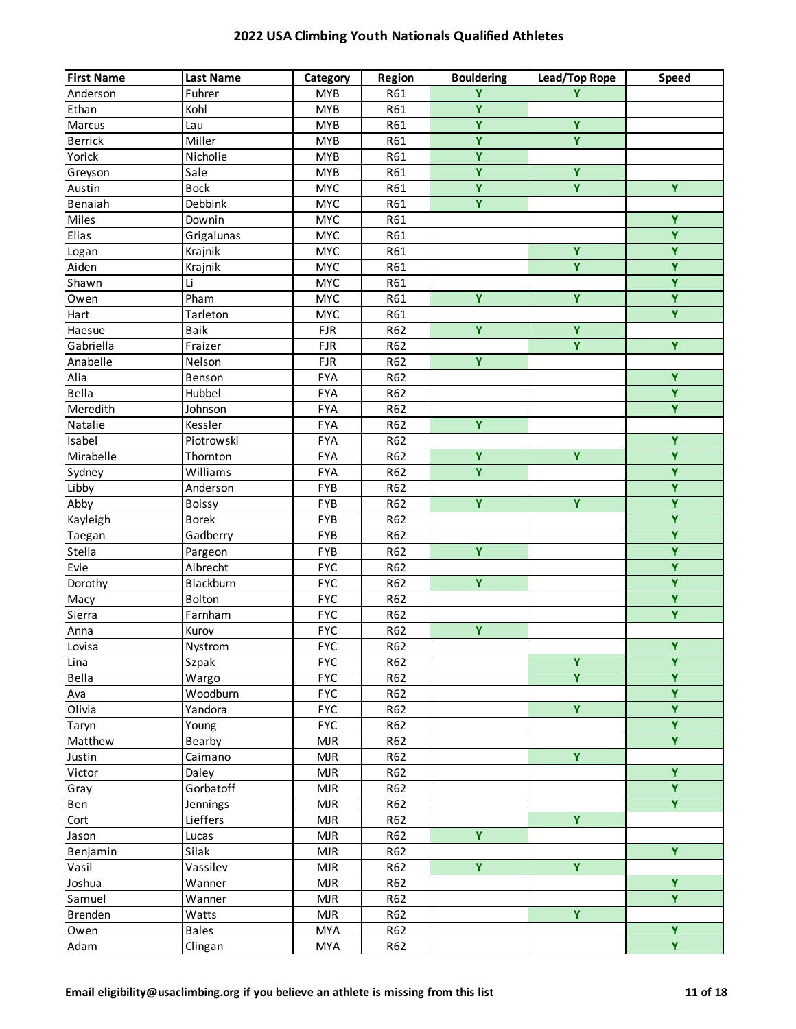| Ϋ<br><b>MYB</b><br>R61<br>Anderson<br>Fuhrer<br>Y<br>$\overline{\mathbf{Y}}$<br>Ethan<br><b>MYB</b><br>R61<br>Kohl<br>$\overline{Y}$<br>Ÿ<br>Marcus<br><b>MYB</b><br>R61<br>Lau<br>$\overline{Y}$<br>$\overline{Y}$<br>Miller<br><b>Berrick</b><br><b>MYB</b><br>R61<br>$\overline{\mathsf{Y}}$<br>Yorick<br>Nicholie<br><b>MYB</b><br>R61<br>$\overline{Y}$<br>$\overline{Y}$<br><b>MYB</b><br>Greyson<br>Sale<br>R61<br>$\overline{Y}$<br>$\overline{Y}$<br>$\overline{Y}$<br>Austin<br><b>MYC</b><br><b>Bock</b><br>R61<br>Ÿ<br>Benaiah<br>Debbink<br><b>MYC</b><br>R61<br>Y<br>Miles<br><b>MYC</b><br>Downin<br>R61<br>$\overline{Y}$<br>Elias<br>Grigalunas<br><b>MYC</b><br>R61<br>$\overline{Y}$<br><b>MYC</b><br>Ÿ<br>Logan<br>Krajnik<br>R61<br>$\overline{Y}$<br>Krajnik<br><b>MYC</b><br>Aiden<br>R61<br>Y<br>Ÿ<br><b>MYC</b><br>Shawn<br>Li<br>R61<br>$\overline{Y}$<br>$\overline{Y}$<br>$\overline{Y}$<br><b>MYC</b><br>Pham<br>R61<br>Owen<br>$\overline{Y}$<br><b>MYC</b><br>Hart<br>R61<br>Tarleton<br>$\overline{Y}$<br>$\overline{Y}$<br>Baik<br>R62<br>Haesue<br><b>FJR</b><br>$\overline{Y}$<br>Y.<br>Gabriella<br><b>FJR</b><br>R62<br>Fraizer<br>Y.<br>Anabelle<br>Nelson<br><b>FJR</b><br>R62<br>$\overline{Y}$<br>Alia<br><b>FYA</b><br>R62<br>Benson<br>$\overline{Y}$<br>Bella<br>Hubbel<br><b>FYA</b><br>R62<br>$\overline{Y}$<br>Meredith<br><b>FYA</b><br>Johnson<br>R62<br>$\overline{Y}$<br><b>FYA</b><br>R62<br>Natalie<br>Kessler<br>Ÿ<br>R62<br>Isabel<br>Piotrowski<br><b>FYA</b><br>$\overline{Y}$<br>$\overline{Y}$<br>$\overline{Y}$<br>Mirabelle<br><b>FYA</b><br>R62<br>Thornton<br>$\overline{Y}$<br>$\overline{Y}$<br>Williams<br>Sydney<br><b>FYA</b><br>R62<br>$\overline{Y}$<br>Libby<br>FYB<br>R62<br>Anderson<br>$\overline{Y}$<br>$\overline{Y}$<br>$\overline{Y}$<br>Abby<br>FYB<br>R62<br><b>Boissy</b><br>$\overline{Y}$<br><b>Borek</b><br>Kayleigh<br>FYB<br>R62<br>$\overline{Y}$<br>Taegan<br><b>FYB</b><br>Gadberry<br>R62<br>$\overline{Y}$<br>$\overline{Y}$ | <b>First Name</b> | <b>Last Name</b> | Category | Region | <b>Bouldering</b> | Lead/Top Rope | Speed |
|-------------------------------------------------------------------------------------------------------------------------------------------------------------------------------------------------------------------------------------------------------------------------------------------------------------------------------------------------------------------------------------------------------------------------------------------------------------------------------------------------------------------------------------------------------------------------------------------------------------------------------------------------------------------------------------------------------------------------------------------------------------------------------------------------------------------------------------------------------------------------------------------------------------------------------------------------------------------------------------------------------------------------------------------------------------------------------------------------------------------------------------------------------------------------------------------------------------------------------------------------------------------------------------------------------------------------------------------------------------------------------------------------------------------------------------------------------------------------------------------------------------------------------------------------------------------------------------------------------------------------------------------------------------------------------------------------------------------------------------------------------------------------------------------------------------------------------------------------------------------------------------------------------------------------------------------------------------------------------------------------------------------------|-------------------|------------------|----------|--------|-------------------|---------------|-------|
|                                                                                                                                                                                                                                                                                                                                                                                                                                                                                                                                                                                                                                                                                                                                                                                                                                                                                                                                                                                                                                                                                                                                                                                                                                                                                                                                                                                                                                                                                                                                                                                                                                                                                                                                                                                                                                                                                                                                                                                                                         |                   |                  |          |        |                   |               |       |
|                                                                                                                                                                                                                                                                                                                                                                                                                                                                                                                                                                                                                                                                                                                                                                                                                                                                                                                                                                                                                                                                                                                                                                                                                                                                                                                                                                                                                                                                                                                                                                                                                                                                                                                                                                                                                                                                                                                                                                                                                         |                   |                  |          |        |                   |               |       |
|                                                                                                                                                                                                                                                                                                                                                                                                                                                                                                                                                                                                                                                                                                                                                                                                                                                                                                                                                                                                                                                                                                                                                                                                                                                                                                                                                                                                                                                                                                                                                                                                                                                                                                                                                                                                                                                                                                                                                                                                                         |                   |                  |          |        |                   |               |       |
|                                                                                                                                                                                                                                                                                                                                                                                                                                                                                                                                                                                                                                                                                                                                                                                                                                                                                                                                                                                                                                                                                                                                                                                                                                                                                                                                                                                                                                                                                                                                                                                                                                                                                                                                                                                                                                                                                                                                                                                                                         |                   |                  |          |        |                   |               |       |
|                                                                                                                                                                                                                                                                                                                                                                                                                                                                                                                                                                                                                                                                                                                                                                                                                                                                                                                                                                                                                                                                                                                                                                                                                                                                                                                                                                                                                                                                                                                                                                                                                                                                                                                                                                                                                                                                                                                                                                                                                         |                   |                  |          |        |                   |               |       |
|                                                                                                                                                                                                                                                                                                                                                                                                                                                                                                                                                                                                                                                                                                                                                                                                                                                                                                                                                                                                                                                                                                                                                                                                                                                                                                                                                                                                                                                                                                                                                                                                                                                                                                                                                                                                                                                                                                                                                                                                                         |                   |                  |          |        |                   |               |       |
|                                                                                                                                                                                                                                                                                                                                                                                                                                                                                                                                                                                                                                                                                                                                                                                                                                                                                                                                                                                                                                                                                                                                                                                                                                                                                                                                                                                                                                                                                                                                                                                                                                                                                                                                                                                                                                                                                                                                                                                                                         |                   |                  |          |        |                   |               |       |
|                                                                                                                                                                                                                                                                                                                                                                                                                                                                                                                                                                                                                                                                                                                                                                                                                                                                                                                                                                                                                                                                                                                                                                                                                                                                                                                                                                                                                                                                                                                                                                                                                                                                                                                                                                                                                                                                                                                                                                                                                         |                   |                  |          |        |                   |               |       |
|                                                                                                                                                                                                                                                                                                                                                                                                                                                                                                                                                                                                                                                                                                                                                                                                                                                                                                                                                                                                                                                                                                                                                                                                                                                                                                                                                                                                                                                                                                                                                                                                                                                                                                                                                                                                                                                                                                                                                                                                                         |                   |                  |          |        |                   |               |       |
|                                                                                                                                                                                                                                                                                                                                                                                                                                                                                                                                                                                                                                                                                                                                                                                                                                                                                                                                                                                                                                                                                                                                                                                                                                                                                                                                                                                                                                                                                                                                                                                                                                                                                                                                                                                                                                                                                                                                                                                                                         |                   |                  |          |        |                   |               |       |
|                                                                                                                                                                                                                                                                                                                                                                                                                                                                                                                                                                                                                                                                                                                                                                                                                                                                                                                                                                                                                                                                                                                                                                                                                                                                                                                                                                                                                                                                                                                                                                                                                                                                                                                                                                                                                                                                                                                                                                                                                         |                   |                  |          |        |                   |               |       |
|                                                                                                                                                                                                                                                                                                                                                                                                                                                                                                                                                                                                                                                                                                                                                                                                                                                                                                                                                                                                                                                                                                                                                                                                                                                                                                                                                                                                                                                                                                                                                                                                                                                                                                                                                                                                                                                                                                                                                                                                                         |                   |                  |          |        |                   |               |       |
|                                                                                                                                                                                                                                                                                                                                                                                                                                                                                                                                                                                                                                                                                                                                                                                                                                                                                                                                                                                                                                                                                                                                                                                                                                                                                                                                                                                                                                                                                                                                                                                                                                                                                                                                                                                                                                                                                                                                                                                                                         |                   |                  |          |        |                   |               |       |
|                                                                                                                                                                                                                                                                                                                                                                                                                                                                                                                                                                                                                                                                                                                                                                                                                                                                                                                                                                                                                                                                                                                                                                                                                                                                                                                                                                                                                                                                                                                                                                                                                                                                                                                                                                                                                                                                                                                                                                                                                         |                   |                  |          |        |                   |               |       |
|                                                                                                                                                                                                                                                                                                                                                                                                                                                                                                                                                                                                                                                                                                                                                                                                                                                                                                                                                                                                                                                                                                                                                                                                                                                                                                                                                                                                                                                                                                                                                                                                                                                                                                                                                                                                                                                                                                                                                                                                                         |                   |                  |          |        |                   |               |       |
|                                                                                                                                                                                                                                                                                                                                                                                                                                                                                                                                                                                                                                                                                                                                                                                                                                                                                                                                                                                                                                                                                                                                                                                                                                                                                                                                                                                                                                                                                                                                                                                                                                                                                                                                                                                                                                                                                                                                                                                                                         |                   |                  |          |        |                   |               |       |
|                                                                                                                                                                                                                                                                                                                                                                                                                                                                                                                                                                                                                                                                                                                                                                                                                                                                                                                                                                                                                                                                                                                                                                                                                                                                                                                                                                                                                                                                                                                                                                                                                                                                                                                                                                                                                                                                                                                                                                                                                         |                   |                  |          |        |                   |               |       |
|                                                                                                                                                                                                                                                                                                                                                                                                                                                                                                                                                                                                                                                                                                                                                                                                                                                                                                                                                                                                                                                                                                                                                                                                                                                                                                                                                                                                                                                                                                                                                                                                                                                                                                                                                                                                                                                                                                                                                                                                                         |                   |                  |          |        |                   |               |       |
|                                                                                                                                                                                                                                                                                                                                                                                                                                                                                                                                                                                                                                                                                                                                                                                                                                                                                                                                                                                                                                                                                                                                                                                                                                                                                                                                                                                                                                                                                                                                                                                                                                                                                                                                                                                                                                                                                                                                                                                                                         |                   |                  |          |        |                   |               |       |
|                                                                                                                                                                                                                                                                                                                                                                                                                                                                                                                                                                                                                                                                                                                                                                                                                                                                                                                                                                                                                                                                                                                                                                                                                                                                                                                                                                                                                                                                                                                                                                                                                                                                                                                                                                                                                                                                                                                                                                                                                         |                   |                  |          |        |                   |               |       |
|                                                                                                                                                                                                                                                                                                                                                                                                                                                                                                                                                                                                                                                                                                                                                                                                                                                                                                                                                                                                                                                                                                                                                                                                                                                                                                                                                                                                                                                                                                                                                                                                                                                                                                                                                                                                                                                                                                                                                                                                                         |                   |                  |          |        |                   |               |       |
|                                                                                                                                                                                                                                                                                                                                                                                                                                                                                                                                                                                                                                                                                                                                                                                                                                                                                                                                                                                                                                                                                                                                                                                                                                                                                                                                                                                                                                                                                                                                                                                                                                                                                                                                                                                                                                                                                                                                                                                                                         |                   |                  |          |        |                   |               |       |
|                                                                                                                                                                                                                                                                                                                                                                                                                                                                                                                                                                                                                                                                                                                                                                                                                                                                                                                                                                                                                                                                                                                                                                                                                                                                                                                                                                                                                                                                                                                                                                                                                                                                                                                                                                                                                                                                                                                                                                                                                         |                   |                  |          |        |                   |               |       |
|                                                                                                                                                                                                                                                                                                                                                                                                                                                                                                                                                                                                                                                                                                                                                                                                                                                                                                                                                                                                                                                                                                                                                                                                                                                                                                                                                                                                                                                                                                                                                                                                                                                                                                                                                                                                                                                                                                                                                                                                                         |                   |                  |          |        |                   |               |       |
|                                                                                                                                                                                                                                                                                                                                                                                                                                                                                                                                                                                                                                                                                                                                                                                                                                                                                                                                                                                                                                                                                                                                                                                                                                                                                                                                                                                                                                                                                                                                                                                                                                                                                                                                                                                                                                                                                                                                                                                                                         |                   |                  |          |        |                   |               |       |
|                                                                                                                                                                                                                                                                                                                                                                                                                                                                                                                                                                                                                                                                                                                                                                                                                                                                                                                                                                                                                                                                                                                                                                                                                                                                                                                                                                                                                                                                                                                                                                                                                                                                                                                                                                                                                                                                                                                                                                                                                         |                   |                  |          |        |                   |               |       |
|                                                                                                                                                                                                                                                                                                                                                                                                                                                                                                                                                                                                                                                                                                                                                                                                                                                                                                                                                                                                                                                                                                                                                                                                                                                                                                                                                                                                                                                                                                                                                                                                                                                                                                                                                                                                                                                                                                                                                                                                                         |                   |                  |          |        |                   |               |       |
|                                                                                                                                                                                                                                                                                                                                                                                                                                                                                                                                                                                                                                                                                                                                                                                                                                                                                                                                                                                                                                                                                                                                                                                                                                                                                                                                                                                                                                                                                                                                                                                                                                                                                                                                                                                                                                                                                                                                                                                                                         |                   |                  |          |        |                   |               |       |
|                                                                                                                                                                                                                                                                                                                                                                                                                                                                                                                                                                                                                                                                                                                                                                                                                                                                                                                                                                                                                                                                                                                                                                                                                                                                                                                                                                                                                                                                                                                                                                                                                                                                                                                                                                                                                                                                                                                                                                                                                         |                   |                  |          |        |                   |               |       |
|                                                                                                                                                                                                                                                                                                                                                                                                                                                                                                                                                                                                                                                                                                                                                                                                                                                                                                                                                                                                                                                                                                                                                                                                                                                                                                                                                                                                                                                                                                                                                                                                                                                                                                                                                                                                                                                                                                                                                                                                                         | Stella            | Pargeon          | FYB      | R62    |                   |               |       |
| $\overline{Y}$<br>Evie<br>Albrecht<br><b>FYC</b><br>R62                                                                                                                                                                                                                                                                                                                                                                                                                                                                                                                                                                                                                                                                                                                                                                                                                                                                                                                                                                                                                                                                                                                                                                                                                                                                                                                                                                                                                                                                                                                                                                                                                                                                                                                                                                                                                                                                                                                                                                 |                   |                  |          |        |                   |               |       |
| $\overline{Y}$<br><b>FYC</b><br>Ÿ<br>Dorothy<br>Blackburn<br>R62                                                                                                                                                                                                                                                                                                                                                                                                                                                                                                                                                                                                                                                                                                                                                                                                                                                                                                                                                                                                                                                                                                                                                                                                                                                                                                                                                                                                                                                                                                                                                                                                                                                                                                                                                                                                                                                                                                                                                        |                   |                  |          |        |                   |               |       |
| $\overline{Y}$<br><b>FYC</b><br>Bolton<br>R62<br>Macy                                                                                                                                                                                                                                                                                                                                                                                                                                                                                                                                                                                                                                                                                                                                                                                                                                                                                                                                                                                                                                                                                                                                                                                                                                                                                                                                                                                                                                                                                                                                                                                                                                                                                                                                                                                                                                                                                                                                                                   |                   |                  |          |        |                   |               |       |
| $\overline{Y}$<br><b>FYC</b><br>Sierra<br>Farnham<br>R62                                                                                                                                                                                                                                                                                                                                                                                                                                                                                                                                                                                                                                                                                                                                                                                                                                                                                                                                                                                                                                                                                                                                                                                                                                                                                                                                                                                                                                                                                                                                                                                                                                                                                                                                                                                                                                                                                                                                                                |                   |                  |          |        |                   |               |       |
| Ÿ<br><b>FYC</b><br>R62<br>Anna<br>Kurov                                                                                                                                                                                                                                                                                                                                                                                                                                                                                                                                                                                                                                                                                                                                                                                                                                                                                                                                                                                                                                                                                                                                                                                                                                                                                                                                                                                                                                                                                                                                                                                                                                                                                                                                                                                                                                                                                                                                                                                 |                   |                  |          |        |                   |               |       |
| $\overline{Y}$<br><b>FYC</b><br>Lovisa<br>R62<br>Nystrom                                                                                                                                                                                                                                                                                                                                                                                                                                                                                                                                                                                                                                                                                                                                                                                                                                                                                                                                                                                                                                                                                                                                                                                                                                                                                                                                                                                                                                                                                                                                                                                                                                                                                                                                                                                                                                                                                                                                                                |                   |                  |          |        |                   |               |       |
| $\overline{\mathbf{Y}}$<br>$\overline{Y}$<br><b>FYC</b><br>Lina<br>Szpak<br>R62                                                                                                                                                                                                                                                                                                                                                                                                                                                                                                                                                                                                                                                                                                                                                                                                                                                                                                                                                                                                                                                                                                                                                                                                                                                                                                                                                                                                                                                                                                                                                                                                                                                                                                                                                                                                                                                                                                                                         |                   |                  |          |        |                   |               |       |
| $\overline{\mathbf{Y}}$<br>Ÿ<br>Bella<br><b>FYC</b><br>R62<br>Wargo                                                                                                                                                                                                                                                                                                                                                                                                                                                                                                                                                                                                                                                                                                                                                                                                                                                                                                                                                                                                                                                                                                                                                                                                                                                                                                                                                                                                                                                                                                                                                                                                                                                                                                                                                                                                                                                                                                                                                     |                   |                  |          |        |                   |               |       |
| $\overline{Y}$<br>Woodburn<br><b>FYC</b><br>R62<br>Ava                                                                                                                                                                                                                                                                                                                                                                                                                                                                                                                                                                                                                                                                                                                                                                                                                                                                                                                                                                                                                                                                                                                                                                                                                                                                                                                                                                                                                                                                                                                                                                                                                                                                                                                                                                                                                                                                                                                                                                  |                   |                  |          |        |                   |               |       |
| $\overline{Y}$<br>$\overline{Y}$<br>Olivia<br><b>FYC</b><br>R62<br>Yandora                                                                                                                                                                                                                                                                                                                                                                                                                                                                                                                                                                                                                                                                                                                                                                                                                                                                                                                                                                                                                                                                                                                                                                                                                                                                                                                                                                                                                                                                                                                                                                                                                                                                                                                                                                                                                                                                                                                                              |                   |                  |          |        |                   |               |       |
| $\overline{Y}$<br><b>FYC</b><br>R62<br>Taryn<br>Young                                                                                                                                                                                                                                                                                                                                                                                                                                                                                                                                                                                                                                                                                                                                                                                                                                                                                                                                                                                                                                                                                                                                                                                                                                                                                                                                                                                                                                                                                                                                                                                                                                                                                                                                                                                                                                                                                                                                                                   |                   |                  |          |        |                   |               |       |
| $\overline{Y}$<br>Bearby<br>Matthew<br><b>MJR</b><br>R62                                                                                                                                                                                                                                                                                                                                                                                                                                                                                                                                                                                                                                                                                                                                                                                                                                                                                                                                                                                                                                                                                                                                                                                                                                                                                                                                                                                                                                                                                                                                                                                                                                                                                                                                                                                                                                                                                                                                                                |                   |                  |          |        |                   |               |       |
| Ÿ<br>R62<br>Justin<br>Caimano<br><b>MJR</b>                                                                                                                                                                                                                                                                                                                                                                                                                                                                                                                                                                                                                                                                                                                                                                                                                                                                                                                                                                                                                                                                                                                                                                                                                                                                                                                                                                                                                                                                                                                                                                                                                                                                                                                                                                                                                                                                                                                                                                             |                   |                  |          |        |                   |               |       |
| Ÿ<br>Victor<br><b>MJR</b><br>R62<br>Daley                                                                                                                                                                                                                                                                                                                                                                                                                                                                                                                                                                                                                                                                                                                                                                                                                                                                                                                                                                                                                                                                                                                                                                                                                                                                                                                                                                                                                                                                                                                                                                                                                                                                                                                                                                                                                                                                                                                                                                               |                   |                  |          |        |                   |               |       |
| $\overline{Y}$<br>Gorbatoff<br><b>MJR</b><br>R62<br>Gray                                                                                                                                                                                                                                                                                                                                                                                                                                                                                                                                                                                                                                                                                                                                                                                                                                                                                                                                                                                                                                                                                                                                                                                                                                                                                                                                                                                                                                                                                                                                                                                                                                                                                                                                                                                                                                                                                                                                                                |                   |                  |          |        |                   |               |       |
| $\overline{Y}$<br><b>MJR</b><br>R62<br>Ben<br>Jennings                                                                                                                                                                                                                                                                                                                                                                                                                                                                                                                                                                                                                                                                                                                                                                                                                                                                                                                                                                                                                                                                                                                                                                                                                                                                                                                                                                                                                                                                                                                                                                                                                                                                                                                                                                                                                                                                                                                                                                  |                   |                  |          |        |                   |               |       |
| $\overline{Y}$<br>Lieffers<br><b>MJR</b><br>R62<br>Cort                                                                                                                                                                                                                                                                                                                                                                                                                                                                                                                                                                                                                                                                                                                                                                                                                                                                                                                                                                                                                                                                                                                                                                                                                                                                                                                                                                                                                                                                                                                                                                                                                                                                                                                                                                                                                                                                                                                                                                 |                   |                  |          |        |                   |               |       |
| Ÿ<br><b>MJR</b><br>R62<br>Jason<br>Lucas                                                                                                                                                                                                                                                                                                                                                                                                                                                                                                                                                                                                                                                                                                                                                                                                                                                                                                                                                                                                                                                                                                                                                                                                                                                                                                                                                                                                                                                                                                                                                                                                                                                                                                                                                                                                                                                                                                                                                                                |                   |                  |          |        |                   |               |       |
| Y.<br>Silak<br><b>MJR</b><br>R62<br>Benjamin                                                                                                                                                                                                                                                                                                                                                                                                                                                                                                                                                                                                                                                                                                                                                                                                                                                                                                                                                                                                                                                                                                                                                                                                                                                                                                                                                                                                                                                                                                                                                                                                                                                                                                                                                                                                                                                                                                                                                                            |                   |                  |          |        |                   |               |       |
| $\overline{\mathbf{Y}}$<br>$\overline{Y}$<br>Vassilev<br>Vasil<br><b>MJR</b><br>R62                                                                                                                                                                                                                                                                                                                                                                                                                                                                                                                                                                                                                                                                                                                                                                                                                                                                                                                                                                                                                                                                                                                                                                                                                                                                                                                                                                                                                                                                                                                                                                                                                                                                                                                                                                                                                                                                                                                                     |                   |                  |          |        |                   |               |       |
| Ÿ<br>Joshua<br><b>MJR</b><br>R62<br>Wanner                                                                                                                                                                                                                                                                                                                                                                                                                                                                                                                                                                                                                                                                                                                                                                                                                                                                                                                                                                                                                                                                                                                                                                                                                                                                                                                                                                                                                                                                                                                                                                                                                                                                                                                                                                                                                                                                                                                                                                              |                   |                  |          |        |                   |               |       |
| Y.<br><b>MJR</b><br>Samuel<br>Wanner<br>R62                                                                                                                                                                                                                                                                                                                                                                                                                                                                                                                                                                                                                                                                                                                                                                                                                                                                                                                                                                                                                                                                                                                                                                                                                                                                                                                                                                                                                                                                                                                                                                                                                                                                                                                                                                                                                                                                                                                                                                             |                   |                  |          |        |                   |               |       |
| Ÿ<br><b>MJR</b><br>Brenden<br>Watts<br>R62                                                                                                                                                                                                                                                                                                                                                                                                                                                                                                                                                                                                                                                                                                                                                                                                                                                                                                                                                                                                                                                                                                                                                                                                                                                                                                                                                                                                                                                                                                                                                                                                                                                                                                                                                                                                                                                                                                                                                                              |                   |                  |          |        |                   |               |       |
| $\overline{Y}$<br><b>MYA</b><br>Owen<br><b>Bales</b><br>R62                                                                                                                                                                                                                                                                                                                                                                                                                                                                                                                                                                                                                                                                                                                                                                                                                                                                                                                                                                                                                                                                                                                                                                                                                                                                                                                                                                                                                                                                                                                                                                                                                                                                                                                                                                                                                                                                                                                                                             |                   |                  |          |        |                   |               |       |
| $\overline{\mathbf{Y}}$<br><b>MYA</b><br>Adam<br>R62<br>Clingan                                                                                                                                                                                                                                                                                                                                                                                                                                                                                                                                                                                                                                                                                                                                                                                                                                                                                                                                                                                                                                                                                                                                                                                                                                                                                                                                                                                                                                                                                                                                                                                                                                                                                                                                                                                                                                                                                                                                                         |                   |                  |          |        |                   |               |       |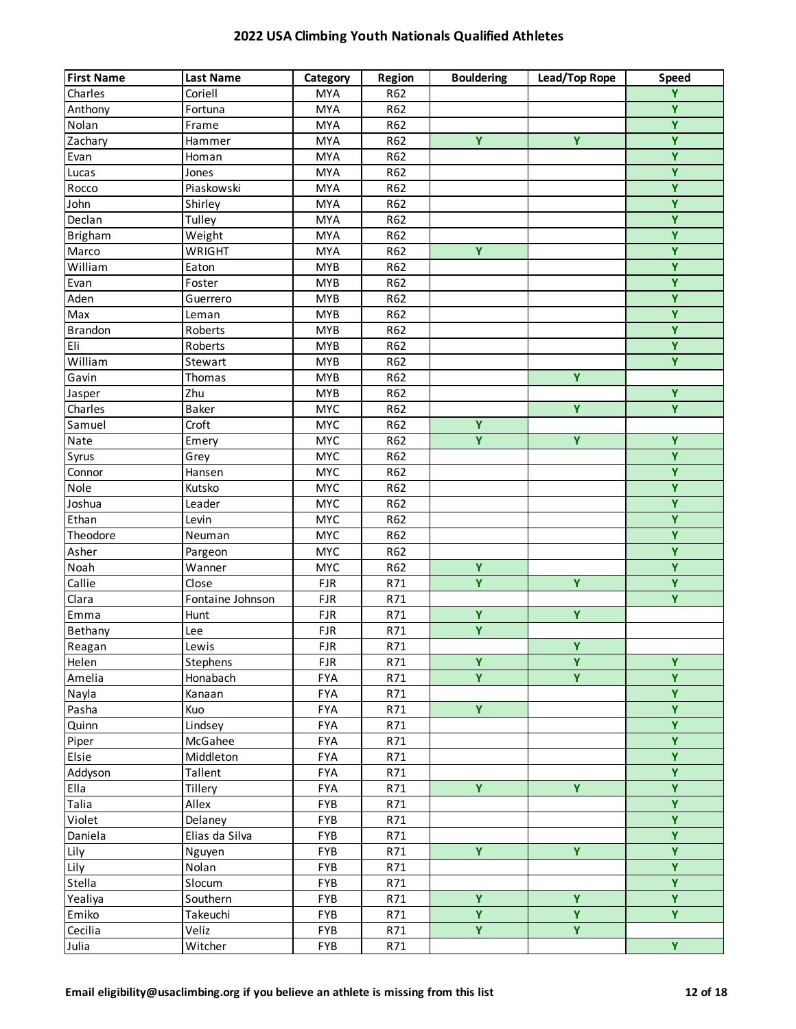| <b>First Name</b> | <b>Last Name</b>     | Category   | Region | <b>Bouldering</b>       | Lead/Top Rope  | <b>Speed</b>            |
|-------------------|----------------------|------------|--------|-------------------------|----------------|-------------------------|
| Charles           | Coriell              | <b>MYA</b> | R62    |                         |                | $\overline{Y}$          |
| Anthony           | Fortuna              | <b>MYA</b> | R62    |                         |                | $\overline{Y}$          |
| Nolan             | Frame                | <b>MYA</b> | R62    |                         |                | $\overline{Y}$          |
| Zachary           | Hammer               | <b>MYA</b> | R62    | Ÿ                       | Y              | $\overline{\mathbf{Y}}$ |
| Evan              | Homan                | <b>MYA</b> | R62    |                         |                | $\overline{Y}$          |
| Lucas             | Jones                | <b>MYA</b> | R62    |                         |                | $\overline{\mathbf{Y}}$ |
| Rocco             | Piaskowski           | <b>MYA</b> | R62    |                         |                | $\overline{\mathbf{Y}}$ |
| John              | Shirley              | <b>MYA</b> | R62    |                         |                | $\overline{Y}$          |
| Declan            | Tulley               | <b>MYA</b> | R62    |                         |                | $\overline{Y}$          |
| <b>Brigham</b>    | Weight               | <b>MYA</b> | R62    |                         |                | $\overline{\mathsf{Y}}$ |
| Marco             | WRIGHT               | <b>MYA</b> | R62    | Ÿ                       |                | Ÿ                       |
| William           | Eaton                | <b>MYB</b> | R62    |                         |                | $\overline{Y}$          |
| Evan              | Foster               | <b>MYB</b> | R62    |                         |                | Ÿ                       |
| Aden              | Guerrero             | <b>MYB</b> | R62    |                         |                | Ÿ                       |
| Max               | Leman                | <b>MYB</b> | R62    |                         |                | Ÿ                       |
| <b>Brandon</b>    | Roberts              | <b>MYB</b> | R62    |                         |                | $\overline{\mathsf{Y}}$ |
| Eli               | Roberts              | <b>MYB</b> | R62    |                         |                | $\overline{Y}$          |
| William           | Stewart              | <b>MYB</b> | R62    |                         |                | $\overline{Y}$          |
| Gavin             | Thomas               | <b>MYB</b> | R62    |                         | $\overline{Y}$ |                         |
| Jasper            | Zhu                  | <b>MYB</b> | R62    |                         |                | $\overline{Y}$          |
| Charles           | Baker                | <b>MYC</b> | R62    |                         | $\overline{Y}$ | $\overline{Y}$          |
| Samuel            | Croft                | <b>MYC</b> | R62    | Ÿ                       |                |                         |
| Nate              | Emery                | <b>MYC</b> | R62    | Ÿ                       | Ÿ              | Ÿ                       |
| Syrus             | Grey                 | <b>MYC</b> | R62    |                         |                | $\overline{Y}$          |
| Connor            | Hansen               | <b>MYC</b> | R62    |                         |                | $\overline{Y}$          |
| Nole              | Kutsko               | <b>MYC</b> | R62    |                         |                | $\overline{Y}$          |
| Joshua            | Leader               | <b>MYC</b> | R62    |                         |                | $\overline{Y}$          |
| Ethan             | Levin                | <b>MYC</b> | R62    |                         |                | $\overline{Y}$          |
| Theodore          | Neuman               | <b>MYC</b> | R62    |                         |                | $\overline{Y}$          |
| Asher             | Pargeon              | <b>MYC</b> | R62    |                         |                | $\overline{\mathbf{Y}}$ |
| Noah              | Wanner               | <b>MYC</b> | R62    | Ÿ                       |                | $\overline{\mathbf{Y}}$ |
| Callie            | Close                | FJR        | R71    | $\overline{Y}$          | Ÿ              | $\overline{Y}$          |
| Clara             | Fontaine Johnson     | <b>FJR</b> | R71    |                         |                | $\overline{Y}$          |
| Emma              | Hunt                 | <b>FJR</b> | R71    | Ÿ                       | Ÿ              |                         |
| Bethany           | Lee                  | <b>FJR</b> | R71    | Ÿ                       |                |                         |
| Reagan            | Lewis                | <b>FJR</b> | R71    |                         | $\overline{Y}$ |                         |
| Helen             | Stephens             | <b>FJR</b> | R71    | Ÿ                       | Y              | $\overline{Y}$          |
| Amelia            | Honabach             | <b>FYA</b> | R71    | $\overline{\mathsf{Y}}$ | $\overline{Y}$ | Ÿ                       |
| Nayla             | Kanaan               | <b>FYA</b> | R71    |                         |                | $\overline{Y}$          |
| Pasha             | Kuo                  | <b>FYA</b> | R71    | $\overline{Y}$          |                | $\overline{Y}$          |
| Quinn             | Lindsey              | <b>FYA</b> | R71    |                         |                | $\overline{Y}$          |
| Piper             | McGahee              | <b>FYA</b> | R71    |                         |                | $\overline{Y}$          |
| Elsie             |                      | <b>FYA</b> | R71    |                         |                | $\overline{Y}$          |
|                   | Middleton<br>Tallent | <b>FYA</b> | R71    |                         |                | $\overline{Y}$          |
| Addyson<br>Ella   | Tillery              | <b>FYA</b> |        | Y.                      | Ÿ              | $\overline{Y}$          |
|                   |                      |            | R71    |                         |                | $\overline{Y}$          |
| Talia             | Allex                | FYB        | R71    |                         |                | $\overline{Y}$          |
| Violet            | Delaney              | FYB        | R71    |                         |                |                         |
| Daniela           | Elias da Silva       | FYB        | R71    |                         |                | $\overline{\mathbf{Y}}$ |
| Lily              | Nguyen               | FYB        | R71    | $\overline{Y}$          | $\overline{Y}$ | $\overline{\mathbf{Y}}$ |
| Lily              | Nolan                | FYB        | R71    |                         |                | $\overline{Y}$          |
| Stella            | Slocum               | FYB        | R71    |                         |                | $\overline{Y}$          |
| Yealiya           | Southern             | <b>FYB</b> | R71    | Ÿ                       | Ÿ              | $\overline{Y}$          |
| Emiko             | Takeuchi             | <b>FYB</b> | R71    | Y.                      | Y              | Y.                      |
| Cecilia           | Veliz                | <b>FYB</b> | R71    | Y.                      | Y.             |                         |
| Julia             | Witcher              | FYB        | R71    |                         |                | $\overline{\mathbf{Y}}$ |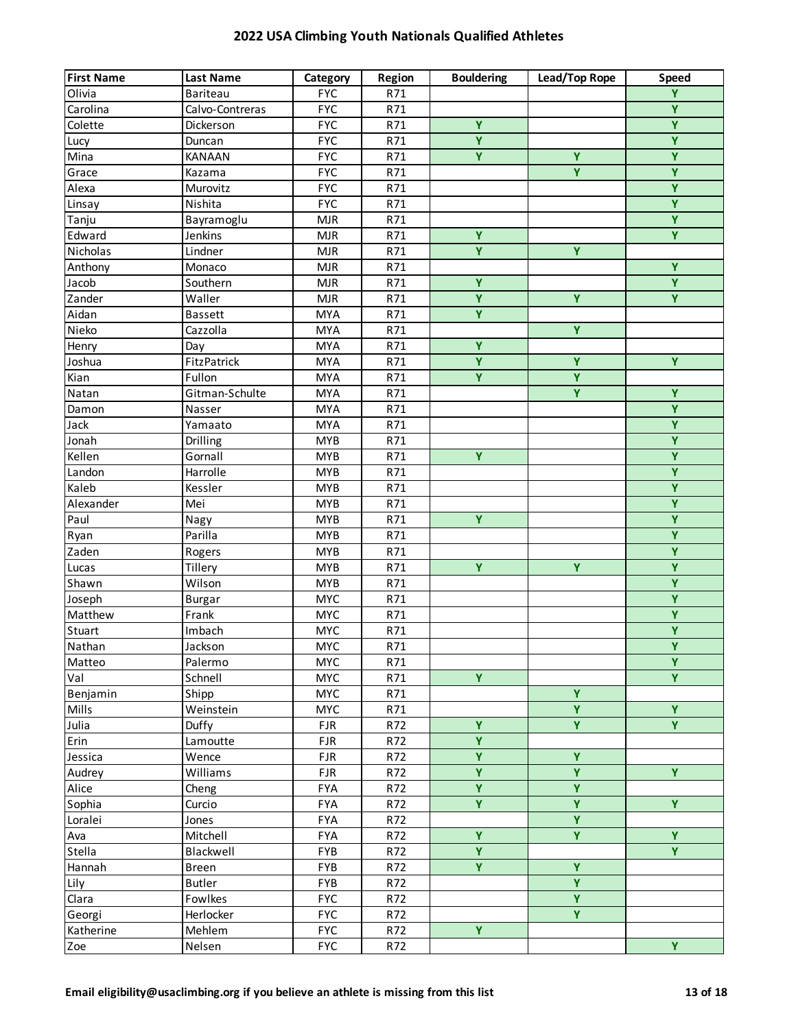| <b>First Name</b> | <b>Last Name</b> | Category   | Region | <b>Bouldering</b>       | Lead/Top Rope           | <b>Speed</b>            |
|-------------------|------------------|------------|--------|-------------------------|-------------------------|-------------------------|
| Olivia            | Bariteau         | <b>FYC</b> | R71    |                         |                         | $\overline{Y}$          |
| Carolina          | Calvo-Contreras  | <b>FYC</b> | R71    |                         |                         | $\overline{Y}$          |
| Colette           | Dickerson        | <b>FYC</b> | R71    | Ÿ                       |                         | $\overline{Y}$          |
| Lucy              | Duncan           | <b>FYC</b> | R71    | Ÿ                       |                         | $\overline{Y}$          |
| Mina              | KANAAN           | <b>FYC</b> | R71    | $\overline{Y}$          | Ÿ                       | $\overline{Y}$          |
| Grace             | Kazama           | <b>FYC</b> | R71    |                         | Y                       | $\overline{Y}$          |
| Alexa             | Murovitz         | <b>FYC</b> | R71    |                         |                         | $\overline{Y}$          |
| Linsay            | Nishita          | <b>FYC</b> | R71    |                         |                         | $\overline{Y}$          |
| Tanju             | Bayramoglu       | <b>MJR</b> | R71    |                         |                         | $\overline{Y}$          |
| Edward            | Jenkins          | <b>MJR</b> | R71    | $\overline{Y}$          |                         | $\overline{Y}$          |
| Nicholas          | Lindner          | MJR        | R71    | Ÿ                       | Ÿ                       |                         |
| Anthony           | Monaco           | <b>MJR</b> | R71    |                         |                         | Y                       |
| Jacob             | Southern         | <b>MJR</b> | R71    | Y                       |                         | Y                       |
| Zander            | Waller           | <b>MJR</b> | R71    | Ÿ                       | Y                       | $\overline{Y}$          |
| Aidan             | <b>Bassett</b>   | <b>MYA</b> | R71    | Ÿ                       |                         |                         |
| Nieko             | Cazzolla         | <b>MYA</b> | R71    |                         | $\overline{Y}$          |                         |
| Henry             | Day              | <b>MYA</b> | R71    | Ÿ                       |                         |                         |
| Joshua            | FitzPatrick      | <b>MYA</b> | R71    | Ÿ                       | Ÿ                       | Y                       |
| Kian              | Fullon           | <b>MYA</b> | R71    | $\overline{Y}$          | Ÿ                       |                         |
| Natan             | Gitman-Schulte   | <b>MYA</b> | R71    |                         | Y.                      | $\overline{Y}$          |
| Damon             | Nasser           | <b>MYA</b> | R71    |                         |                         | $\overline{Y}$          |
| Jack              | Yamaato          | <b>MYA</b> | R71    |                         |                         | $\overline{Y}$          |
| Jonah             | Drilling         | <b>MYB</b> | R71    |                         |                         | Ÿ                       |
| Kellen            | Gornall          | <b>MYB</b> | R71    | Ÿ                       |                         | $\overline{Y}$          |
| Landon            | Harrolle         | <b>MYB</b> | R71    |                         |                         | $\overline{Y}$          |
| Kaleb             | Kessler          | <b>MYB</b> | R71    |                         |                         | $\overline{Y}$          |
| Alexander         | Mei              | <b>MYB</b> | R71    |                         |                         | $\overline{Y}$          |
| Paul              | Nagy             | <b>MYB</b> | R71    | Ÿ                       |                         | $\overline{Y}$          |
| Ryan              | Parilla          | <b>MYB</b> | R71    |                         |                         | $\overline{Y}$          |
| Zaden             | Rogers           | <b>MYB</b> | R71    |                         |                         | $\overline{Y}$          |
| Lucas             | Tillery          | <b>MYB</b> | R71    | Ÿ                       | Ÿ                       | $\overline{Y}$          |
| Shawn             | Wilson           | <b>MYB</b> | R71    |                         |                         | $\overline{Y}$          |
| Joseph            | <b>Burgar</b>    | <b>MYC</b> | R71    |                         |                         | $\overline{Y}$          |
| Matthew           | Frank            | <b>MYC</b> | R71    |                         |                         | $\overline{\mathsf{Y}}$ |
| Stuart            | Imbach           | <b>MYC</b> | R71    |                         |                         | $\overline{Y}$          |
| Nathan            | Jackson          | <b>MYC</b> | R71    |                         |                         | $\overline{Y}$          |
| Matteo            | Palermo          | <b>MYC</b> | R71    |                         |                         | Y                       |
| Val               | Schnell          | <b>MYC</b> | R71    | $\overline{Y}$          |                         | $\overline{Y}$          |
| Benjamin          | Shipp            | <b>MYC</b> | R71    |                         | Ÿ                       |                         |
| Mills             | Weinstein        | <b>MYC</b> | R71    |                         | $\overline{\mathsf{Y}}$ | $\overline{Y}$          |
| Julia             | Duffy            | <b>FJR</b> | R72    | $\overline{\mathbf{Y}}$ | $\overline{\mathbf{Y}}$ | $\overline{Y}$          |
| Erin              | Lamoutte         | <b>FJR</b> | R72    | $\overline{\mathbf{Y}}$ |                         |                         |
| Jessica           | Wence            | <b>FJR</b> | R72    | Ÿ                       | Ÿ                       |                         |
| Audrey            | Williams         | <b>FJR</b> | R72    | $\overline{Y}$          | Ÿ                       | Y.                      |
| Alice             | Cheng            | <b>FYA</b> | R72    | $\overline{Y}$          | $\overline{\mathbf{Y}}$ |                         |
| Sophia            | Curcio           | <b>FYA</b> | R72    | $\overline{Y}$          | $\overline{\mathsf{Y}}$ | $\overline{Y}$          |
| Loralei           | Jones            | <b>FYA</b> | R72    |                         | $\overline{\mathsf{Y}}$ |                         |
| Ava               | Mitchell         | FYA        | R72    | Ÿ                       | Ÿ                       | Y                       |
| Stella            | Blackwell        | FYB        | R72    | $\overline{Y}$          |                         | $\overline{Y}$          |
| Hannah            | <b>Breen</b>     | FYB        | R72    | $\overline{Y}$          | Y                       |                         |
| Lily              | <b>Butler</b>    | FYB        | R72    |                         | Y                       |                         |
| Clara             | Fowlkes          | <b>FYC</b> | R72    |                         | Ÿ                       |                         |
| Georgi            | Herlocker        | <b>FYC</b> | R72    |                         | Y.                      |                         |
| Katherine         | Mehlem           | <b>FYC</b> | R72    | Y.                      |                         |                         |
| Zoe               | Nelsen           | <b>FYC</b> | R72    |                         |                         | $\overline{Y}$          |
|                   |                  |            |        |                         |                         |                         |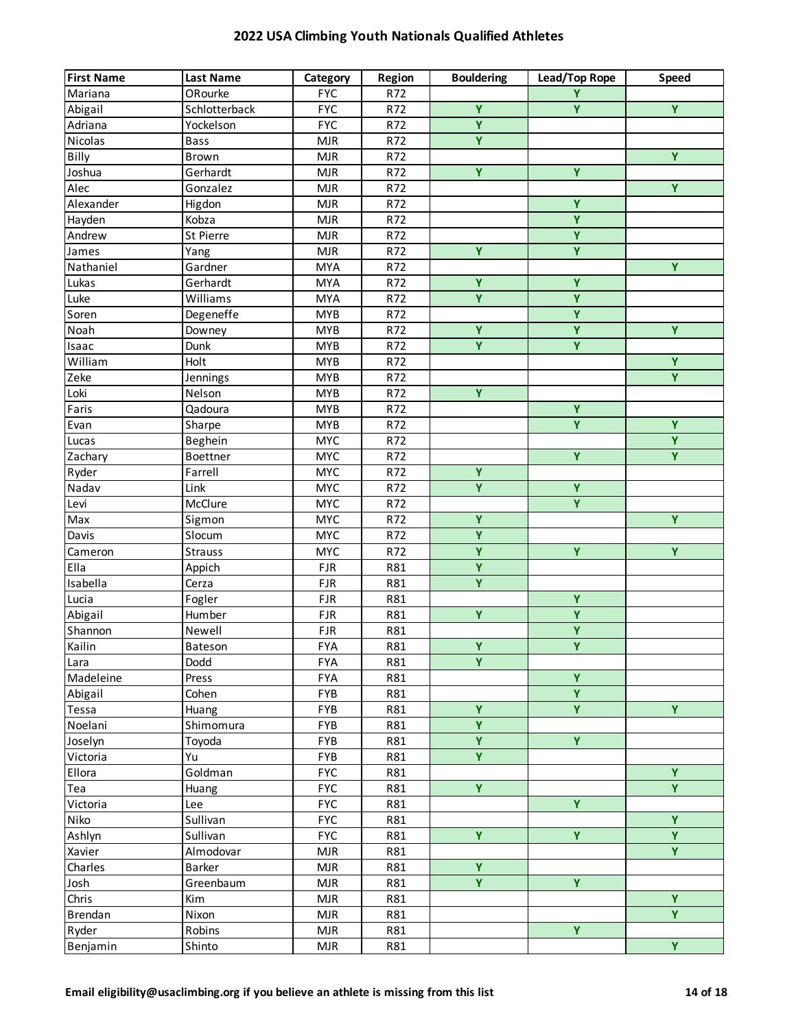| <b>First Name</b> | <b>Last Name</b> | Category   | Region | <b>Bouldering</b>       | Lead/Top Rope           | <b>Speed</b>            |
|-------------------|------------------|------------|--------|-------------------------|-------------------------|-------------------------|
| Mariana           | ORourke          | <b>FYC</b> | R72    |                         | Ÿ                       |                         |
| Abigail           | Schlotterback    | <b>FYC</b> | R72    | $\overline{Y}$          | Ÿ                       | $\overline{Y}$          |
| Adriana           | Yockelson        | <b>FYC</b> | R72    | $\overline{Y}$          |                         |                         |
| Nicolas           | <b>Bass</b>      | <b>MJR</b> | R72    | $\overline{Y}$          |                         |                         |
| Billy             | Brown            | <b>MJR</b> | R72    |                         |                         | $\overline{Y}$          |
| Joshua            | Gerhardt         | <b>MJR</b> | R72    | $\overline{Y}$          | $\overline{Y}$          |                         |
| Alec              | Gonzalez         | <b>MJR</b> | R72    |                         |                         | $\overline{Y}$          |
| Alexander         | Higdon           | <b>MJR</b> | R72    |                         | Ÿ                       |                         |
| Hayden            | Kobza            | <b>MJR</b> | R72    |                         | Ÿ                       |                         |
| Andrew            | St Pierre        | <b>MJR</b> | R72    |                         | $\overline{Y}$          |                         |
| James             | Yang             | <b>MJR</b> | R72    | Ÿ                       | Ÿ                       |                         |
| Nathaniel         | Gardner          | <b>MYA</b> | R72    |                         |                         | Y                       |
| Lukas             | Gerhardt         | <b>MYA</b> | R72    | Ÿ                       | Ÿ                       |                         |
| Luke              | Williams         | <b>MYA</b> | R72    | $\overline{Y}$          | $\overline{\mathsf{Y}}$ |                         |
| Soren             | Degeneffe        | <b>MYB</b> | R72    |                         | $\overline{\mathsf{Y}}$ |                         |
| Noah              | Downey           | <b>MYB</b> | R72    | Y                       | $\overline{Y}$          | $\overline{Y}$          |
| Isaac             | Dunk             | <b>MYB</b> | R72    | $\overline{\mathbf{Y}}$ | $\overline{Y}$          |                         |
| William           | Holt             | <b>MYB</b> | R72    |                         |                         | Ÿ                       |
| Zeke              | Jennings         | <b>MYB</b> | R72    |                         |                         | $\overline{Y}$          |
| Loki              | Nelson           | <b>MYB</b> | R72    | $\overline{Y}$          |                         |                         |
| Faris             | Qadoura          | <b>MYB</b> | R72    |                         | $\overline{Y}$          |                         |
| Evan              | Sharpe           | <b>MYB</b> | R72    |                         | Ÿ                       | $\overline{Y}$          |
| Lucas             | Beghein          | <b>MYC</b> | R72    |                         |                         | Y                       |
| Zachary           | Boettner         | <b>MYC</b> | R72    |                         | $\overline{\mathsf{Y}}$ | $\overline{Y}$          |
| Ryder             | Farrell          | <b>MYC</b> | R72    | $\overline{Y}$          |                         |                         |
| Nadav             | Link             | <b>MYC</b> | R72    | $\overline{Y}$          | $\overline{Y}$          |                         |
| Levi              | McClure          | <b>MYC</b> | R72    |                         | $\overline{Y}$          |                         |
| Max               | Sigmon           | <b>MYC</b> | R72    | Ÿ                       |                         | Ÿ                       |
| Davis             | Slocum           | <b>MYC</b> | R72    | $\overline{\mathsf{Y}}$ |                         |                         |
| Cameron           | <b>Strauss</b>   | <b>MYC</b> | R72    | $\overline{\mathsf{Y}}$ | $\overline{Y}$          | $\overline{Y}$          |
| Ella              | Appich           | <b>FJR</b> | R81    | $\overline{Y}$          |                         |                         |
| Isabella          | Cerza            | <b>FJR</b> | R81    | $\overline{Y}$          |                         |                         |
| Lucia             | Fogler           | <b>FJR</b> | R81    |                         | Y                       |                         |
| Abigail           | Humber           | <b>FJR</b> | R81    | $\overline{Y}$          | $\overline{\mathsf{Y}}$ |                         |
| Shannon           | Newell           | <b>FJR</b> | R81    |                         | $\overline{\mathbf{Y}}$ |                         |
| Kailin            | Bateson          | <b>FYA</b> | R81    | $\overline{Y}$          | $\overline{Y}$          |                         |
| Lara              | Dodd             | FYA        | R81    | Ÿ                       |                         |                         |
| Madeleine         | Press            | <b>FYA</b> | R81    |                         | Ÿ                       |                         |
| Abigail           | Cohen            | <b>FYB</b> | R81    |                         | $\overline{Y}$          |                         |
| Tessa             | Huang            | FYB        | R81    | $\overline{\mathbf{Y}}$ | $\overline{Y}$          | Y                       |
| Noelani           | Shimomura        | FYB        | R81    | $\overline{\mathbf{Y}}$ |                         |                         |
| Joselyn           | Toyoda           | FYB        | R81    | $\overline{\mathbf{Y}}$ | $\overline{Y}$          |                         |
| Victoria          | Yu               | FYB        | R81    | Ÿ                       |                         |                         |
| Ellora            | Goldman          | <b>FYC</b> | R81    |                         |                         | Y                       |
| Tea               | Huang            | <b>FYC</b> | R81    | $\overline{\mathbf{Y}}$ |                         | $\overline{Y}$          |
| Victoria          | Lee              | <b>FYC</b> | R81    |                         | $\overline{Y}$          |                         |
| Niko              | Sullivan         | <b>FYC</b> | R81    |                         |                         | $\overline{Y}$          |
| Ashlyn            | Sullivan         | <b>FYC</b> | R81    | Ÿ                       | Ÿ                       | Ÿ                       |
| Xavier            | Almodovar        | <b>MJR</b> | R81    |                         |                         | $\overline{Y}$          |
| Charles           | Barker           | <b>MJR</b> | R81    | $\overline{Y}$          |                         |                         |
| Josh              | Greenbaum        | <b>MJR</b> | R81    | Y.                      | $\overline{Y}$          |                         |
| Chris             | Kim              | <b>MJR</b> | R81    |                         |                         | Ÿ                       |
| <b>Brendan</b>    | Nixon            | <b>MJR</b> | R81    |                         |                         | Ÿ                       |
| Ryder             | Robins           | <b>MJR</b> | R81    |                         | $\overline{Y}$          |                         |
| Benjamin          | Shinto           | <b>MJR</b> | R81    |                         |                         | $\overline{\mathbf{Y}}$ |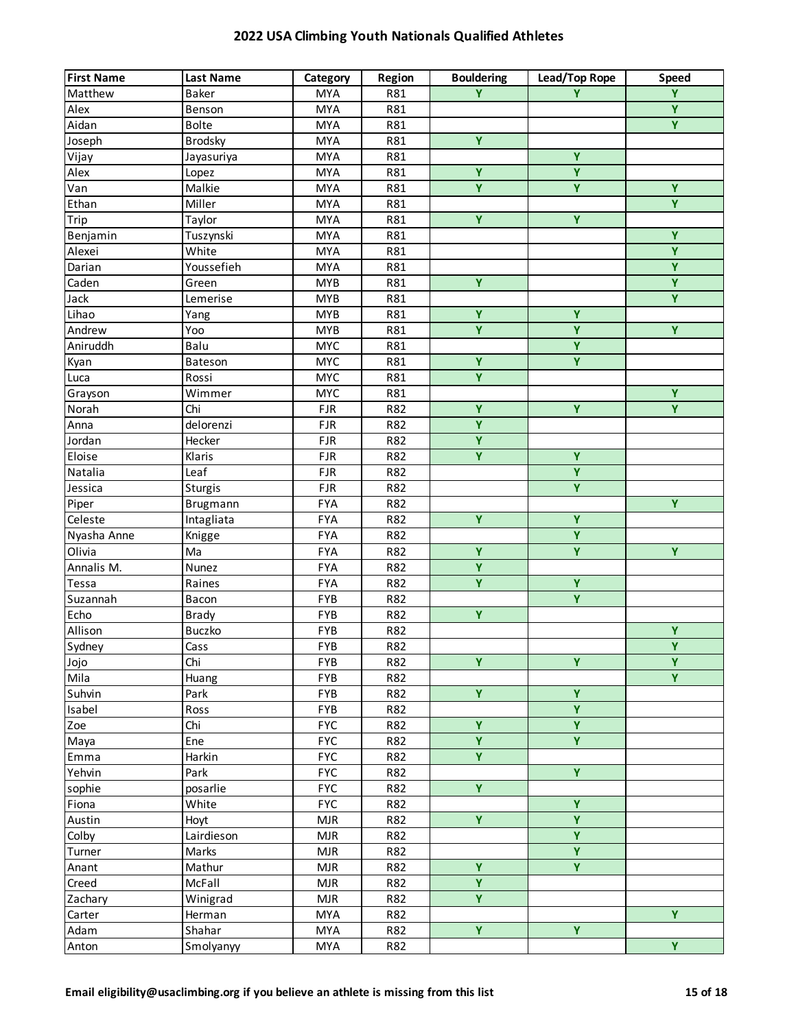| $\overline{\mathbf{Y}}$<br>Y.<br>Baker<br><b>MYA</b><br>R81<br>Y<br>Matthew<br>$\overline{Y}$<br>Alex<br><b>MYA</b><br>R81<br>Benson<br>$\overline{Y}$<br>Aidan<br><b>Bolte</b><br><b>MYA</b><br>R81<br>$\overline{Y}$<br>Joseph<br><b>MYA</b><br>R81<br><b>Brodsky</b><br>$\overline{Y}$<br><b>MYA</b><br>R81<br>Vijay<br>Jayasuriya<br>$\overline{\mathbf{Y}}$<br>$\overline{\mathbf{Y}}$<br>Alex<br>Lopez<br><b>MYA</b><br>R81<br>$\overline{\mathsf{Y}}$<br>$\overline{\mathbf{Y}}$<br>$\overline{Y}$<br>Malkie<br>Van<br><b>MYA</b><br>R81<br>$\overline{Y}$<br>Miller<br>Ethan<br><b>MYA</b><br>R81<br>$\overline{Y}$<br>$\overline{Y}$<br>Trip<br>Taylor<br><b>MYA</b><br>R81<br>$\overline{Y}$<br>Benjamin<br>Tuszynski<br><b>MYA</b><br>R81<br>$\overline{Y}$<br>Alexei<br>White<br><b>MYA</b><br>R81<br>$\overline{Y}$<br>Youssefieh<br>Darian<br><b>MYA</b><br>R81<br>Y<br>Y.<br>Caden<br><b>MYB</b><br>R81<br>Green<br>$\overline{Y}$<br>Jack<br><b>MYB</b><br>R81<br>Lemerise<br>$\overline{Y}$<br>Y<br>Lihao<br><b>MYB</b><br>R81<br>Yang<br>$\overline{\mathsf{Y}}$<br>$\overline{Y}$<br>$\overline{Y}$<br>Andrew<br><b>MYB</b><br>R81<br>Yoo<br>$\overline{Y}$<br>Aniruddh<br>Balu<br><b>MYC</b><br>R81<br>Ÿ<br>Ÿ<br><b>MYC</b><br>R81<br>Kyan<br>Bateson<br>$\overline{\mathbf{Y}}$<br><b>MYC</b><br>Luca<br>Rossi<br>R81<br>$\overline{Y}$<br><b>MYC</b><br>Wimmer<br>R81<br>Grayson<br>$\overline{\mathbf{Y}}$<br>$\overline{Y}$<br>$\overline{Y}$<br>Norah<br>Chi<br><b>FJR</b><br>R82<br>$\overline{\mathbf{Y}}$<br>delorenzi<br>Anna<br><b>FJR</b><br>R82<br>Ÿ<br>Jordan<br><b>FJR</b><br>Hecker<br>R82<br>$\overline{\mathbf{Y}}$<br>$\overline{Y}$<br>Eloise<br><b>FJR</b><br>Klaris<br>R82<br>Y<br>Natalia<br>Leaf<br><b>FJR</b><br>R82<br>$\overline{Y}$<br>Jessica<br><b>FJR</b><br>R82<br>Sturgis<br>$\overline{Y}$<br>Piper<br><b>FYA</b><br>R82<br>Brugmann<br>$\overline{Y}$<br>Ÿ<br>Celeste<br>Intagliata<br><b>FYA</b><br>R82<br>$\overline{Y}$<br><b>FYA</b><br>R82<br>Nyasha Anne<br>Knigge<br>$\overline{Y}$<br>$\overline{Y}$<br>$\overline{Y}$<br>Olivia<br>FYA<br>R82<br>Ma<br>$\overline{\mathbf{Y}}$<br>Annalis M.<br>Nunez<br>FYA<br>R82<br>$\overline{\mathbf{Y}}$<br>$\overline{Y}$<br><b>FYA</b><br>Tessa<br>Raines<br>R82<br>Ÿ<br>FYB<br>Suzannah<br>R82<br>Bacon<br>Ÿ<br>Echo<br>FYB<br>R82<br><b>Brady</b><br>Ÿ<br>Allison<br>FYB<br>Buczko<br>R82<br>$\overline{Y}$<br>Sydney<br>FYB<br>R82<br>Cass<br>Chi<br>Ÿ<br>Ÿ<br>Y<br>FYB<br>R82<br>Jojo<br>$\overline{Y}$<br>Mila<br>FYB<br>R82<br>Huang<br>$\overline{\mathsf{Y}}$<br>$\overline{Y}$<br>Suhvin<br>FYB<br>R82<br>Park<br>$\overline{\mathbf{Y}}$<br>Isabel<br><b>FYB</b><br>R82<br>Ross<br>$\overline{\mathbf{Y}}$<br>$\overline{\mathbf{Y}}$<br>Zoe<br>Chi<br><b>FYC</b><br>R82<br>$\overline{Y}$<br>$\overline{Y}$<br><b>FYC</b><br>Ene<br>R82<br>Maya<br>Ÿ<br>Harkin<br><b>FYC</b><br>R82<br>Emma<br>$\overline{Y}$<br><b>FYC</b><br>Yehvin<br>R82<br>Park<br>$\overline{\mathbf{Y}}$<br><b>FYC</b><br>sophie<br>posarlie<br>R82<br>$\overline{Y}$<br>Fiona<br>White<br><b>FYC</b><br>R82<br>$\overline{Y}$<br>$\overline{\mathbf{Y}}$<br>Austin<br><b>MJR</b><br>R82<br>Hoyt<br>$\overline{\mathbf{Y}}$<br>Colby<br>Lairdieson<br><b>MJR</b><br>R82<br>$\overline{\mathbf{Y}}$<br>Marks<br><b>MJR</b><br>R82<br>Turner<br>$\overline{\mathbf{Y}}$<br>Ÿ<br>Mathur<br><b>MJR</b><br>R82<br>Anant<br>Y<br>Creed<br>McFall<br><b>MJR</b><br>R82<br>Y<br>Zachary<br>Winigrad<br><b>MJR</b><br>R82<br>Y.<br>Carter<br><b>MYA</b><br>R82<br>Herman<br>$\overline{\mathbf{Y}}$<br>$\overline{\mathbf{Y}}$<br>Shahar<br><b>MYA</b><br>R82<br>Adam | <b>First Name</b> | <b>Last Name</b> | Category   | Region | <b>Bouldering</b> | Lead/Top Rope | <b>Speed</b>   |
|-------------------------------------------------------------------------------------------------------------------------------------------------------------------------------------------------------------------------------------------------------------------------------------------------------------------------------------------------------------------------------------------------------------------------------------------------------------------------------------------------------------------------------------------------------------------------------------------------------------------------------------------------------------------------------------------------------------------------------------------------------------------------------------------------------------------------------------------------------------------------------------------------------------------------------------------------------------------------------------------------------------------------------------------------------------------------------------------------------------------------------------------------------------------------------------------------------------------------------------------------------------------------------------------------------------------------------------------------------------------------------------------------------------------------------------------------------------------------------------------------------------------------------------------------------------------------------------------------------------------------------------------------------------------------------------------------------------------------------------------------------------------------------------------------------------------------------------------------------------------------------------------------------------------------------------------------------------------------------------------------------------------------------------------------------------------------------------------------------------------------------------------------------------------------------------------------------------------------------------------------------------------------------------------------------------------------------------------------------------------------------------------------------------------------------------------------------------------------------------------------------------------------------------------------------------------------------------------------------------------------------------------------------------------------------------------------------------------------------------------------------------------------------------------------------------------------------------------------------------------------------------------------------------------------------------------------------------------------------------------------------------------------------------------------------------------------------------------------------------------------------------------------------------------------------------------------------------------------------------------------------------------------------------------------------------------------------------------------------------------------------------------------------------------------------------------------------------------------------------------------------------------------------------------------------------------------------------------------------------------------------------------------------|-------------------|------------------|------------|--------|-------------------|---------------|----------------|
|                                                                                                                                                                                                                                                                                                                                                                                                                                                                                                                                                                                                                                                                                                                                                                                                                                                                                                                                                                                                                                                                                                                                                                                                                                                                                                                                                                                                                                                                                                                                                                                                                                                                                                                                                                                                                                                                                                                                                                                                                                                                                                                                                                                                                                                                                                                                                                                                                                                                                                                                                                                                                                                                                                                                                                                                                                                                                                                                                                                                                                                                                                                                                                                                                                                                                                                                                                                                                                                                                                                                                                                                                                                       |                   |                  |            |        |                   |               |                |
|                                                                                                                                                                                                                                                                                                                                                                                                                                                                                                                                                                                                                                                                                                                                                                                                                                                                                                                                                                                                                                                                                                                                                                                                                                                                                                                                                                                                                                                                                                                                                                                                                                                                                                                                                                                                                                                                                                                                                                                                                                                                                                                                                                                                                                                                                                                                                                                                                                                                                                                                                                                                                                                                                                                                                                                                                                                                                                                                                                                                                                                                                                                                                                                                                                                                                                                                                                                                                                                                                                                                                                                                                                                       |                   |                  |            |        |                   |               |                |
|                                                                                                                                                                                                                                                                                                                                                                                                                                                                                                                                                                                                                                                                                                                                                                                                                                                                                                                                                                                                                                                                                                                                                                                                                                                                                                                                                                                                                                                                                                                                                                                                                                                                                                                                                                                                                                                                                                                                                                                                                                                                                                                                                                                                                                                                                                                                                                                                                                                                                                                                                                                                                                                                                                                                                                                                                                                                                                                                                                                                                                                                                                                                                                                                                                                                                                                                                                                                                                                                                                                                                                                                                                                       |                   |                  |            |        |                   |               |                |
|                                                                                                                                                                                                                                                                                                                                                                                                                                                                                                                                                                                                                                                                                                                                                                                                                                                                                                                                                                                                                                                                                                                                                                                                                                                                                                                                                                                                                                                                                                                                                                                                                                                                                                                                                                                                                                                                                                                                                                                                                                                                                                                                                                                                                                                                                                                                                                                                                                                                                                                                                                                                                                                                                                                                                                                                                                                                                                                                                                                                                                                                                                                                                                                                                                                                                                                                                                                                                                                                                                                                                                                                                                                       |                   |                  |            |        |                   |               |                |
|                                                                                                                                                                                                                                                                                                                                                                                                                                                                                                                                                                                                                                                                                                                                                                                                                                                                                                                                                                                                                                                                                                                                                                                                                                                                                                                                                                                                                                                                                                                                                                                                                                                                                                                                                                                                                                                                                                                                                                                                                                                                                                                                                                                                                                                                                                                                                                                                                                                                                                                                                                                                                                                                                                                                                                                                                                                                                                                                                                                                                                                                                                                                                                                                                                                                                                                                                                                                                                                                                                                                                                                                                                                       |                   |                  |            |        |                   |               |                |
|                                                                                                                                                                                                                                                                                                                                                                                                                                                                                                                                                                                                                                                                                                                                                                                                                                                                                                                                                                                                                                                                                                                                                                                                                                                                                                                                                                                                                                                                                                                                                                                                                                                                                                                                                                                                                                                                                                                                                                                                                                                                                                                                                                                                                                                                                                                                                                                                                                                                                                                                                                                                                                                                                                                                                                                                                                                                                                                                                                                                                                                                                                                                                                                                                                                                                                                                                                                                                                                                                                                                                                                                                                                       |                   |                  |            |        |                   |               |                |
|                                                                                                                                                                                                                                                                                                                                                                                                                                                                                                                                                                                                                                                                                                                                                                                                                                                                                                                                                                                                                                                                                                                                                                                                                                                                                                                                                                                                                                                                                                                                                                                                                                                                                                                                                                                                                                                                                                                                                                                                                                                                                                                                                                                                                                                                                                                                                                                                                                                                                                                                                                                                                                                                                                                                                                                                                                                                                                                                                                                                                                                                                                                                                                                                                                                                                                                                                                                                                                                                                                                                                                                                                                                       |                   |                  |            |        |                   |               |                |
|                                                                                                                                                                                                                                                                                                                                                                                                                                                                                                                                                                                                                                                                                                                                                                                                                                                                                                                                                                                                                                                                                                                                                                                                                                                                                                                                                                                                                                                                                                                                                                                                                                                                                                                                                                                                                                                                                                                                                                                                                                                                                                                                                                                                                                                                                                                                                                                                                                                                                                                                                                                                                                                                                                                                                                                                                                                                                                                                                                                                                                                                                                                                                                                                                                                                                                                                                                                                                                                                                                                                                                                                                                                       |                   |                  |            |        |                   |               |                |
|                                                                                                                                                                                                                                                                                                                                                                                                                                                                                                                                                                                                                                                                                                                                                                                                                                                                                                                                                                                                                                                                                                                                                                                                                                                                                                                                                                                                                                                                                                                                                                                                                                                                                                                                                                                                                                                                                                                                                                                                                                                                                                                                                                                                                                                                                                                                                                                                                                                                                                                                                                                                                                                                                                                                                                                                                                                                                                                                                                                                                                                                                                                                                                                                                                                                                                                                                                                                                                                                                                                                                                                                                                                       |                   |                  |            |        |                   |               |                |
|                                                                                                                                                                                                                                                                                                                                                                                                                                                                                                                                                                                                                                                                                                                                                                                                                                                                                                                                                                                                                                                                                                                                                                                                                                                                                                                                                                                                                                                                                                                                                                                                                                                                                                                                                                                                                                                                                                                                                                                                                                                                                                                                                                                                                                                                                                                                                                                                                                                                                                                                                                                                                                                                                                                                                                                                                                                                                                                                                                                                                                                                                                                                                                                                                                                                                                                                                                                                                                                                                                                                                                                                                                                       |                   |                  |            |        |                   |               |                |
|                                                                                                                                                                                                                                                                                                                                                                                                                                                                                                                                                                                                                                                                                                                                                                                                                                                                                                                                                                                                                                                                                                                                                                                                                                                                                                                                                                                                                                                                                                                                                                                                                                                                                                                                                                                                                                                                                                                                                                                                                                                                                                                                                                                                                                                                                                                                                                                                                                                                                                                                                                                                                                                                                                                                                                                                                                                                                                                                                                                                                                                                                                                                                                                                                                                                                                                                                                                                                                                                                                                                                                                                                                                       |                   |                  |            |        |                   |               |                |
|                                                                                                                                                                                                                                                                                                                                                                                                                                                                                                                                                                                                                                                                                                                                                                                                                                                                                                                                                                                                                                                                                                                                                                                                                                                                                                                                                                                                                                                                                                                                                                                                                                                                                                                                                                                                                                                                                                                                                                                                                                                                                                                                                                                                                                                                                                                                                                                                                                                                                                                                                                                                                                                                                                                                                                                                                                                                                                                                                                                                                                                                                                                                                                                                                                                                                                                                                                                                                                                                                                                                                                                                                                                       |                   |                  |            |        |                   |               |                |
|                                                                                                                                                                                                                                                                                                                                                                                                                                                                                                                                                                                                                                                                                                                                                                                                                                                                                                                                                                                                                                                                                                                                                                                                                                                                                                                                                                                                                                                                                                                                                                                                                                                                                                                                                                                                                                                                                                                                                                                                                                                                                                                                                                                                                                                                                                                                                                                                                                                                                                                                                                                                                                                                                                                                                                                                                                                                                                                                                                                                                                                                                                                                                                                                                                                                                                                                                                                                                                                                                                                                                                                                                                                       |                   |                  |            |        |                   |               |                |
|                                                                                                                                                                                                                                                                                                                                                                                                                                                                                                                                                                                                                                                                                                                                                                                                                                                                                                                                                                                                                                                                                                                                                                                                                                                                                                                                                                                                                                                                                                                                                                                                                                                                                                                                                                                                                                                                                                                                                                                                                                                                                                                                                                                                                                                                                                                                                                                                                                                                                                                                                                                                                                                                                                                                                                                                                                                                                                                                                                                                                                                                                                                                                                                                                                                                                                                                                                                                                                                                                                                                                                                                                                                       |                   |                  |            |        |                   |               |                |
|                                                                                                                                                                                                                                                                                                                                                                                                                                                                                                                                                                                                                                                                                                                                                                                                                                                                                                                                                                                                                                                                                                                                                                                                                                                                                                                                                                                                                                                                                                                                                                                                                                                                                                                                                                                                                                                                                                                                                                                                                                                                                                                                                                                                                                                                                                                                                                                                                                                                                                                                                                                                                                                                                                                                                                                                                                                                                                                                                                                                                                                                                                                                                                                                                                                                                                                                                                                                                                                                                                                                                                                                                                                       |                   |                  |            |        |                   |               |                |
|                                                                                                                                                                                                                                                                                                                                                                                                                                                                                                                                                                                                                                                                                                                                                                                                                                                                                                                                                                                                                                                                                                                                                                                                                                                                                                                                                                                                                                                                                                                                                                                                                                                                                                                                                                                                                                                                                                                                                                                                                                                                                                                                                                                                                                                                                                                                                                                                                                                                                                                                                                                                                                                                                                                                                                                                                                                                                                                                                                                                                                                                                                                                                                                                                                                                                                                                                                                                                                                                                                                                                                                                                                                       |                   |                  |            |        |                   |               |                |
|                                                                                                                                                                                                                                                                                                                                                                                                                                                                                                                                                                                                                                                                                                                                                                                                                                                                                                                                                                                                                                                                                                                                                                                                                                                                                                                                                                                                                                                                                                                                                                                                                                                                                                                                                                                                                                                                                                                                                                                                                                                                                                                                                                                                                                                                                                                                                                                                                                                                                                                                                                                                                                                                                                                                                                                                                                                                                                                                                                                                                                                                                                                                                                                                                                                                                                                                                                                                                                                                                                                                                                                                                                                       |                   |                  |            |        |                   |               |                |
|                                                                                                                                                                                                                                                                                                                                                                                                                                                                                                                                                                                                                                                                                                                                                                                                                                                                                                                                                                                                                                                                                                                                                                                                                                                                                                                                                                                                                                                                                                                                                                                                                                                                                                                                                                                                                                                                                                                                                                                                                                                                                                                                                                                                                                                                                                                                                                                                                                                                                                                                                                                                                                                                                                                                                                                                                                                                                                                                                                                                                                                                                                                                                                                                                                                                                                                                                                                                                                                                                                                                                                                                                                                       |                   |                  |            |        |                   |               |                |
|                                                                                                                                                                                                                                                                                                                                                                                                                                                                                                                                                                                                                                                                                                                                                                                                                                                                                                                                                                                                                                                                                                                                                                                                                                                                                                                                                                                                                                                                                                                                                                                                                                                                                                                                                                                                                                                                                                                                                                                                                                                                                                                                                                                                                                                                                                                                                                                                                                                                                                                                                                                                                                                                                                                                                                                                                                                                                                                                                                                                                                                                                                                                                                                                                                                                                                                                                                                                                                                                                                                                                                                                                                                       |                   |                  |            |        |                   |               |                |
|                                                                                                                                                                                                                                                                                                                                                                                                                                                                                                                                                                                                                                                                                                                                                                                                                                                                                                                                                                                                                                                                                                                                                                                                                                                                                                                                                                                                                                                                                                                                                                                                                                                                                                                                                                                                                                                                                                                                                                                                                                                                                                                                                                                                                                                                                                                                                                                                                                                                                                                                                                                                                                                                                                                                                                                                                                                                                                                                                                                                                                                                                                                                                                                                                                                                                                                                                                                                                                                                                                                                                                                                                                                       |                   |                  |            |        |                   |               |                |
|                                                                                                                                                                                                                                                                                                                                                                                                                                                                                                                                                                                                                                                                                                                                                                                                                                                                                                                                                                                                                                                                                                                                                                                                                                                                                                                                                                                                                                                                                                                                                                                                                                                                                                                                                                                                                                                                                                                                                                                                                                                                                                                                                                                                                                                                                                                                                                                                                                                                                                                                                                                                                                                                                                                                                                                                                                                                                                                                                                                                                                                                                                                                                                                                                                                                                                                                                                                                                                                                                                                                                                                                                                                       |                   |                  |            |        |                   |               |                |
|                                                                                                                                                                                                                                                                                                                                                                                                                                                                                                                                                                                                                                                                                                                                                                                                                                                                                                                                                                                                                                                                                                                                                                                                                                                                                                                                                                                                                                                                                                                                                                                                                                                                                                                                                                                                                                                                                                                                                                                                                                                                                                                                                                                                                                                                                                                                                                                                                                                                                                                                                                                                                                                                                                                                                                                                                                                                                                                                                                                                                                                                                                                                                                                                                                                                                                                                                                                                                                                                                                                                                                                                                                                       |                   |                  |            |        |                   |               |                |
|                                                                                                                                                                                                                                                                                                                                                                                                                                                                                                                                                                                                                                                                                                                                                                                                                                                                                                                                                                                                                                                                                                                                                                                                                                                                                                                                                                                                                                                                                                                                                                                                                                                                                                                                                                                                                                                                                                                                                                                                                                                                                                                                                                                                                                                                                                                                                                                                                                                                                                                                                                                                                                                                                                                                                                                                                                                                                                                                                                                                                                                                                                                                                                                                                                                                                                                                                                                                                                                                                                                                                                                                                                                       |                   |                  |            |        |                   |               |                |
|                                                                                                                                                                                                                                                                                                                                                                                                                                                                                                                                                                                                                                                                                                                                                                                                                                                                                                                                                                                                                                                                                                                                                                                                                                                                                                                                                                                                                                                                                                                                                                                                                                                                                                                                                                                                                                                                                                                                                                                                                                                                                                                                                                                                                                                                                                                                                                                                                                                                                                                                                                                                                                                                                                                                                                                                                                                                                                                                                                                                                                                                                                                                                                                                                                                                                                                                                                                                                                                                                                                                                                                                                                                       |                   |                  |            |        |                   |               |                |
|                                                                                                                                                                                                                                                                                                                                                                                                                                                                                                                                                                                                                                                                                                                                                                                                                                                                                                                                                                                                                                                                                                                                                                                                                                                                                                                                                                                                                                                                                                                                                                                                                                                                                                                                                                                                                                                                                                                                                                                                                                                                                                                                                                                                                                                                                                                                                                                                                                                                                                                                                                                                                                                                                                                                                                                                                                                                                                                                                                                                                                                                                                                                                                                                                                                                                                                                                                                                                                                                                                                                                                                                                                                       |                   |                  |            |        |                   |               |                |
|                                                                                                                                                                                                                                                                                                                                                                                                                                                                                                                                                                                                                                                                                                                                                                                                                                                                                                                                                                                                                                                                                                                                                                                                                                                                                                                                                                                                                                                                                                                                                                                                                                                                                                                                                                                                                                                                                                                                                                                                                                                                                                                                                                                                                                                                                                                                                                                                                                                                                                                                                                                                                                                                                                                                                                                                                                                                                                                                                                                                                                                                                                                                                                                                                                                                                                                                                                                                                                                                                                                                                                                                                                                       |                   |                  |            |        |                   |               |                |
|                                                                                                                                                                                                                                                                                                                                                                                                                                                                                                                                                                                                                                                                                                                                                                                                                                                                                                                                                                                                                                                                                                                                                                                                                                                                                                                                                                                                                                                                                                                                                                                                                                                                                                                                                                                                                                                                                                                                                                                                                                                                                                                                                                                                                                                                                                                                                                                                                                                                                                                                                                                                                                                                                                                                                                                                                                                                                                                                                                                                                                                                                                                                                                                                                                                                                                                                                                                                                                                                                                                                                                                                                                                       |                   |                  |            |        |                   |               |                |
|                                                                                                                                                                                                                                                                                                                                                                                                                                                                                                                                                                                                                                                                                                                                                                                                                                                                                                                                                                                                                                                                                                                                                                                                                                                                                                                                                                                                                                                                                                                                                                                                                                                                                                                                                                                                                                                                                                                                                                                                                                                                                                                                                                                                                                                                                                                                                                                                                                                                                                                                                                                                                                                                                                                                                                                                                                                                                                                                                                                                                                                                                                                                                                                                                                                                                                                                                                                                                                                                                                                                                                                                                                                       |                   |                  |            |        |                   |               |                |
|                                                                                                                                                                                                                                                                                                                                                                                                                                                                                                                                                                                                                                                                                                                                                                                                                                                                                                                                                                                                                                                                                                                                                                                                                                                                                                                                                                                                                                                                                                                                                                                                                                                                                                                                                                                                                                                                                                                                                                                                                                                                                                                                                                                                                                                                                                                                                                                                                                                                                                                                                                                                                                                                                                                                                                                                                                                                                                                                                                                                                                                                                                                                                                                                                                                                                                                                                                                                                                                                                                                                                                                                                                                       |                   |                  |            |        |                   |               |                |
|                                                                                                                                                                                                                                                                                                                                                                                                                                                                                                                                                                                                                                                                                                                                                                                                                                                                                                                                                                                                                                                                                                                                                                                                                                                                                                                                                                                                                                                                                                                                                                                                                                                                                                                                                                                                                                                                                                                                                                                                                                                                                                                                                                                                                                                                                                                                                                                                                                                                                                                                                                                                                                                                                                                                                                                                                                                                                                                                                                                                                                                                                                                                                                                                                                                                                                                                                                                                                                                                                                                                                                                                                                                       |                   |                  |            |        |                   |               |                |
|                                                                                                                                                                                                                                                                                                                                                                                                                                                                                                                                                                                                                                                                                                                                                                                                                                                                                                                                                                                                                                                                                                                                                                                                                                                                                                                                                                                                                                                                                                                                                                                                                                                                                                                                                                                                                                                                                                                                                                                                                                                                                                                                                                                                                                                                                                                                                                                                                                                                                                                                                                                                                                                                                                                                                                                                                                                                                                                                                                                                                                                                                                                                                                                                                                                                                                                                                                                                                                                                                                                                                                                                                                                       |                   |                  |            |        |                   |               |                |
|                                                                                                                                                                                                                                                                                                                                                                                                                                                                                                                                                                                                                                                                                                                                                                                                                                                                                                                                                                                                                                                                                                                                                                                                                                                                                                                                                                                                                                                                                                                                                                                                                                                                                                                                                                                                                                                                                                                                                                                                                                                                                                                                                                                                                                                                                                                                                                                                                                                                                                                                                                                                                                                                                                                                                                                                                                                                                                                                                                                                                                                                                                                                                                                                                                                                                                                                                                                                                                                                                                                                                                                                                                                       |                   |                  |            |        |                   |               |                |
|                                                                                                                                                                                                                                                                                                                                                                                                                                                                                                                                                                                                                                                                                                                                                                                                                                                                                                                                                                                                                                                                                                                                                                                                                                                                                                                                                                                                                                                                                                                                                                                                                                                                                                                                                                                                                                                                                                                                                                                                                                                                                                                                                                                                                                                                                                                                                                                                                                                                                                                                                                                                                                                                                                                                                                                                                                                                                                                                                                                                                                                                                                                                                                                                                                                                                                                                                                                                                                                                                                                                                                                                                                                       |                   |                  |            |        |                   |               |                |
|                                                                                                                                                                                                                                                                                                                                                                                                                                                                                                                                                                                                                                                                                                                                                                                                                                                                                                                                                                                                                                                                                                                                                                                                                                                                                                                                                                                                                                                                                                                                                                                                                                                                                                                                                                                                                                                                                                                                                                                                                                                                                                                                                                                                                                                                                                                                                                                                                                                                                                                                                                                                                                                                                                                                                                                                                                                                                                                                                                                                                                                                                                                                                                                                                                                                                                                                                                                                                                                                                                                                                                                                                                                       |                   |                  |            |        |                   |               |                |
|                                                                                                                                                                                                                                                                                                                                                                                                                                                                                                                                                                                                                                                                                                                                                                                                                                                                                                                                                                                                                                                                                                                                                                                                                                                                                                                                                                                                                                                                                                                                                                                                                                                                                                                                                                                                                                                                                                                                                                                                                                                                                                                                                                                                                                                                                                                                                                                                                                                                                                                                                                                                                                                                                                                                                                                                                                                                                                                                                                                                                                                                                                                                                                                                                                                                                                                                                                                                                                                                                                                                                                                                                                                       |                   |                  |            |        |                   |               |                |
|                                                                                                                                                                                                                                                                                                                                                                                                                                                                                                                                                                                                                                                                                                                                                                                                                                                                                                                                                                                                                                                                                                                                                                                                                                                                                                                                                                                                                                                                                                                                                                                                                                                                                                                                                                                                                                                                                                                                                                                                                                                                                                                                                                                                                                                                                                                                                                                                                                                                                                                                                                                                                                                                                                                                                                                                                                                                                                                                                                                                                                                                                                                                                                                                                                                                                                                                                                                                                                                                                                                                                                                                                                                       |                   |                  |            |        |                   |               |                |
|                                                                                                                                                                                                                                                                                                                                                                                                                                                                                                                                                                                                                                                                                                                                                                                                                                                                                                                                                                                                                                                                                                                                                                                                                                                                                                                                                                                                                                                                                                                                                                                                                                                                                                                                                                                                                                                                                                                                                                                                                                                                                                                                                                                                                                                                                                                                                                                                                                                                                                                                                                                                                                                                                                                                                                                                                                                                                                                                                                                                                                                                                                                                                                                                                                                                                                                                                                                                                                                                                                                                                                                                                                                       |                   |                  |            |        |                   |               |                |
|                                                                                                                                                                                                                                                                                                                                                                                                                                                                                                                                                                                                                                                                                                                                                                                                                                                                                                                                                                                                                                                                                                                                                                                                                                                                                                                                                                                                                                                                                                                                                                                                                                                                                                                                                                                                                                                                                                                                                                                                                                                                                                                                                                                                                                                                                                                                                                                                                                                                                                                                                                                                                                                                                                                                                                                                                                                                                                                                                                                                                                                                                                                                                                                                                                                                                                                                                                                                                                                                                                                                                                                                                                                       |                   |                  |            |        |                   |               |                |
|                                                                                                                                                                                                                                                                                                                                                                                                                                                                                                                                                                                                                                                                                                                                                                                                                                                                                                                                                                                                                                                                                                                                                                                                                                                                                                                                                                                                                                                                                                                                                                                                                                                                                                                                                                                                                                                                                                                                                                                                                                                                                                                                                                                                                                                                                                                                                                                                                                                                                                                                                                                                                                                                                                                                                                                                                                                                                                                                                                                                                                                                                                                                                                                                                                                                                                                                                                                                                                                                                                                                                                                                                                                       |                   |                  |            |        |                   |               |                |
|                                                                                                                                                                                                                                                                                                                                                                                                                                                                                                                                                                                                                                                                                                                                                                                                                                                                                                                                                                                                                                                                                                                                                                                                                                                                                                                                                                                                                                                                                                                                                                                                                                                                                                                                                                                                                                                                                                                                                                                                                                                                                                                                                                                                                                                                                                                                                                                                                                                                                                                                                                                                                                                                                                                                                                                                                                                                                                                                                                                                                                                                                                                                                                                                                                                                                                                                                                                                                                                                                                                                                                                                                                                       |                   |                  |            |        |                   |               |                |
|                                                                                                                                                                                                                                                                                                                                                                                                                                                                                                                                                                                                                                                                                                                                                                                                                                                                                                                                                                                                                                                                                                                                                                                                                                                                                                                                                                                                                                                                                                                                                                                                                                                                                                                                                                                                                                                                                                                                                                                                                                                                                                                                                                                                                                                                                                                                                                                                                                                                                                                                                                                                                                                                                                                                                                                                                                                                                                                                                                                                                                                                                                                                                                                                                                                                                                                                                                                                                                                                                                                                                                                                                                                       |                   |                  |            |        |                   |               |                |
|                                                                                                                                                                                                                                                                                                                                                                                                                                                                                                                                                                                                                                                                                                                                                                                                                                                                                                                                                                                                                                                                                                                                                                                                                                                                                                                                                                                                                                                                                                                                                                                                                                                                                                                                                                                                                                                                                                                                                                                                                                                                                                                                                                                                                                                                                                                                                                                                                                                                                                                                                                                                                                                                                                                                                                                                                                                                                                                                                                                                                                                                                                                                                                                                                                                                                                                                                                                                                                                                                                                                                                                                                                                       |                   |                  |            |        |                   |               |                |
|                                                                                                                                                                                                                                                                                                                                                                                                                                                                                                                                                                                                                                                                                                                                                                                                                                                                                                                                                                                                                                                                                                                                                                                                                                                                                                                                                                                                                                                                                                                                                                                                                                                                                                                                                                                                                                                                                                                                                                                                                                                                                                                                                                                                                                                                                                                                                                                                                                                                                                                                                                                                                                                                                                                                                                                                                                                                                                                                                                                                                                                                                                                                                                                                                                                                                                                                                                                                                                                                                                                                                                                                                                                       |                   |                  |            |        |                   |               |                |
|                                                                                                                                                                                                                                                                                                                                                                                                                                                                                                                                                                                                                                                                                                                                                                                                                                                                                                                                                                                                                                                                                                                                                                                                                                                                                                                                                                                                                                                                                                                                                                                                                                                                                                                                                                                                                                                                                                                                                                                                                                                                                                                                                                                                                                                                                                                                                                                                                                                                                                                                                                                                                                                                                                                                                                                                                                                                                                                                                                                                                                                                                                                                                                                                                                                                                                                                                                                                                                                                                                                                                                                                                                                       |                   |                  |            |        |                   |               |                |
|                                                                                                                                                                                                                                                                                                                                                                                                                                                                                                                                                                                                                                                                                                                                                                                                                                                                                                                                                                                                                                                                                                                                                                                                                                                                                                                                                                                                                                                                                                                                                                                                                                                                                                                                                                                                                                                                                                                                                                                                                                                                                                                                                                                                                                                                                                                                                                                                                                                                                                                                                                                                                                                                                                                                                                                                                                                                                                                                                                                                                                                                                                                                                                                                                                                                                                                                                                                                                                                                                                                                                                                                                                                       |                   |                  |            |        |                   |               |                |
|                                                                                                                                                                                                                                                                                                                                                                                                                                                                                                                                                                                                                                                                                                                                                                                                                                                                                                                                                                                                                                                                                                                                                                                                                                                                                                                                                                                                                                                                                                                                                                                                                                                                                                                                                                                                                                                                                                                                                                                                                                                                                                                                                                                                                                                                                                                                                                                                                                                                                                                                                                                                                                                                                                                                                                                                                                                                                                                                                                                                                                                                                                                                                                                                                                                                                                                                                                                                                                                                                                                                                                                                                                                       |                   |                  |            |        |                   |               |                |
|                                                                                                                                                                                                                                                                                                                                                                                                                                                                                                                                                                                                                                                                                                                                                                                                                                                                                                                                                                                                                                                                                                                                                                                                                                                                                                                                                                                                                                                                                                                                                                                                                                                                                                                                                                                                                                                                                                                                                                                                                                                                                                                                                                                                                                                                                                                                                                                                                                                                                                                                                                                                                                                                                                                                                                                                                                                                                                                                                                                                                                                                                                                                                                                                                                                                                                                                                                                                                                                                                                                                                                                                                                                       |                   |                  |            |        |                   |               |                |
|                                                                                                                                                                                                                                                                                                                                                                                                                                                                                                                                                                                                                                                                                                                                                                                                                                                                                                                                                                                                                                                                                                                                                                                                                                                                                                                                                                                                                                                                                                                                                                                                                                                                                                                                                                                                                                                                                                                                                                                                                                                                                                                                                                                                                                                                                                                                                                                                                                                                                                                                                                                                                                                                                                                                                                                                                                                                                                                                                                                                                                                                                                                                                                                                                                                                                                                                                                                                                                                                                                                                                                                                                                                       |                   |                  |            |        |                   |               |                |
|                                                                                                                                                                                                                                                                                                                                                                                                                                                                                                                                                                                                                                                                                                                                                                                                                                                                                                                                                                                                                                                                                                                                                                                                                                                                                                                                                                                                                                                                                                                                                                                                                                                                                                                                                                                                                                                                                                                                                                                                                                                                                                                                                                                                                                                                                                                                                                                                                                                                                                                                                                                                                                                                                                                                                                                                                                                                                                                                                                                                                                                                                                                                                                                                                                                                                                                                                                                                                                                                                                                                                                                                                                                       |                   |                  |            |        |                   |               |                |
|                                                                                                                                                                                                                                                                                                                                                                                                                                                                                                                                                                                                                                                                                                                                                                                                                                                                                                                                                                                                                                                                                                                                                                                                                                                                                                                                                                                                                                                                                                                                                                                                                                                                                                                                                                                                                                                                                                                                                                                                                                                                                                                                                                                                                                                                                                                                                                                                                                                                                                                                                                                                                                                                                                                                                                                                                                                                                                                                                                                                                                                                                                                                                                                                                                                                                                                                                                                                                                                                                                                                                                                                                                                       |                   |                  |            |        |                   |               |                |
|                                                                                                                                                                                                                                                                                                                                                                                                                                                                                                                                                                                                                                                                                                                                                                                                                                                                                                                                                                                                                                                                                                                                                                                                                                                                                                                                                                                                                                                                                                                                                                                                                                                                                                                                                                                                                                                                                                                                                                                                                                                                                                                                                                                                                                                                                                                                                                                                                                                                                                                                                                                                                                                                                                                                                                                                                                                                                                                                                                                                                                                                                                                                                                                                                                                                                                                                                                                                                                                                                                                                                                                                                                                       |                   |                  |            |        |                   |               |                |
|                                                                                                                                                                                                                                                                                                                                                                                                                                                                                                                                                                                                                                                                                                                                                                                                                                                                                                                                                                                                                                                                                                                                                                                                                                                                                                                                                                                                                                                                                                                                                                                                                                                                                                                                                                                                                                                                                                                                                                                                                                                                                                                                                                                                                                                                                                                                                                                                                                                                                                                                                                                                                                                                                                                                                                                                                                                                                                                                                                                                                                                                                                                                                                                                                                                                                                                                                                                                                                                                                                                                                                                                                                                       |                   |                  |            |        |                   |               |                |
|                                                                                                                                                                                                                                                                                                                                                                                                                                                                                                                                                                                                                                                                                                                                                                                                                                                                                                                                                                                                                                                                                                                                                                                                                                                                                                                                                                                                                                                                                                                                                                                                                                                                                                                                                                                                                                                                                                                                                                                                                                                                                                                                                                                                                                                                                                                                                                                                                                                                                                                                                                                                                                                                                                                                                                                                                                                                                                                                                                                                                                                                                                                                                                                                                                                                                                                                                                                                                                                                                                                                                                                                                                                       |                   |                  |            |        |                   |               |                |
|                                                                                                                                                                                                                                                                                                                                                                                                                                                                                                                                                                                                                                                                                                                                                                                                                                                                                                                                                                                                                                                                                                                                                                                                                                                                                                                                                                                                                                                                                                                                                                                                                                                                                                                                                                                                                                                                                                                                                                                                                                                                                                                                                                                                                                                                                                                                                                                                                                                                                                                                                                                                                                                                                                                                                                                                                                                                                                                                                                                                                                                                                                                                                                                                                                                                                                                                                                                                                                                                                                                                                                                                                                                       |                   |                  |            |        |                   |               |                |
|                                                                                                                                                                                                                                                                                                                                                                                                                                                                                                                                                                                                                                                                                                                                                                                                                                                                                                                                                                                                                                                                                                                                                                                                                                                                                                                                                                                                                                                                                                                                                                                                                                                                                                                                                                                                                                                                                                                                                                                                                                                                                                                                                                                                                                                                                                                                                                                                                                                                                                                                                                                                                                                                                                                                                                                                                                                                                                                                                                                                                                                                                                                                                                                                                                                                                                                                                                                                                                                                                                                                                                                                                                                       | Anton             | Smolyanyy        | <b>MYA</b> | R82    |                   |               | $\overline{Y}$ |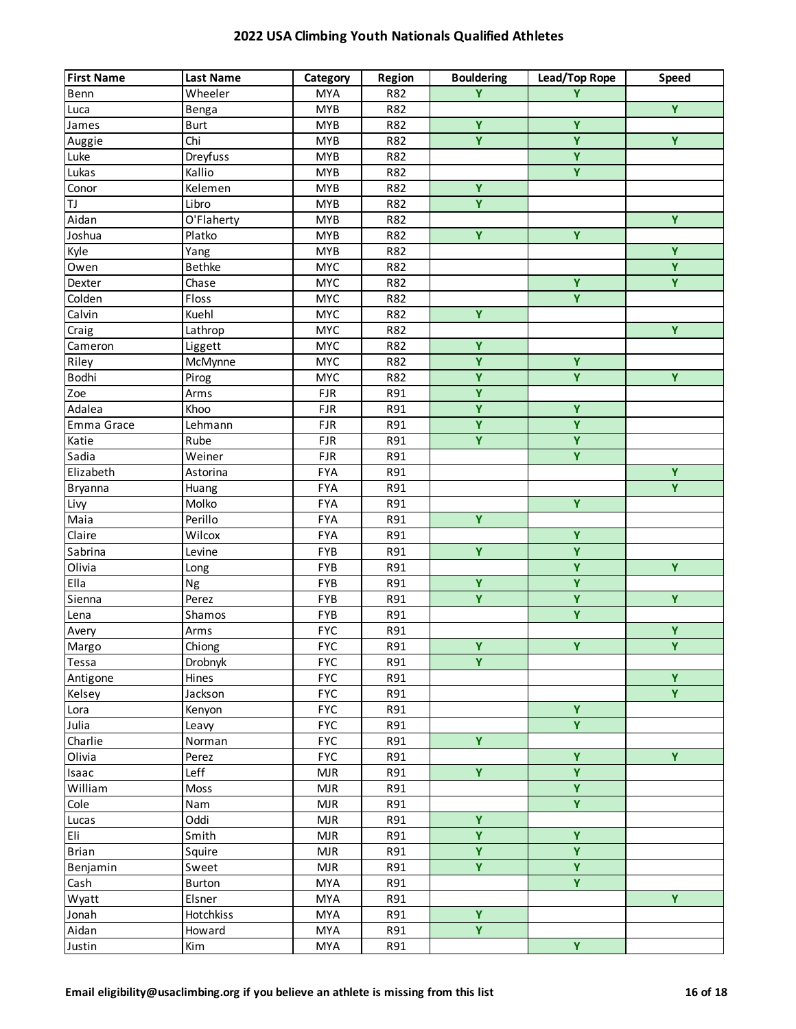| Ÿ<br>Wheeler<br><b>MYA</b><br>R82<br>Y<br>Benn<br>$\overline{Y}$<br><b>MYB</b><br>R82<br>Luca<br>Benga<br>Ÿ<br>Ÿ<br><b>MYB</b><br>R82<br>James<br><b>Burt</b><br>$\overline{\mathbf{Y}}$<br>$\overline{Y}$<br>$\overline{Y}$<br>Chi<br><b>MYB</b><br>R82<br>Auggie<br>$\overline{\mathbf{Y}}$<br>Dreyfuss<br><b>MYB</b><br>Luke<br>R82<br>$\overline{Y}$<br>Lukas<br>Kallio<br><b>MYB</b><br>R82<br>$\overline{\mathbf{Y}}$<br>Kelemen<br>Conor<br><b>MYB</b><br>R82<br>Ÿ<br>TJ<br>Libro<br><b>MYB</b><br>R82<br>$\overline{Y}$<br>Aidan<br>O'Flaherty<br><b>MYB</b><br>R82<br>$\overline{\mathbf{Y}}$<br>Y<br>Joshua<br>Platko<br><b>MYB</b><br>R82<br>Ÿ<br><b>MYB</b><br>Kyle<br>Yang<br>R82<br>$\overline{Y}$<br><b>Bethke</b><br><b>MYC</b><br>Owen<br>R82<br>Y.<br>Ÿ<br>Dexter<br><b>MYC</b><br>R82<br>Chase<br>Colden<br><b>MYC</b><br>Floss<br>R82<br>Y<br>Ÿ<br>Calvin<br>Kuehl<br><b>MYC</b><br>R82<br>$\overline{Y}$<br><b>MYC</b><br>$\overline{C}$ raig<br>Lathrop<br>R82<br><b>MYC</b><br>Ÿ<br>R82<br>Cameron<br>Liggett<br>Ÿ<br>Ÿ<br><b>MYC</b><br>Riley<br>R82<br>McMynne<br>$\overline{\mathbf{Y}}$<br>$\overline{Y}$<br>$\overline{Y}$<br>Bodhi<br><b>MYC</b><br>Pirog<br>R82<br>$\overline{\mathbf{Y}}$<br>Zoe<br><b>FJR</b><br>R91<br>Arms<br>$\overline{\mathbf{Y}}$<br>$\overline{Y}$<br>Adalea<br>FJR<br>R91<br>Khoo<br>$\overline{\mathbf{Y}}$<br>Ÿ<br>Emma Grace<br>Lehmann<br><b>FJR</b><br>R91<br>Y.<br>Ÿ<br><b>FJR</b><br>Katie<br>Rube<br>R91<br>Ÿ<br>Sadia<br>Weiner<br><b>FJR</b><br>R91<br>$\overline{Y}$<br>Elizabeth<br><b>FYA</b><br>R91<br>Astorina<br>$\overline{Y}$<br><b>FYA</b><br>R91<br><b>Bryanna</b><br>Huang<br>$\overline{Y}$<br>Molko<br><b>FYA</b><br>Livy<br>R91<br>Ÿ<br>Maia<br>Perillo<br><b>FYA</b><br>R91<br>$\overline{Y}$<br>Claire<br>Wilcox<br><b>FYA</b><br>R91<br>$\overline{Y}$<br>$\overline{\mathbf{Y}}$<br>Sabrina<br>FYB<br>Levine<br>R91<br>$\overline{Y}$<br>$\overline{Y}$<br>Olivia<br>FYB<br>R91<br>Long<br>$\overline{\mathbf{Y}}$<br>$\overline{\mathbf{Y}}$<br>Ella<br>FYB<br>Ng<br>R91<br>Ÿ<br>Ÿ<br>Ÿ<br>Sienna<br>FYB<br>R91<br>Perez<br>$\overline{Y}$<br>FYB<br>R91<br>Lena<br>Shamos<br>Ÿ<br><b>FYC</b><br>R91<br>Avery<br>Arms<br>$\overline{Y}$<br><b>FYC</b><br>$\overline{Y}$<br>$\overline{Y}$<br>Chiong<br>R91<br>Margo<br>Ÿ<br><b>FYC</b><br>Drobnyk<br>R91<br>Tessa<br>$\overline{Y}$<br>Hines<br><b>FYC</b><br>R91<br>Antigone<br>$\overline{Y}$<br>Jackson<br><b>FYC</b><br>R91<br>Kelsey<br>$\overline{\mathbf{Y}}$<br><b>FYC</b><br>Kenyon<br>R91<br>Lora<br>Y.<br>Julia<br><b>FYC</b><br>R91<br>Leavy<br>Y.<br><b>FYC</b><br>Charlie<br>Norman<br>R91<br>Ÿ<br>Y.<br>Olivia<br><b>FYC</b><br>R91<br>Perez<br>$\overline{\mathbf{Y}}$<br>Ÿ<br>Leff<br><b>MJR</b><br>R91<br>Isaac<br>$\overline{\mathbf{Y}}$<br>William<br>Moss<br><b>MJR</b><br>R91<br>$\overline{Y}$<br>Cole<br><b>MJR</b><br>R91<br>Nam<br>Ÿ<br>Oddi<br><b>MJR</b><br>R91<br>Lucas<br>Ÿ<br>Ÿ<br>Eli<br>Smith<br><b>MJR</b><br>R91<br>$\overline{Y}$<br>$\overline{Y}$<br><b>Brian</b><br><b>MJR</b><br>R91<br>Squire<br>$\overline{Y}$<br>$\overline{\mathbf{Y}}$<br><b>MJR</b><br>R91<br>Benjamin<br>Sweet<br>Y.<br><b>MYA</b><br>Cash<br>Burton<br>R91<br>Y.<br>Wyatt<br><b>MYA</b><br>R91<br>Elsner<br>Ÿ<br>R91<br>Jonah<br>Hotchkiss<br><b>MYA</b><br>Y.<br>Aidan<br>R91<br>Howard<br><b>MYA</b> | <b>First Name</b> | <b>Last Name</b> | Category | Region | <b>Bouldering</b> | Lead/Top Rope | Speed |
|--------------------------------------------------------------------------------------------------------------------------------------------------------------------------------------------------------------------------------------------------------------------------------------------------------------------------------------------------------------------------------------------------------------------------------------------------------------------------------------------------------------------------------------------------------------------------------------------------------------------------------------------------------------------------------------------------------------------------------------------------------------------------------------------------------------------------------------------------------------------------------------------------------------------------------------------------------------------------------------------------------------------------------------------------------------------------------------------------------------------------------------------------------------------------------------------------------------------------------------------------------------------------------------------------------------------------------------------------------------------------------------------------------------------------------------------------------------------------------------------------------------------------------------------------------------------------------------------------------------------------------------------------------------------------------------------------------------------------------------------------------------------------------------------------------------------------------------------------------------------------------------------------------------------------------------------------------------------------------------------------------------------------------------------------------------------------------------------------------------------------------------------------------------------------------------------------------------------------------------------------------------------------------------------------------------------------------------------------------------------------------------------------------------------------------------------------------------------------------------------------------------------------------------------------------------------------------------------------------------------------------------------------------------------------------------------------------------------------------------------------------------------------------------------------------------------------------------------------------------------------------------------------------------------------------------------------------------------------------------------------------------------------------------------------------------------------------------------------------------------------------------------------------------------------------------------------------------------------------------------------------------------------------------------------------------------------------------------------------------|-------------------|------------------|----------|--------|-------------------|---------------|-------|
|                                                                                                                                                                                                                                                                                                                                                                                                                                                                                                                                                                                                                                                                                                                                                                                                                                                                                                                                                                                                                                                                                                                                                                                                                                                                                                                                                                                                                                                                                                                                                                                                                                                                                                                                                                                                                                                                                                                                                                                                                                                                                                                                                                                                                                                                                                                                                                                                                                                                                                                                                                                                                                                                                                                                                                                                                                                                                                                                                                                                                                                                                                                                                                                                                                                                                                                                                              |                   |                  |          |        |                   |               |       |
|                                                                                                                                                                                                                                                                                                                                                                                                                                                                                                                                                                                                                                                                                                                                                                                                                                                                                                                                                                                                                                                                                                                                                                                                                                                                                                                                                                                                                                                                                                                                                                                                                                                                                                                                                                                                                                                                                                                                                                                                                                                                                                                                                                                                                                                                                                                                                                                                                                                                                                                                                                                                                                                                                                                                                                                                                                                                                                                                                                                                                                                                                                                                                                                                                                                                                                                                                              |                   |                  |          |        |                   |               |       |
|                                                                                                                                                                                                                                                                                                                                                                                                                                                                                                                                                                                                                                                                                                                                                                                                                                                                                                                                                                                                                                                                                                                                                                                                                                                                                                                                                                                                                                                                                                                                                                                                                                                                                                                                                                                                                                                                                                                                                                                                                                                                                                                                                                                                                                                                                                                                                                                                                                                                                                                                                                                                                                                                                                                                                                                                                                                                                                                                                                                                                                                                                                                                                                                                                                                                                                                                                              |                   |                  |          |        |                   |               |       |
|                                                                                                                                                                                                                                                                                                                                                                                                                                                                                                                                                                                                                                                                                                                                                                                                                                                                                                                                                                                                                                                                                                                                                                                                                                                                                                                                                                                                                                                                                                                                                                                                                                                                                                                                                                                                                                                                                                                                                                                                                                                                                                                                                                                                                                                                                                                                                                                                                                                                                                                                                                                                                                                                                                                                                                                                                                                                                                                                                                                                                                                                                                                                                                                                                                                                                                                                                              |                   |                  |          |        |                   |               |       |
|                                                                                                                                                                                                                                                                                                                                                                                                                                                                                                                                                                                                                                                                                                                                                                                                                                                                                                                                                                                                                                                                                                                                                                                                                                                                                                                                                                                                                                                                                                                                                                                                                                                                                                                                                                                                                                                                                                                                                                                                                                                                                                                                                                                                                                                                                                                                                                                                                                                                                                                                                                                                                                                                                                                                                                                                                                                                                                                                                                                                                                                                                                                                                                                                                                                                                                                                                              |                   |                  |          |        |                   |               |       |
|                                                                                                                                                                                                                                                                                                                                                                                                                                                                                                                                                                                                                                                                                                                                                                                                                                                                                                                                                                                                                                                                                                                                                                                                                                                                                                                                                                                                                                                                                                                                                                                                                                                                                                                                                                                                                                                                                                                                                                                                                                                                                                                                                                                                                                                                                                                                                                                                                                                                                                                                                                                                                                                                                                                                                                                                                                                                                                                                                                                                                                                                                                                                                                                                                                                                                                                                                              |                   |                  |          |        |                   |               |       |
|                                                                                                                                                                                                                                                                                                                                                                                                                                                                                                                                                                                                                                                                                                                                                                                                                                                                                                                                                                                                                                                                                                                                                                                                                                                                                                                                                                                                                                                                                                                                                                                                                                                                                                                                                                                                                                                                                                                                                                                                                                                                                                                                                                                                                                                                                                                                                                                                                                                                                                                                                                                                                                                                                                                                                                                                                                                                                                                                                                                                                                                                                                                                                                                                                                                                                                                                                              |                   |                  |          |        |                   |               |       |
|                                                                                                                                                                                                                                                                                                                                                                                                                                                                                                                                                                                                                                                                                                                                                                                                                                                                                                                                                                                                                                                                                                                                                                                                                                                                                                                                                                                                                                                                                                                                                                                                                                                                                                                                                                                                                                                                                                                                                                                                                                                                                                                                                                                                                                                                                                                                                                                                                                                                                                                                                                                                                                                                                                                                                                                                                                                                                                                                                                                                                                                                                                                                                                                                                                                                                                                                                              |                   |                  |          |        |                   |               |       |
|                                                                                                                                                                                                                                                                                                                                                                                                                                                                                                                                                                                                                                                                                                                                                                                                                                                                                                                                                                                                                                                                                                                                                                                                                                                                                                                                                                                                                                                                                                                                                                                                                                                                                                                                                                                                                                                                                                                                                                                                                                                                                                                                                                                                                                                                                                                                                                                                                                                                                                                                                                                                                                                                                                                                                                                                                                                                                                                                                                                                                                                                                                                                                                                                                                                                                                                                                              |                   |                  |          |        |                   |               |       |
|                                                                                                                                                                                                                                                                                                                                                                                                                                                                                                                                                                                                                                                                                                                                                                                                                                                                                                                                                                                                                                                                                                                                                                                                                                                                                                                                                                                                                                                                                                                                                                                                                                                                                                                                                                                                                                                                                                                                                                                                                                                                                                                                                                                                                                                                                                                                                                                                                                                                                                                                                                                                                                                                                                                                                                                                                                                                                                                                                                                                                                                                                                                                                                                                                                                                                                                                                              |                   |                  |          |        |                   |               |       |
|                                                                                                                                                                                                                                                                                                                                                                                                                                                                                                                                                                                                                                                                                                                                                                                                                                                                                                                                                                                                                                                                                                                                                                                                                                                                                                                                                                                                                                                                                                                                                                                                                                                                                                                                                                                                                                                                                                                                                                                                                                                                                                                                                                                                                                                                                                                                                                                                                                                                                                                                                                                                                                                                                                                                                                                                                                                                                                                                                                                                                                                                                                                                                                                                                                                                                                                                                              |                   |                  |          |        |                   |               |       |
|                                                                                                                                                                                                                                                                                                                                                                                                                                                                                                                                                                                                                                                                                                                                                                                                                                                                                                                                                                                                                                                                                                                                                                                                                                                                                                                                                                                                                                                                                                                                                                                                                                                                                                                                                                                                                                                                                                                                                                                                                                                                                                                                                                                                                                                                                                                                                                                                                                                                                                                                                                                                                                                                                                                                                                                                                                                                                                                                                                                                                                                                                                                                                                                                                                                                                                                                                              |                   |                  |          |        |                   |               |       |
|                                                                                                                                                                                                                                                                                                                                                                                                                                                                                                                                                                                                                                                                                                                                                                                                                                                                                                                                                                                                                                                                                                                                                                                                                                                                                                                                                                                                                                                                                                                                                                                                                                                                                                                                                                                                                                                                                                                                                                                                                                                                                                                                                                                                                                                                                                                                                                                                                                                                                                                                                                                                                                                                                                                                                                                                                                                                                                                                                                                                                                                                                                                                                                                                                                                                                                                                                              |                   |                  |          |        |                   |               |       |
|                                                                                                                                                                                                                                                                                                                                                                                                                                                                                                                                                                                                                                                                                                                                                                                                                                                                                                                                                                                                                                                                                                                                                                                                                                                                                                                                                                                                                                                                                                                                                                                                                                                                                                                                                                                                                                                                                                                                                                                                                                                                                                                                                                                                                                                                                                                                                                                                                                                                                                                                                                                                                                                                                                                                                                                                                                                                                                                                                                                                                                                                                                                                                                                                                                                                                                                                                              |                   |                  |          |        |                   |               |       |
|                                                                                                                                                                                                                                                                                                                                                                                                                                                                                                                                                                                                                                                                                                                                                                                                                                                                                                                                                                                                                                                                                                                                                                                                                                                                                                                                                                                                                                                                                                                                                                                                                                                                                                                                                                                                                                                                                                                                                                                                                                                                                                                                                                                                                                                                                                                                                                                                                                                                                                                                                                                                                                                                                                                                                                                                                                                                                                                                                                                                                                                                                                                                                                                                                                                                                                                                                              |                   |                  |          |        |                   |               |       |
|                                                                                                                                                                                                                                                                                                                                                                                                                                                                                                                                                                                                                                                                                                                                                                                                                                                                                                                                                                                                                                                                                                                                                                                                                                                                                                                                                                                                                                                                                                                                                                                                                                                                                                                                                                                                                                                                                                                                                                                                                                                                                                                                                                                                                                                                                                                                                                                                                                                                                                                                                                                                                                                                                                                                                                                                                                                                                                                                                                                                                                                                                                                                                                                                                                                                                                                                                              |                   |                  |          |        |                   |               |       |
|                                                                                                                                                                                                                                                                                                                                                                                                                                                                                                                                                                                                                                                                                                                                                                                                                                                                                                                                                                                                                                                                                                                                                                                                                                                                                                                                                                                                                                                                                                                                                                                                                                                                                                                                                                                                                                                                                                                                                                                                                                                                                                                                                                                                                                                                                                                                                                                                                                                                                                                                                                                                                                                                                                                                                                                                                                                                                                                                                                                                                                                                                                                                                                                                                                                                                                                                                              |                   |                  |          |        |                   |               |       |
|                                                                                                                                                                                                                                                                                                                                                                                                                                                                                                                                                                                                                                                                                                                                                                                                                                                                                                                                                                                                                                                                                                                                                                                                                                                                                                                                                                                                                                                                                                                                                                                                                                                                                                                                                                                                                                                                                                                                                                                                                                                                                                                                                                                                                                                                                                                                                                                                                                                                                                                                                                                                                                                                                                                                                                                                                                                                                                                                                                                                                                                                                                                                                                                                                                                                                                                                                              |                   |                  |          |        |                   |               |       |
|                                                                                                                                                                                                                                                                                                                                                                                                                                                                                                                                                                                                                                                                                                                                                                                                                                                                                                                                                                                                                                                                                                                                                                                                                                                                                                                                                                                                                                                                                                                                                                                                                                                                                                                                                                                                                                                                                                                                                                                                                                                                                                                                                                                                                                                                                                                                                                                                                                                                                                                                                                                                                                                                                                                                                                                                                                                                                                                                                                                                                                                                                                                                                                                                                                                                                                                                                              |                   |                  |          |        |                   |               |       |
|                                                                                                                                                                                                                                                                                                                                                                                                                                                                                                                                                                                                                                                                                                                                                                                                                                                                                                                                                                                                                                                                                                                                                                                                                                                                                                                                                                                                                                                                                                                                                                                                                                                                                                                                                                                                                                                                                                                                                                                                                                                                                                                                                                                                                                                                                                                                                                                                                                                                                                                                                                                                                                                                                                                                                                                                                                                                                                                                                                                                                                                                                                                                                                                                                                                                                                                                                              |                   |                  |          |        |                   |               |       |
|                                                                                                                                                                                                                                                                                                                                                                                                                                                                                                                                                                                                                                                                                                                                                                                                                                                                                                                                                                                                                                                                                                                                                                                                                                                                                                                                                                                                                                                                                                                                                                                                                                                                                                                                                                                                                                                                                                                                                                                                                                                                                                                                                                                                                                                                                                                                                                                                                                                                                                                                                                                                                                                                                                                                                                                                                                                                                                                                                                                                                                                                                                                                                                                                                                                                                                                                                              |                   |                  |          |        |                   |               |       |
|                                                                                                                                                                                                                                                                                                                                                                                                                                                                                                                                                                                                                                                                                                                                                                                                                                                                                                                                                                                                                                                                                                                                                                                                                                                                                                                                                                                                                                                                                                                                                                                                                                                                                                                                                                                                                                                                                                                                                                                                                                                                                                                                                                                                                                                                                                                                                                                                                                                                                                                                                                                                                                                                                                                                                                                                                                                                                                                                                                                                                                                                                                                                                                                                                                                                                                                                                              |                   |                  |          |        |                   |               |       |
|                                                                                                                                                                                                                                                                                                                                                                                                                                                                                                                                                                                                                                                                                                                                                                                                                                                                                                                                                                                                                                                                                                                                                                                                                                                                                                                                                                                                                                                                                                                                                                                                                                                                                                                                                                                                                                                                                                                                                                                                                                                                                                                                                                                                                                                                                                                                                                                                                                                                                                                                                                                                                                                                                                                                                                                                                                                                                                                                                                                                                                                                                                                                                                                                                                                                                                                                                              |                   |                  |          |        |                   |               |       |
|                                                                                                                                                                                                                                                                                                                                                                                                                                                                                                                                                                                                                                                                                                                                                                                                                                                                                                                                                                                                                                                                                                                                                                                                                                                                                                                                                                                                                                                                                                                                                                                                                                                                                                                                                                                                                                                                                                                                                                                                                                                                                                                                                                                                                                                                                                                                                                                                                                                                                                                                                                                                                                                                                                                                                                                                                                                                                                                                                                                                                                                                                                                                                                                                                                                                                                                                                              |                   |                  |          |        |                   |               |       |
|                                                                                                                                                                                                                                                                                                                                                                                                                                                                                                                                                                                                                                                                                                                                                                                                                                                                                                                                                                                                                                                                                                                                                                                                                                                                                                                                                                                                                                                                                                                                                                                                                                                                                                                                                                                                                                                                                                                                                                                                                                                                                                                                                                                                                                                                                                                                                                                                                                                                                                                                                                                                                                                                                                                                                                                                                                                                                                                                                                                                                                                                                                                                                                                                                                                                                                                                                              |                   |                  |          |        |                   |               |       |
|                                                                                                                                                                                                                                                                                                                                                                                                                                                                                                                                                                                                                                                                                                                                                                                                                                                                                                                                                                                                                                                                                                                                                                                                                                                                                                                                                                                                                                                                                                                                                                                                                                                                                                                                                                                                                                                                                                                                                                                                                                                                                                                                                                                                                                                                                                                                                                                                                                                                                                                                                                                                                                                                                                                                                                                                                                                                                                                                                                                                                                                                                                                                                                                                                                                                                                                                                              |                   |                  |          |        |                   |               |       |
|                                                                                                                                                                                                                                                                                                                                                                                                                                                                                                                                                                                                                                                                                                                                                                                                                                                                                                                                                                                                                                                                                                                                                                                                                                                                                                                                                                                                                                                                                                                                                                                                                                                                                                                                                                                                                                                                                                                                                                                                                                                                                                                                                                                                                                                                                                                                                                                                                                                                                                                                                                                                                                                                                                                                                                                                                                                                                                                                                                                                                                                                                                                                                                                                                                                                                                                                                              |                   |                  |          |        |                   |               |       |
|                                                                                                                                                                                                                                                                                                                                                                                                                                                                                                                                                                                                                                                                                                                                                                                                                                                                                                                                                                                                                                                                                                                                                                                                                                                                                                                                                                                                                                                                                                                                                                                                                                                                                                                                                                                                                                                                                                                                                                                                                                                                                                                                                                                                                                                                                                                                                                                                                                                                                                                                                                                                                                                                                                                                                                                                                                                                                                                                                                                                                                                                                                                                                                                                                                                                                                                                                              |                   |                  |          |        |                   |               |       |
|                                                                                                                                                                                                                                                                                                                                                                                                                                                                                                                                                                                                                                                                                                                                                                                                                                                                                                                                                                                                                                                                                                                                                                                                                                                                                                                                                                                                                                                                                                                                                                                                                                                                                                                                                                                                                                                                                                                                                                                                                                                                                                                                                                                                                                                                                                                                                                                                                                                                                                                                                                                                                                                                                                                                                                                                                                                                                                                                                                                                                                                                                                                                                                                                                                                                                                                                                              |                   |                  |          |        |                   |               |       |
|                                                                                                                                                                                                                                                                                                                                                                                                                                                                                                                                                                                                                                                                                                                                                                                                                                                                                                                                                                                                                                                                                                                                                                                                                                                                                                                                                                                                                                                                                                                                                                                                                                                                                                                                                                                                                                                                                                                                                                                                                                                                                                                                                                                                                                                                                                                                                                                                                                                                                                                                                                                                                                                                                                                                                                                                                                                                                                                                                                                                                                                                                                                                                                                                                                                                                                                                                              |                   |                  |          |        |                   |               |       |
|                                                                                                                                                                                                                                                                                                                                                                                                                                                                                                                                                                                                                                                                                                                                                                                                                                                                                                                                                                                                                                                                                                                                                                                                                                                                                                                                                                                                                                                                                                                                                                                                                                                                                                                                                                                                                                                                                                                                                                                                                                                                                                                                                                                                                                                                                                                                                                                                                                                                                                                                                                                                                                                                                                                                                                                                                                                                                                                                                                                                                                                                                                                                                                                                                                                                                                                                                              |                   |                  |          |        |                   |               |       |
|                                                                                                                                                                                                                                                                                                                                                                                                                                                                                                                                                                                                                                                                                                                                                                                                                                                                                                                                                                                                                                                                                                                                                                                                                                                                                                                                                                                                                                                                                                                                                                                                                                                                                                                                                                                                                                                                                                                                                                                                                                                                                                                                                                                                                                                                                                                                                                                                                                                                                                                                                                                                                                                                                                                                                                                                                                                                                                                                                                                                                                                                                                                                                                                                                                                                                                                                                              |                   |                  |          |        |                   |               |       |
|                                                                                                                                                                                                                                                                                                                                                                                                                                                                                                                                                                                                                                                                                                                                                                                                                                                                                                                                                                                                                                                                                                                                                                                                                                                                                                                                                                                                                                                                                                                                                                                                                                                                                                                                                                                                                                                                                                                                                                                                                                                                                                                                                                                                                                                                                                                                                                                                                                                                                                                                                                                                                                                                                                                                                                                                                                                                                                                                                                                                                                                                                                                                                                                                                                                                                                                                                              |                   |                  |          |        |                   |               |       |
|                                                                                                                                                                                                                                                                                                                                                                                                                                                                                                                                                                                                                                                                                                                                                                                                                                                                                                                                                                                                                                                                                                                                                                                                                                                                                                                                                                                                                                                                                                                                                                                                                                                                                                                                                                                                                                                                                                                                                                                                                                                                                                                                                                                                                                                                                                                                                                                                                                                                                                                                                                                                                                                                                                                                                                                                                                                                                                                                                                                                                                                                                                                                                                                                                                                                                                                                                              |                   |                  |          |        |                   |               |       |
|                                                                                                                                                                                                                                                                                                                                                                                                                                                                                                                                                                                                                                                                                                                                                                                                                                                                                                                                                                                                                                                                                                                                                                                                                                                                                                                                                                                                                                                                                                                                                                                                                                                                                                                                                                                                                                                                                                                                                                                                                                                                                                                                                                                                                                                                                                                                                                                                                                                                                                                                                                                                                                                                                                                                                                                                                                                                                                                                                                                                                                                                                                                                                                                                                                                                                                                                                              |                   |                  |          |        |                   |               |       |
|                                                                                                                                                                                                                                                                                                                                                                                                                                                                                                                                                                                                                                                                                                                                                                                                                                                                                                                                                                                                                                                                                                                                                                                                                                                                                                                                                                                                                                                                                                                                                                                                                                                                                                                                                                                                                                                                                                                                                                                                                                                                                                                                                                                                                                                                                                                                                                                                                                                                                                                                                                                                                                                                                                                                                                                                                                                                                                                                                                                                                                                                                                                                                                                                                                                                                                                                                              |                   |                  |          |        |                   |               |       |
|                                                                                                                                                                                                                                                                                                                                                                                                                                                                                                                                                                                                                                                                                                                                                                                                                                                                                                                                                                                                                                                                                                                                                                                                                                                                                                                                                                                                                                                                                                                                                                                                                                                                                                                                                                                                                                                                                                                                                                                                                                                                                                                                                                                                                                                                                                                                                                                                                                                                                                                                                                                                                                                                                                                                                                                                                                                                                                                                                                                                                                                                                                                                                                                                                                                                                                                                                              |                   |                  |          |        |                   |               |       |
|                                                                                                                                                                                                                                                                                                                                                                                                                                                                                                                                                                                                                                                                                                                                                                                                                                                                                                                                                                                                                                                                                                                                                                                                                                                                                                                                                                                                                                                                                                                                                                                                                                                                                                                                                                                                                                                                                                                                                                                                                                                                                                                                                                                                                                                                                                                                                                                                                                                                                                                                                                                                                                                                                                                                                                                                                                                                                                                                                                                                                                                                                                                                                                                                                                                                                                                                                              |                   |                  |          |        |                   |               |       |
|                                                                                                                                                                                                                                                                                                                                                                                                                                                                                                                                                                                                                                                                                                                                                                                                                                                                                                                                                                                                                                                                                                                                                                                                                                                                                                                                                                                                                                                                                                                                                                                                                                                                                                                                                                                                                                                                                                                                                                                                                                                                                                                                                                                                                                                                                                                                                                                                                                                                                                                                                                                                                                                                                                                                                                                                                                                                                                                                                                                                                                                                                                                                                                                                                                                                                                                                                              |                   |                  |          |        |                   |               |       |
|                                                                                                                                                                                                                                                                                                                                                                                                                                                                                                                                                                                                                                                                                                                                                                                                                                                                                                                                                                                                                                                                                                                                                                                                                                                                                                                                                                                                                                                                                                                                                                                                                                                                                                                                                                                                                                                                                                                                                                                                                                                                                                                                                                                                                                                                                                                                                                                                                                                                                                                                                                                                                                                                                                                                                                                                                                                                                                                                                                                                                                                                                                                                                                                                                                                                                                                                                              |                   |                  |          |        |                   |               |       |
|                                                                                                                                                                                                                                                                                                                                                                                                                                                                                                                                                                                                                                                                                                                                                                                                                                                                                                                                                                                                                                                                                                                                                                                                                                                                                                                                                                                                                                                                                                                                                                                                                                                                                                                                                                                                                                                                                                                                                                                                                                                                                                                                                                                                                                                                                                                                                                                                                                                                                                                                                                                                                                                                                                                                                                                                                                                                                                                                                                                                                                                                                                                                                                                                                                                                                                                                                              |                   |                  |          |        |                   |               |       |
|                                                                                                                                                                                                                                                                                                                                                                                                                                                                                                                                                                                                                                                                                                                                                                                                                                                                                                                                                                                                                                                                                                                                                                                                                                                                                                                                                                                                                                                                                                                                                                                                                                                                                                                                                                                                                                                                                                                                                                                                                                                                                                                                                                                                                                                                                                                                                                                                                                                                                                                                                                                                                                                                                                                                                                                                                                                                                                                                                                                                                                                                                                                                                                                                                                                                                                                                                              |                   |                  |          |        |                   |               |       |
|                                                                                                                                                                                                                                                                                                                                                                                                                                                                                                                                                                                                                                                                                                                                                                                                                                                                                                                                                                                                                                                                                                                                                                                                                                                                                                                                                                                                                                                                                                                                                                                                                                                                                                                                                                                                                                                                                                                                                                                                                                                                                                                                                                                                                                                                                                                                                                                                                                                                                                                                                                                                                                                                                                                                                                                                                                                                                                                                                                                                                                                                                                                                                                                                                                                                                                                                                              |                   |                  |          |        |                   |               |       |
|                                                                                                                                                                                                                                                                                                                                                                                                                                                                                                                                                                                                                                                                                                                                                                                                                                                                                                                                                                                                                                                                                                                                                                                                                                                                                                                                                                                                                                                                                                                                                                                                                                                                                                                                                                                                                                                                                                                                                                                                                                                                                                                                                                                                                                                                                                                                                                                                                                                                                                                                                                                                                                                                                                                                                                                                                                                                                                                                                                                                                                                                                                                                                                                                                                                                                                                                                              |                   |                  |          |        |                   |               |       |
|                                                                                                                                                                                                                                                                                                                                                                                                                                                                                                                                                                                                                                                                                                                                                                                                                                                                                                                                                                                                                                                                                                                                                                                                                                                                                                                                                                                                                                                                                                                                                                                                                                                                                                                                                                                                                                                                                                                                                                                                                                                                                                                                                                                                                                                                                                                                                                                                                                                                                                                                                                                                                                                                                                                                                                                                                                                                                                                                                                                                                                                                                                                                                                                                                                                                                                                                                              |                   |                  |          |        |                   |               |       |
|                                                                                                                                                                                                                                                                                                                                                                                                                                                                                                                                                                                                                                                                                                                                                                                                                                                                                                                                                                                                                                                                                                                                                                                                                                                                                                                                                                                                                                                                                                                                                                                                                                                                                                                                                                                                                                                                                                                                                                                                                                                                                                                                                                                                                                                                                                                                                                                                                                                                                                                                                                                                                                                                                                                                                                                                                                                                                                                                                                                                                                                                                                                                                                                                                                                                                                                                                              |                   |                  |          |        |                   |               |       |
|                                                                                                                                                                                                                                                                                                                                                                                                                                                                                                                                                                                                                                                                                                                                                                                                                                                                                                                                                                                                                                                                                                                                                                                                                                                                                                                                                                                                                                                                                                                                                                                                                                                                                                                                                                                                                                                                                                                                                                                                                                                                                                                                                                                                                                                                                                                                                                                                                                                                                                                                                                                                                                                                                                                                                                                                                                                                                                                                                                                                                                                                                                                                                                                                                                                                                                                                                              |                   |                  |          |        |                   |               |       |
|                                                                                                                                                                                                                                                                                                                                                                                                                                                                                                                                                                                                                                                                                                                                                                                                                                                                                                                                                                                                                                                                                                                                                                                                                                                                                                                                                                                                                                                                                                                                                                                                                                                                                                                                                                                                                                                                                                                                                                                                                                                                                                                                                                                                                                                                                                                                                                                                                                                                                                                                                                                                                                                                                                                                                                                                                                                                                                                                                                                                                                                                                                                                                                                                                                                                                                                                                              |                   |                  |          |        |                   |               |       |
|                                                                                                                                                                                                                                                                                                                                                                                                                                                                                                                                                                                                                                                                                                                                                                                                                                                                                                                                                                                                                                                                                                                                                                                                                                                                                                                                                                                                                                                                                                                                                                                                                                                                                                                                                                                                                                                                                                                                                                                                                                                                                                                                                                                                                                                                                                                                                                                                                                                                                                                                                                                                                                                                                                                                                                                                                                                                                                                                                                                                                                                                                                                                                                                                                                                                                                                                                              |                   |                  |          |        |                   |               |       |
|                                                                                                                                                                                                                                                                                                                                                                                                                                                                                                                                                                                                                                                                                                                                                                                                                                                                                                                                                                                                                                                                                                                                                                                                                                                                                                                                                                                                                                                                                                                                                                                                                                                                                                                                                                                                                                                                                                                                                                                                                                                                                                                                                                                                                                                                                                                                                                                                                                                                                                                                                                                                                                                                                                                                                                                                                                                                                                                                                                                                                                                                                                                                                                                                                                                                                                                                                              |                   |                  |          |        |                   |               |       |
|                                                                                                                                                                                                                                                                                                                                                                                                                                                                                                                                                                                                                                                                                                                                                                                                                                                                                                                                                                                                                                                                                                                                                                                                                                                                                                                                                                                                                                                                                                                                                                                                                                                                                                                                                                                                                                                                                                                                                                                                                                                                                                                                                                                                                                                                                                                                                                                                                                                                                                                                                                                                                                                                                                                                                                                                                                                                                                                                                                                                                                                                                                                                                                                                                                                                                                                                                              |                   |                  |          |        |                   |               |       |
|                                                                                                                                                                                                                                                                                                                                                                                                                                                                                                                                                                                                                                                                                                                                                                                                                                                                                                                                                                                                                                                                                                                                                                                                                                                                                                                                                                                                                                                                                                                                                                                                                                                                                                                                                                                                                                                                                                                                                                                                                                                                                                                                                                                                                                                                                                                                                                                                                                                                                                                                                                                                                                                                                                                                                                                                                                                                                                                                                                                                                                                                                                                                                                                                                                                                                                                                                              |                   |                  |          |        |                   |               |       |
|                                                                                                                                                                                                                                                                                                                                                                                                                                                                                                                                                                                                                                                                                                                                                                                                                                                                                                                                                                                                                                                                                                                                                                                                                                                                                                                                                                                                                                                                                                                                                                                                                                                                                                                                                                                                                                                                                                                                                                                                                                                                                                                                                                                                                                                                                                                                                                                                                                                                                                                                                                                                                                                                                                                                                                                                                                                                                                                                                                                                                                                                                                                                                                                                                                                                                                                                                              |                   |                  |          |        |                   |               |       |
|                                                                                                                                                                                                                                                                                                                                                                                                                                                                                                                                                                                                                                                                                                                                                                                                                                                                                                                                                                                                                                                                                                                                                                                                                                                                                                                                                                                                                                                                                                                                                                                                                                                                                                                                                                                                                                                                                                                                                                                                                                                                                                                                                                                                                                                                                                                                                                                                                                                                                                                                                                                                                                                                                                                                                                                                                                                                                                                                                                                                                                                                                                                                                                                                                                                                                                                                                              |                   |                  |          |        |                   |               |       |
| $\overline{\mathbf{Y}}$<br>R91<br>Justin<br>Kim<br><b>MYA</b>                                                                                                                                                                                                                                                                                                                                                                                                                                                                                                                                                                                                                                                                                                                                                                                                                                                                                                                                                                                                                                                                                                                                                                                                                                                                                                                                                                                                                                                                                                                                                                                                                                                                                                                                                                                                                                                                                                                                                                                                                                                                                                                                                                                                                                                                                                                                                                                                                                                                                                                                                                                                                                                                                                                                                                                                                                                                                                                                                                                                                                                                                                                                                                                                                                                                                                |                   |                  |          |        |                   |               |       |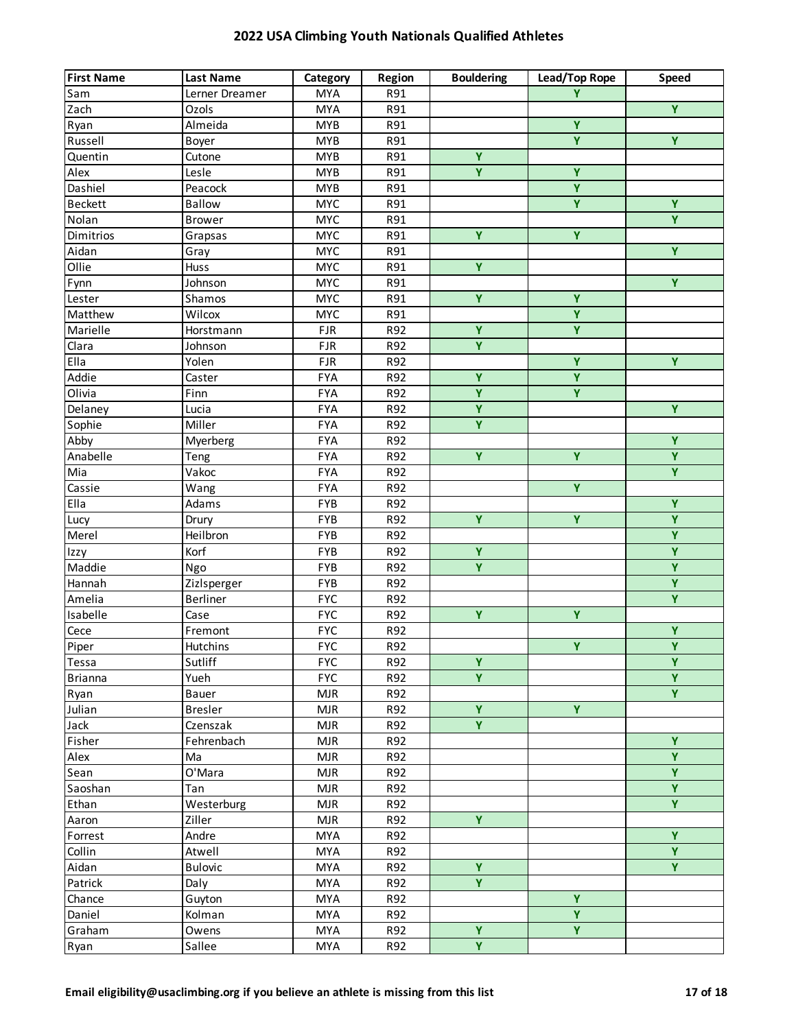| <b>MYA</b><br>R91<br>Y<br>Sam<br>Lerner Dreamer<br>Zach<br><b>MYA</b><br>R91<br>Ozols   | $\overline{Y}$          |
|-----------------------------------------------------------------------------------------|-------------------------|
|                                                                                         |                         |
|                                                                                         |                         |
| $\overline{Y}$<br>Almeida<br><b>MYB</b><br>R91<br>Ryan                                  |                         |
| $\overline{\mathbf{Y}}$<br>Russell<br><b>MYB</b><br>R91<br>Boyer                        | $\overline{Y}$          |
| $\overline{Y}$<br>Quentin<br>Cutone<br><b>MYB</b><br>R91                                |                         |
| $\overline{\mathsf{Y}}$<br>$\overline{Y}$<br>Alex<br>Lesle<br><b>MYB</b><br>R91         |                         |
| $\overline{Y}$<br>Dashiel<br>Peacock<br><b>MYB</b><br>R91                               |                         |
| Ÿ<br><b>Beckett</b><br><b>MYC</b><br>Ballow<br>R91                                      | Ÿ                       |
| Nolan<br><b>MYC</b><br><b>Brower</b><br>R91                                             | Y.                      |
| $\overline{Y}$<br>Ÿ<br>Dimitrios<br><b>MYC</b><br>Grapsas<br>R91                        |                         |
| <b>MYC</b><br>Aidan<br>R91<br>Gray                                                      | Y                       |
| Ollie<br>Ÿ<br><b>MYC</b><br>R91<br>Huss                                                 |                         |
| <b>MYC</b><br>Johnson<br>R91<br>Fynn                                                    | Y.                      |
| $\overline{Y}$<br>$\overline{Y}$<br><b>MYC</b><br>R91<br>Lester<br>Shamos               |                         |
| $\overline{Y}$<br><b>MYC</b><br>Matthew<br>Wilcox<br>R91                                |                         |
| $\overline{\mathbf{Y}}$<br>$\overline{Y}$<br>Marielle<br>Horstmann<br><b>FJR</b><br>R92 |                         |
| $\overline{\mathbf{Y}}$<br>Clara<br>Johnson<br><b>FJR</b><br>R92                        |                         |
| Ÿ<br>Ella<br>Yolen<br><b>FJR</b><br>R92                                                 | Y                       |
| $\overline{\mathbf{Y}}$<br>Addie<br>Ÿ<br>R92<br>Caster<br><b>FYA</b>                    |                         |
| $\overline{Y}$<br>Olivia<br>Y<br>Finn<br><b>FYA</b><br>R92                              |                         |
| $\overline{\mathbf{Y}}$<br><b>FYA</b><br>R92<br>Delaney<br>Lucia                        | $\overline{Y}$          |
| $\overline{Y}$<br>Sophie<br>Miller<br><b>FYA</b><br>R92                                 |                         |
| Abby<br>R92<br><b>FYA</b><br>Myerberg                                                   | Y                       |
| $\overline{Y}$<br>$\overline{Y}$<br>Anabelle<br><b>FYA</b><br>R92<br>Teng               | $\overline{Y}$          |
| Vakoc<br><b>FYA</b><br>R92<br>Mia                                                       | $\overline{Y}$          |
| $\overline{Y}$<br>Cassie<br><b>FYA</b><br>Wang<br>R92                                   |                         |
| Ella<br><b>FYB</b><br>R92<br>Adams                                                      | $\overline{Y}$          |
| Ÿ<br>Y<br>FYB<br>R92<br>Lucy<br>Drury                                                   | $\overline{Y}$          |
| Merel<br>Heilbron<br><b>FYB</b><br>R92                                                  | $\overline{Y}$          |
| $\overline{Y}$<br>Korf<br>FYB<br>R92<br>Izzy                                            | $\overline{Y}$          |
| $\overline{Y}$<br>Maddie<br><b>FYB</b><br>R92<br>Ngo                                    | $\overline{Y}$          |
| Hannah<br><b>FYB</b><br>R92<br>Zizlsperger                                              | $\overline{Y}$          |
| <b>FYC</b><br>Amelia<br>R92<br>Berliner                                                 | $\overline{Y}$          |
| $\overline{Y}$<br>$\overline{Y}$<br>Isabelle<br><b>FYC</b><br>R92<br>Case               |                         |
| <b>FYC</b><br>Cece<br>R92<br>Fremont                                                    | $\overline{\mathbf{Y}}$ |
| $\overline{Y}$<br><b>FYC</b><br>Piper<br>Hutchins<br>R92                                | $\overline{Y}$          |
| Ÿ<br>Sutliff<br><b>FYC</b><br>Tessa<br>R92                                              | Y                       |
| Ÿ<br><b>FYC</b><br>Yueh<br>R92<br><b>Brianna</b>                                        | $\overline{Y}$          |
| <b>MJR</b><br>R92<br>Ryan<br>Bauer                                                      | $\overline{Y}$          |
| $\overline{\mathbf{Y}}$<br>Y<br>Julian<br><b>Bresler</b><br><b>MJR</b><br>R92           |                         |
| $\overline{Y}$<br>Jack<br>Czenszak<br><b>MJR</b><br>R92                                 |                         |
| Fisher<br>Fehrenbach<br><b>MJR</b><br>R92                                               | $\overline{Y}$          |
| Alex<br>Ma<br><b>MJR</b><br>R92                                                         | Y                       |
| O'Mara<br>Sean<br><b>MJR</b><br>R92                                                     | $\overline{Y}$          |
| <b>MJR</b><br>Saoshan<br>Tan<br>R92                                                     | $\overline{Y}$          |
| Westerburg<br>Ethan<br><b>MJR</b><br>R92                                                | $\overline{Y}$          |
| Y.<br><b>MJR</b><br>R92<br>Aaron<br>Ziller                                              |                         |
| Andre<br><b>MYA</b><br>R92<br>Forrest                                                   | Ÿ                       |
| Collin<br>Atwell<br><b>MYA</b><br>R92                                                   | Y.                      |
| Ÿ<br>Aidan<br><b>Bulovic</b><br><b>MYA</b><br>R92                                       | Y.                      |
| Y.<br>Patrick<br><b>MYA</b><br>R92<br>Daly                                              |                         |
| $\overline{Y}$<br><b>MYA</b><br>R92<br>Chance<br>Guyton                                 |                         |
| Y<br>Daniel<br>Kolman<br><b>MYA</b><br>R92                                              |                         |
| $\overline{Y}$<br>Ÿ<br><b>MYA</b><br>R92<br>Graham<br>Owens                             |                         |
| $\overline{Y}$<br>Sallee<br>MYA<br>R92<br>Ryan                                          |                         |